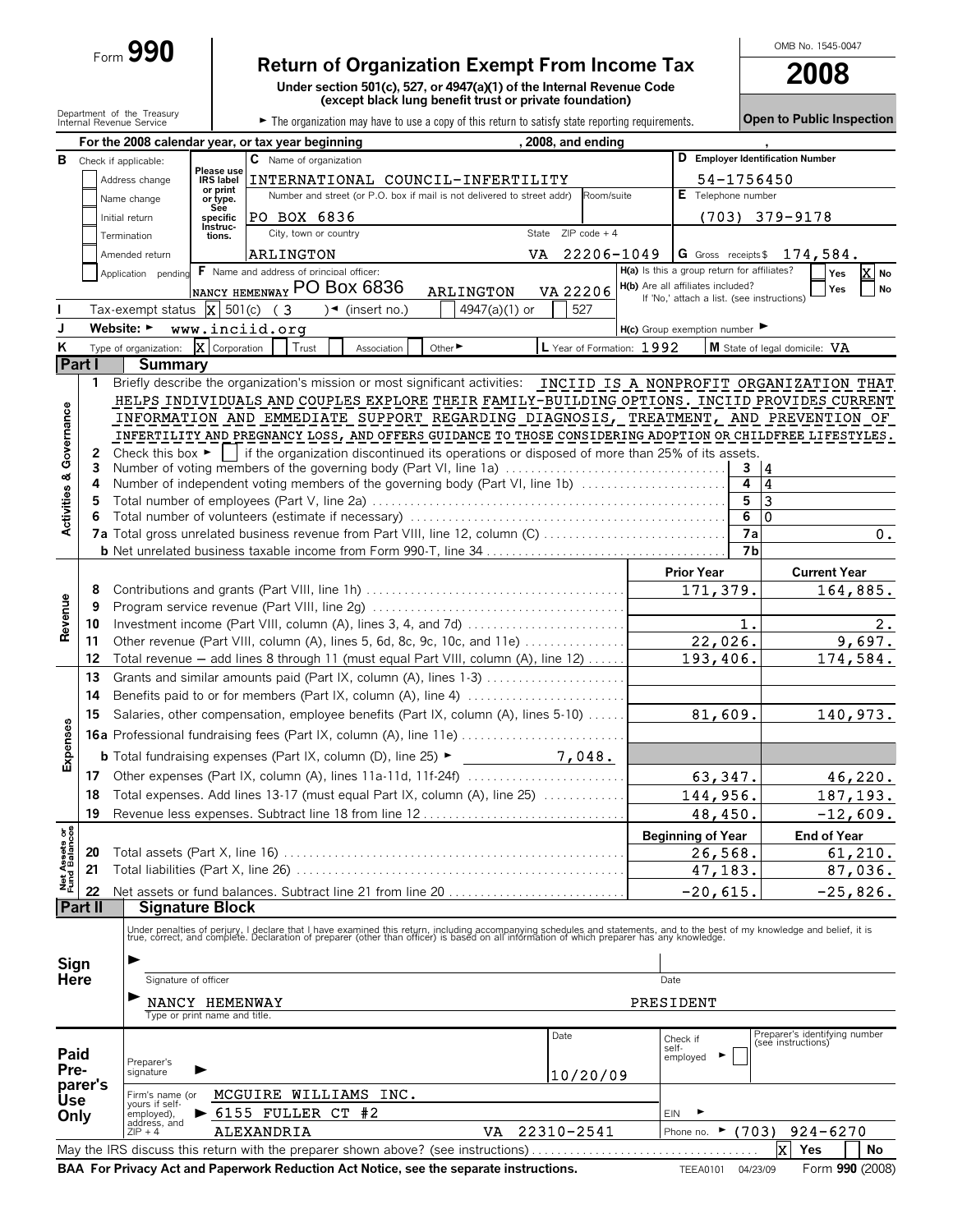## Form **990 Return of Organization Exempt From Income Tax**

**Under section 501(c), 527, or 4947(a)(1) of the Internal Revenue Code (except black lung benefit trust or private foundation)**

OMB No. 1545-0047

|                                |                                                  | Department of the Treasury<br>Internal Revenue Service |                                                 | The organization may have to use a copy of this return to satisfy state reporting requirements.                                                                                                                                                                                                                                                                                                                                                                                                                                                                                               |                                   |                           |           |                                                                                 |                | <b>Open to Public Inspection</b>                    |                     |                 |
|--------------------------------|--------------------------------------------------|--------------------------------------------------------|-------------------------------------------------|-----------------------------------------------------------------------------------------------------------------------------------------------------------------------------------------------------------------------------------------------------------------------------------------------------------------------------------------------------------------------------------------------------------------------------------------------------------------------------------------------------------------------------------------------------------------------------------------------|-----------------------------------|---------------------------|-----------|---------------------------------------------------------------------------------|----------------|-----------------------------------------------------|---------------------|-----------------|
|                                |                                                  |                                                        |                                                 | For the 2008 calendar year, or tax year beginning                                                                                                                                                                                                                                                                                                                                                                                                                                                                                                                                             |                                   | , 2008, and ending        |           |                                                                                 |                |                                                     |                     |                 |
|                                |                                                  | <b>B</b> Check if applicable:                          |                                                 | $\overline{c}$ Name of organization                                                                                                                                                                                                                                                                                                                                                                                                                                                                                                                                                           |                                   |                           |           |                                                                                 |                | D Employer Identification Number                    |                     |                 |
|                                | Please use<br>Address change<br><b>IRS</b> label |                                                        |                                                 |                                                                                                                                                                                                                                                                                                                                                                                                                                                                                                                                                                                               | INTERNATIONAL COUNCIL-INFERTILITY |                           |           | 54-1756450                                                                      |                |                                                     |                     |                 |
|                                |                                                  | Name change                                            | or print<br>or type.                            | Number and street (or P.O. box if mail is not delivered to street addr)                                                                                                                                                                                                                                                                                                                                                                                                                                                                                                                       |                                   | Room/suite                |           | E Telephone number                                                              |                |                                                     |                     |                 |
|                                |                                                  | Initial return                                         | See<br>specific<br>Instruc-                     | PO BOX 6836                                                                                                                                                                                                                                                                                                                                                                                                                                                                                                                                                                                   |                                   |                           |           |                                                                                 |                | (703) 379-9178                                      |                     |                 |
|                                |                                                  | Termination                                            | tions.                                          | City, town or country                                                                                                                                                                                                                                                                                                                                                                                                                                                                                                                                                                         |                                   | $ZIP code + 4$<br>State   |           |                                                                                 |                |                                                     |                     |                 |
|                                |                                                  | Amended return                                         |                                                 | ARLINGTON                                                                                                                                                                                                                                                                                                                                                                                                                                                                                                                                                                                     |                                   | VA<br>22206-1049          |           |                                                                                 |                | $ G \t{G}$ Gross receipts \$ $174,584.$             |                     |                 |
|                                |                                                  | Application pending                                    |                                                 | F Name and address of principal officer:                                                                                                                                                                                                                                                                                                                                                                                                                                                                                                                                                      |                                   |                           |           | H(a) Is this a group return for affiliates?                                     |                |                                                     | Yes                 | X No            |
|                                |                                                  |                                                        |                                                 | INANCY HEMENWAY PO BOX 6836                                                                                                                                                                                                                                                                                                                                                                                                                                                                                                                                                                   | <b>ARLINGTON</b>                  | VA 22206                  |           | H(b) Are all affiliates included?<br>If 'No,' attach a list. (see instructions) |                |                                                     | Yes                 | <b>No</b>       |
|                                |                                                  | Tax-exempt status $\overline{X}$ 501(c) (3             |                                                 | $\sqrt{\bullet}$ (insert no.)                                                                                                                                                                                                                                                                                                                                                                                                                                                                                                                                                                 | 4947(a)(1) or                     | 527                       |           |                                                                                 |                |                                                     |                     |                 |
| J                              |                                                  | Website: ►                                             |                                                 | www.inciid.org                                                                                                                                                                                                                                                                                                                                                                                                                                                                                                                                                                                |                                   |                           |           | $H(c)$ Group exemption number                                                   |                |                                                     |                     |                 |
| Κ                              |                                                  | Type of organization:                                  | $\overline{\mathbf{X}}$ Corporation             | Trust<br>Association                                                                                                                                                                                                                                                                                                                                                                                                                                                                                                                                                                          | Other ►                           | L Year of Formation: 1992 |           |                                                                                 |                | M State of legal domicile: VA                       |                     |                 |
| Part I                         | 1.                                               | <b>Summary</b>                                         |                                                 | Briefly describe the organization's mission or most significant activities: INCIID IS A NONPROFIT ORGANIZATION THAT                                                                                                                                                                                                                                                                                                                                                                                                                                                                           |                                   |                           |           |                                                                                 |                |                                                     |                     |                 |
| Governance<br>œ<br>Activities  | 2<br>3<br>4<br>5                                 |                                                        |                                                 | HELPS INDIVIDUALS AND COUPLES EXPLORE THEIR FAMILY-BUILDING OPTIONS. INCIID PROVIDES CURRENT<br>INFORMATION AND EMMEDIATE SUPPORT REGARDING DIAGNOSIS, TREATMENT, AND PREVENTION OF<br>INFERTILITY AND PREGNANCY LOSS, AND OFFERS GUIDANCE TO THOSE CONSIDERING ADOPTION OR CHILDFREE LIFESTYLES.<br>Check this box $\blacktriangleright$   if the organization discontinued its operations or disposed of more than 25% of its assets.<br>Number of voting members of the governing body (Part VI, line 1a)<br>Number of independent voting members of the governing body (Part VI, line 1b) |                                   |                           |           |                                                                                 | 3<br>4<br>5    | 4<br>4<br>3                                         |                     |                 |
|                                | 6                                                |                                                        |                                                 |                                                                                                                                                                                                                                                                                                                                                                                                                                                                                                                                                                                               |                                   |                           |           |                                                                                 | 6              | 0                                                   |                     |                 |
|                                |                                                  |                                                        |                                                 | 7a Total gross unrelated business revenue from Part VIII, line 12, column (C)                                                                                                                                                                                                                                                                                                                                                                                                                                                                                                                 |                                   |                           |           |                                                                                 | 7a             |                                                     |                     | 0.              |
|                                |                                                  |                                                        |                                                 |                                                                                                                                                                                                                                                                                                                                                                                                                                                                                                                                                                                               |                                   |                           |           |                                                                                 | 7 <sub>b</sub> |                                                     |                     |                 |
|                                |                                                  |                                                        |                                                 |                                                                                                                                                                                                                                                                                                                                                                                                                                                                                                                                                                                               |                                   |                           |           | <b>Prior Year</b>                                                               |                |                                                     | <b>Current Year</b> |                 |
|                                | 8<br>9                                           |                                                        |                                                 |                                                                                                                                                                                                                                                                                                                                                                                                                                                                                                                                                                                               |                                   |                           |           | 171,379.                                                                        |                |                                                     | 164,885.            |                 |
| Revenue                        | 10                                               |                                                        |                                                 |                                                                                                                                                                                                                                                                                                                                                                                                                                                                                                                                                                                               |                                   |                           |           |                                                                                 | $\mathbf{1}$ . |                                                     |                     | 2.              |
|                                | 11                                               |                                                        |                                                 | Other revenue (Part VIII, column (A), lines 5, 6d, 8c, 9c, 10c, and 11e)                                                                                                                                                                                                                                                                                                                                                                                                                                                                                                                      |                                   |                           |           | 22,026.                                                                         |                |                                                     |                     | 9,697.          |
|                                | 12                                               |                                                        |                                                 | Total revenue - add lines 8 through 11 (must equal Part VIII, column (A), line 12)                                                                                                                                                                                                                                                                                                                                                                                                                                                                                                            |                                   |                           |           | 193,406.                                                                        |                |                                                     | 174,584.            |                 |
|                                | 13                                               |                                                        |                                                 | Grants and similar amounts paid (Part IX, column (A), lines 1-3)                                                                                                                                                                                                                                                                                                                                                                                                                                                                                                                              |                                   |                           |           |                                                                                 |                |                                                     |                     |                 |
|                                | 14                                               |                                                        |                                                 |                                                                                                                                                                                                                                                                                                                                                                                                                                                                                                                                                                                               |                                   |                           |           |                                                                                 |                |                                                     |                     |                 |
|                                | 15                                               |                                                        |                                                 | Salaries, other compensation, employee benefits (Part IX, column (A), lines 5-10)                                                                                                                                                                                                                                                                                                                                                                                                                                                                                                             |                                   |                           |           | 81,609.                                                                         |                |                                                     | 140,973.            |                 |
|                                |                                                  |                                                        |                                                 | <b>16a</b> Professional fundraising fees (Part IX, column (A), line 11e)                                                                                                                                                                                                                                                                                                                                                                                                                                                                                                                      |                                   |                           |           |                                                                                 |                |                                                     |                     |                 |
| Expenses                       |                                                  |                                                        |                                                 | <b>b</b> Total fundraising expenses (Part IX, column (D), line $25$ )                                                                                                                                                                                                                                                                                                                                                                                                                                                                                                                         |                                   | 7,048.                    |           |                                                                                 |                |                                                     |                     |                 |
|                                |                                                  |                                                        |                                                 |                                                                                                                                                                                                                                                                                                                                                                                                                                                                                                                                                                                               |                                   |                           |           | 63,347.                                                                         |                |                                                     |                     | 46,220.         |
|                                | 18                                               |                                                        |                                                 | Total expenses. Add lines 13-17 (must equal Part IX, column (A), line 25)                                                                                                                                                                                                                                                                                                                                                                                                                                                                                                                     |                                   |                           |           | 144,956.                                                                        |                |                                                     |                     | 187,193.        |
|                                | 19                                               |                                                        |                                                 |                                                                                                                                                                                                                                                                                                                                                                                                                                                                                                                                                                                               |                                   |                           |           | 48,450.                                                                         |                |                                                     | $-12,609.$          |                 |
|                                |                                                  |                                                        |                                                 |                                                                                                                                                                                                                                                                                                                                                                                                                                                                                                                                                                                               |                                   |                           |           | <b>Beginning of Year</b>                                                        |                |                                                     | <b>End of Year</b>  |                 |
|                                | 20                                               |                                                        |                                                 |                                                                                                                                                                                                                                                                                                                                                                                                                                                                                                                                                                                               |                                   |                           |           | 26,568.                                                                         |                |                                                     |                     | 61, 210.        |
| Net Assets or<br>Fund Balances | 21                                               | Total liabilities (Part X, line 26).                   |                                                 |                                                                                                                                                                                                                                                                                                                                                                                                                                                                                                                                                                                               |                                   |                           |           | 47,183.                                                                         |                |                                                     |                     | 87,036.         |
|                                | 22                                               |                                                        |                                                 |                                                                                                                                                                                                                                                                                                                                                                                                                                                                                                                                                                                               |                                   |                           |           | $-20,615.$                                                                      |                |                                                     | $-25,826.$          |                 |
|                                | Part II                                          | <b>Signature Block</b>                                 |                                                 |                                                                                                                                                                                                                                                                                                                                                                                                                                                                                                                                                                                               |                                   |                           |           |                                                                                 |                |                                                     |                     |                 |
| Sign<br><b>Here</b>            |                                                  | Signature of officer                                   |                                                 | Under penalties of perjury, I declare that I have examined this return, including accompanying schedules and statements, and to the best of my knowledge and belief, it is<br>true, correct, and complete. Declaration of prepare                                                                                                                                                                                                                                                                                                                                                             |                                   |                           | Date      |                                                                                 |                |                                                     |                     |                 |
|                                |                                                  |                                                        | NANCY HEMENWAY<br>Type or print name and title. |                                                                                                                                                                                                                                                                                                                                                                                                                                                                                                                                                                                               |                                   |                           | PRESIDENT |                                                                                 |                |                                                     |                     |                 |
|                                |                                                  |                                                        |                                                 |                                                                                                                                                                                                                                                                                                                                                                                                                                                                                                                                                                                               |                                   | Date                      |           | Check if                                                                        |                | Preparer's identifying number<br>(see instructions) |                     |                 |
| Paid                           |                                                  |                                                        |                                                 |                                                                                                                                                                                                                                                                                                                                                                                                                                                                                                                                                                                               |                                   |                           | self-     | employed                                                                        |                |                                                     |                     |                 |
| Pre-                           |                                                  | Preparer's<br>signature                                | ▶                                               |                                                                                                                                                                                                                                                                                                                                                                                                                                                                                                                                                                                               |                                   | 10/20/09                  |           |                                                                                 |                |                                                     |                     |                 |
|                                | parer's                                          | Firm's name (or                                        |                                                 | MCGUIRE WILLIAMS INC.                                                                                                                                                                                                                                                                                                                                                                                                                                                                                                                                                                         |                                   |                           |           |                                                                                 |                |                                                     |                     |                 |
| <b>Use</b><br>Only             |                                                  | yours if self-<br>employed),                           |                                                 | 6155 FULLER CT #2                                                                                                                                                                                                                                                                                                                                                                                                                                                                                                                                                                             |                                   |                           | EIN       |                                                                                 |                |                                                     |                     |                 |
|                                |                                                  | address, and<br>$ZIP + 4$                              |                                                 | ALEXANDRIA                                                                                                                                                                                                                                                                                                                                                                                                                                                                                                                                                                                    | VA                                | 22310-2541                |           | Phone no.                                                                       | $*(703)$       |                                                     | $924 - 6270$        |                 |
|                                |                                                  |                                                        |                                                 | May the IRS discuss this return with the preparer shown above? (see instructions)                                                                                                                                                                                                                                                                                                                                                                                                                                                                                                             |                                   |                           |           |                                                                                 |                | Ιx.<br>Yes                                          |                     | No              |
|                                |                                                  |                                                        |                                                 | BAA For Privacy Act and Paperwork Reduction Act Notice, see the separate instructions.                                                                                                                                                                                                                                                                                                                                                                                                                                                                                                        |                                   |                           |           | <b>TEEA0101</b>                                                                 | 04/23/09       |                                                     |                     | Form 990 (2008) |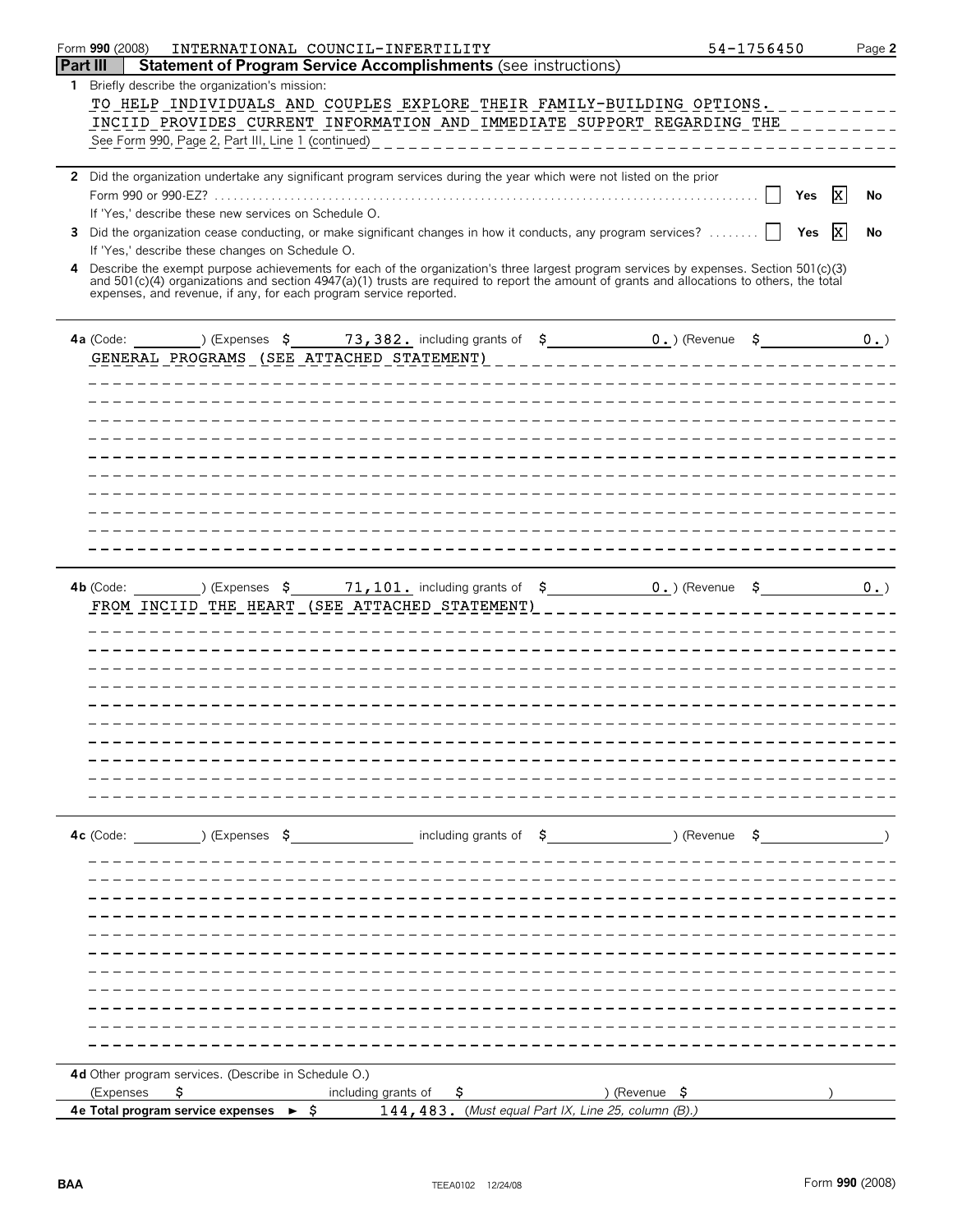|                 | Form 990 (2008)<br>INTERNATIONAL COUNCIL-INFERTILITY                                                                                                            | 54-1756450             | Page 2 |
|-----------------|-----------------------------------------------------------------------------------------------------------------------------------------------------------------|------------------------|--------|
| <b>Part III</b> | <b>Statement of Program Service Accomplishments (see instructions)</b>                                                                                          |                        |        |
| $\mathbf{1}$    | Briefly describe the organization's mission:                                                                                                                    |                        |        |
|                 | TO HELP INDIVIDUALS AND COUPLES EXPLORE THEIR FAMILY-BUILDING OPTIONS.                                                                                          |                        |        |
|                 | INCIID PROVIDES CURRENT INFORMATION AND IMMEDIATE SUPPORT REGARDING THE                                                                                         |                        |        |
|                 | See Form 990, Page 2, Part III, Line 1 (continued)<br>----------------------------------                                                                        |                        |        |
|                 |                                                                                                                                                                 |                        |        |
|                 | 2 Did the organization undertake any significant program services during the year which were not listed on the prior                                            |                        |        |
|                 |                                                                                                                                                                 | $\mathbf{x}$<br>Yes    | No     |
|                 | If 'Yes,' describe these new services on Schedule O.                                                                                                            |                        |        |
| 3               | Did the organization cease conducting, or make significant changes in how it conducts, any program services?<br>If 'Yes,' describe these changes on Schedule O. | $\vert x \vert$<br>Yes | No     |
| 4               | Describe the exempt purpose achievements for each of the organization's three largest program services by expenses. Section 501(c)(3)                           |                        |        |
|                 | and 501(c)(4) organizations and section 4947(a)(1) trusts are required to report the amount of grants and allocations to others, the total                      |                        |        |
|                 | expenses, and revenue, if any, for each program service reported.                                                                                               |                        |        |
|                 |                                                                                                                                                                 |                        |        |
|                 | ) (Expenses $\zeta$ 73, 382. including grants of $\zeta$ 0.) (Revenue $\zeta$<br>4a (Code:                                                                      |                        | 0.     |
|                 | GENERAL PROGRAMS (SEE ATTACHED STATEMENT)                                                                                                                       |                        |        |
|                 |                                                                                                                                                                 |                        |        |
|                 |                                                                                                                                                                 |                        |        |
|                 |                                                                                                                                                                 |                        |        |
|                 |                                                                                                                                                                 |                        |        |
|                 |                                                                                                                                                                 |                        |        |
|                 |                                                                                                                                                                 |                        |        |
|                 |                                                                                                                                                                 |                        |        |
|                 |                                                                                                                                                                 |                        |        |
|                 |                                                                                                                                                                 |                        |        |
|                 |                                                                                                                                                                 |                        |        |
|                 |                                                                                                                                                                 |                        |        |
|                 | ) (Expenses $\sim$ 5 $\sim$ 71, 101. including grants of $\sim$ 5 $\sim$ 0. ) (Revenue $\sim$ 5<br>$4b$ (Code:                                                  |                        | 0.     |
|                 | FROM INCIID THE HEART (SEE ATTACHED STATEMENT)                                                                                                                  |                        |        |
|                 |                                                                                                                                                                 |                        |        |
|                 |                                                                                                                                                                 |                        |        |
|                 |                                                                                                                                                                 |                        |        |
|                 |                                                                                                                                                                 |                        |        |
|                 |                                                                                                                                                                 |                        |        |
|                 |                                                                                                                                                                 |                        |        |
|                 |                                                                                                                                                                 |                        |        |
|                 |                                                                                                                                                                 |                        |        |
|                 |                                                                                                                                                                 |                        |        |
|                 |                                                                                                                                                                 |                        |        |
|                 |                                                                                                                                                                 |                        |        |
|                 | $(1, 5)$ (Expenses $(5, 5)$ including grants of $(5, 5)$ $(8)$ $(8)$ $(8)$<br>$4c$ (Code:                                                                       |                        |        |
|                 |                                                                                                                                                                 |                        |        |
|                 |                                                                                                                                                                 |                        |        |
|                 |                                                                                                                                                                 |                        |        |
|                 |                                                                                                                                                                 |                        |        |
|                 |                                                                                                                                                                 |                        |        |
|                 |                                                                                                                                                                 |                        |        |
|                 |                                                                                                                                                                 |                        |        |
|                 |                                                                                                                                                                 |                        |        |
|                 |                                                                                                                                                                 |                        |        |
|                 |                                                                                                                                                                 |                        |        |
|                 |                                                                                                                                                                 |                        |        |
|                 | 4d Other program services. (Describe in Schedule O.)                                                                                                            |                        |        |
|                 | \$.<br>) (Revenue \$<br>(Expenses<br>including grants of<br>Ş.                                                                                                  |                        |        |
|                 | $\blacktriangleright$ $\hat{\varsigma}$<br>144, 483. (Must equal Part IX, Line 25, column $(B)$ .)<br>4e Total program service expenses                         |                        |        |
|                 |                                                                                                                                                                 |                        |        |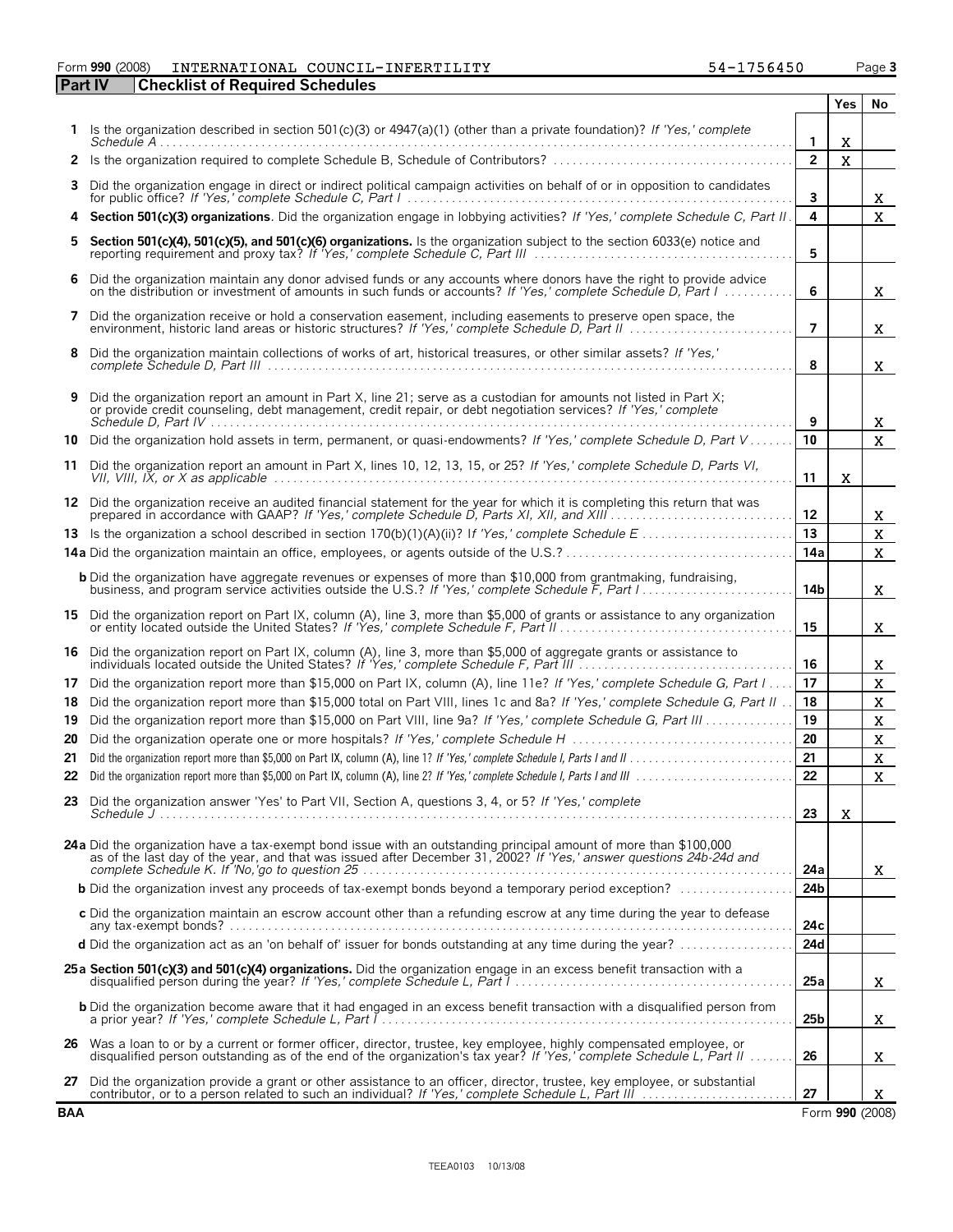#### Form **990** (2008) Page **3** INTERNATIONAL COUNCIL-INFERTILITY 54-1756450

| <b>Part IV</b> | <b>Checklist of Required Schedules</b>                                                                                                                                                                                               |                 |                    |                            |
|----------------|--------------------------------------------------------------------------------------------------------------------------------------------------------------------------------------------------------------------------------------|-----------------|--------------------|----------------------------|
|                |                                                                                                                                                                                                                                      |                 | Yes                | No                         |
|                | 1 Is the organization described in section 501(c)(3) or 4947(a)(1) (other than a private foundation)? If 'Yes,' complete                                                                                                             | 1               | X                  |                            |
| $\mathbf{2}$   | Is the organization required to complete Schedule B, Schedule of Contributors?                                                                                                                                                       | $\overline{2}$  | $\bar{\mathbf{X}}$ |                            |
| 3              | Did the organization engage in direct or indirect political campaign activities on behalf of or in opposition to candidates                                                                                                          | 3               |                    | X.                         |
| 4              | <b>Section 501(c)(3) organizations</b> . Did the organization engage in lobbying activities? If 'Yes,' complete Schedule C, Part II.                                                                                                 | 4               |                    | $\mathbf{X}$               |
| 5              | Section 501(c)(4), 501(c)(5), and 501(c)(6) organizations. Is the organization subject to the section 6033(e) notice and                                                                                                             | 5               |                    |                            |
| 6              | Did the organization maintain any donor advised funds or any accounts where donors have the right to provide advice<br>on the distribution or investment of amounts in such funds or accounts? If 'Yes,' complete Schedule D. Part I | 6               |                    | X.                         |
| 7              | Did the organization receive or hold a conservation easement, including easements to preserve open space, the<br>environment, historic land areas or historic structures? If 'Yes,' complete Schedule D, Part II                     | $\overline{7}$  |                    | X.                         |
| 8              | Did the organization maintain collections of works of art, historical treasures, or other similar assets? If 'Yes,'                                                                                                                  | 8               |                    | X.                         |
| 9              | Did the organization report an amount in Part X, line 21; serve as a custodian for amounts not listed in Part X;<br>or provide credit counseling, debt management, credit repair, or debt negotiation services? If 'Yes,' complete   | 9               |                    | X.                         |
| 10             | Did the organization hold assets in term, permanent, or quasi-endowments? If 'Yes,' complete Schedule D, Part V                                                                                                                      | 10              |                    | $\mathbf{X}$               |
| 11             | Did the organization report an amount in Part X, lines 10, 12, 13, 15, or 25? If 'Yes,' complete Schedule D, Parts VI,                                                                                                               | 11              | X                  |                            |
|                | 12 Did the organization receive an audited financial statement for the year for which it is completing this return that was                                                                                                          | 12              |                    | X.                         |
|                |                                                                                                                                                                                                                                      | 13              |                    | $\mathbf X$                |
|                |                                                                                                                                                                                                                                      | 14a             |                    | $\mathbf X$                |
|                | <b>b</b> Did the organization have aggregate revenues or expenses of more than \$10,000 from grantmaking, fundraising,<br>business, and program service activities outside the U.S.? If 'Yes,' complete Schedule F, Part I.          | 14b             |                    | X.                         |
| 15.            | Did the organization report on Part IX, column (A), line 3, more than \$5,000 of grants or assistance to any organization                                                                                                            | 15              |                    | X.                         |
| 16             | Did the organization report on Part IX, column (A), line 3, more than \$5,000 of aggregate grants or assistance to<br>individuals located outside the United States? If 'Yes,' complete Schedule F, Part III                         | 16              |                    | X.                         |
| 17             | Did the organization report more than \$15,000 on Part IX, column (A), line 11e? If 'Yes,' complete Schedule G, Part I                                                                                                               | 17              |                    | $\mathbf X$                |
| 18             | Did the organization report more than \$15,000 total on Part VIII, lines 1c and 8a? If 'Yes,' complete Schedule G, Part II.                                                                                                          | 18              |                    | $\mathbf X$                |
| 19             | Did the organization report more than \$15,000 on Part VIII, line 9a? If 'Yes,' complete Schedule G, Part III                                                                                                                        | 19              |                    | $\mathbf X$                |
| 20<br>21       | Did the organization operate one or more hospitals? If 'Yes,' complete Schedule H                                                                                                                                                    | 20<br>21        |                    | $\mathbf X$<br>$\mathbf X$ |
|                |                                                                                                                                                                                                                                      | $\overline{22}$ |                    | $\bar{\mathbf{X}}$         |
| 23             | Did the organization answer 'Yes' to Part VII, Section A, questions 3, 4, or 5? If 'Yes,' complete                                                                                                                                   | 23              | X                  |                            |
|                |                                                                                                                                                                                                                                      |                 |                    |                            |
|                | 24a Did the organization have a tax-exempt bond issue with an outstanding principal amount of more than \$100,000 as of the last day of the year, and that was issued after December 31, 2002? If 'Yes,' answer questions 24b-2      | 24a             |                    | X.                         |
|                | <b>b</b> Did the organization invest any proceeds of tax-exempt bonds beyond a temporary period exception?                                                                                                                           | 24b             |                    |                            |
|                | c Did the organization maintain an escrow account other than a refunding escrow at any time during the year to defease                                                                                                               | 24c             |                    |                            |
|                | d Did the organization act as an 'on behalf of' issuer for bonds outstanding at any time during the year?                                                                                                                            | 24d             |                    |                            |
|                | 25a Section 501(c)(3) and 501(c)(4) organizations. Did the organization engage in an excess benefit transaction with a<br>disqualified person during the year? If 'Yes,' complete Schedule L, Part 1                                 | 25a             |                    | X.                         |
|                | b Did the organization become aware that it had engaged in an excess benefit transaction with a disqualified person from                                                                                                             | 25 <sub>b</sub> |                    | x.                         |
|                | 26 Was a loan to or by a current or former officer, director, trustee, key employee, highly compensated employee, or disqualified person outstanding as of the end of the organization's tax year? If 'Yes,' complete Schedule       | 26              |                    | x.                         |
| 27             | Did the organization provide a grant or other assistance to an officer, director, trustee, key employee, or substantial                                                                                                              | 27              |                    | X.                         |
| <b>BAA</b>     |                                                                                                                                                                                                                                      |                 |                    | Form 990 (2008)            |

| 54-1756450 | Page 3 |
|------------|--------|
|            |        |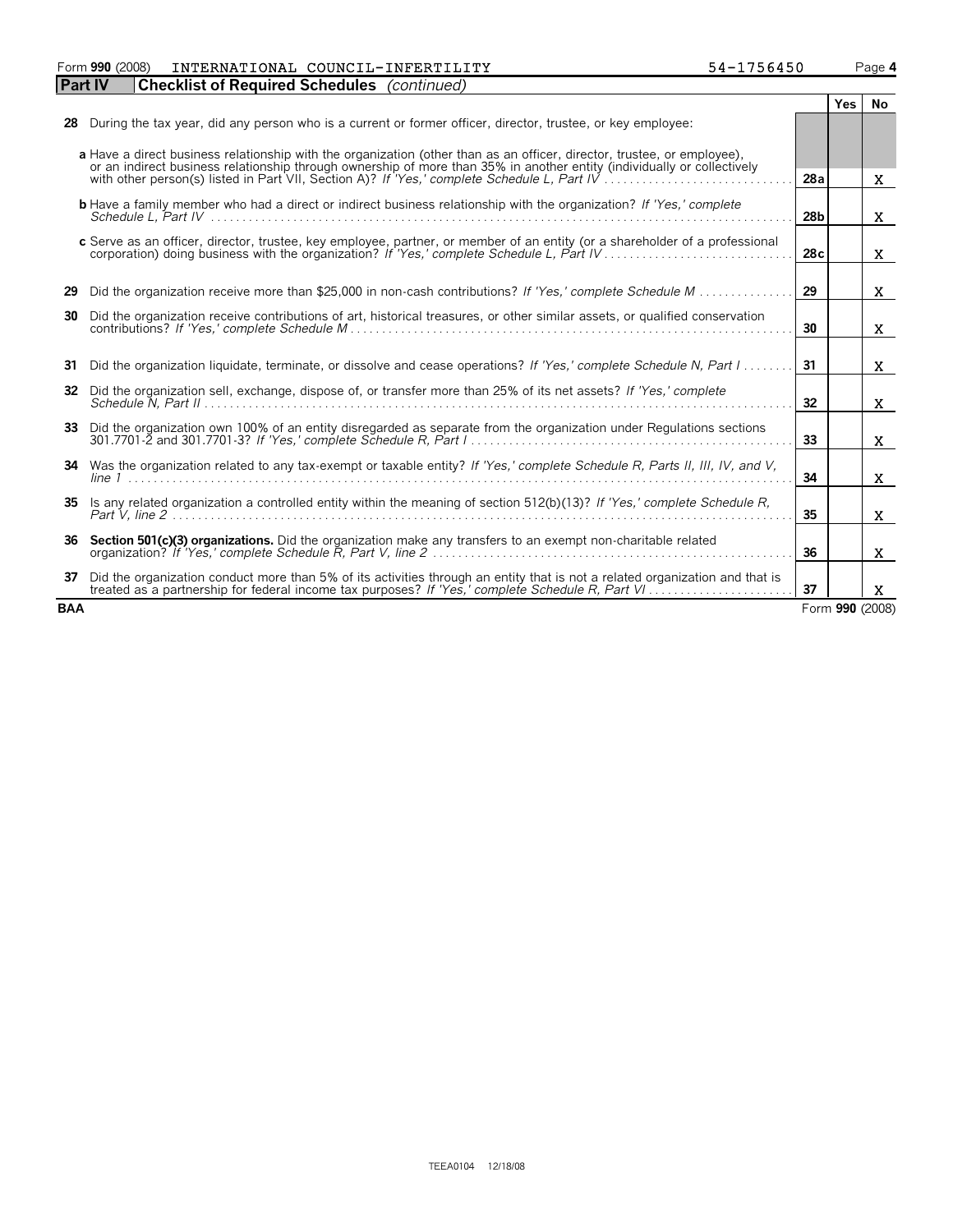Form **990** (2008) Page **4** INTERNATIONAL COUNCIL-INFERTILITY 54-1756450

| <b>Part IV</b> | <b>Checklist of Required Schedules</b> (continued)                                                                                                                                                                                                                                                                                                |                 |            |                 |
|----------------|---------------------------------------------------------------------------------------------------------------------------------------------------------------------------------------------------------------------------------------------------------------------------------------------------------------------------------------------------|-----------------|------------|-----------------|
|                |                                                                                                                                                                                                                                                                                                                                                   |                 | <b>Yes</b> | No              |
| 28             | During the tax year, did any person who is a current or former officer, director, trustee, or key employee:                                                                                                                                                                                                                                       |                 |            |                 |
|                | a Have a direct business relationship with the organization (other than as an officer, director, trustee, or employee).<br>or an indirect business relationship through ownership of more than 35% in another entity (individually or collectively<br>with other person(s) listed in Part VII, Section A)? If 'Yes,' complete Schedule L, Part IV | 28a             |            | X.              |
|                | <b>b</b> Have a family member who had a direct or indirect business relationship with the organization? If 'Yes,' complete                                                                                                                                                                                                                        | 28 <sub>b</sub> |            | X.              |
|                | c Serve as an officer, director, trustee, key employee, partner, or member of an entity (or a shareholder of a professional                                                                                                                                                                                                                       | 28c             |            | X.              |
| 29             | Did the organization receive more than \$25,000 in non-cash contributions? If 'Yes,' complete Schedule M                                                                                                                                                                                                                                          | 29              |            | X.              |
| 30             | Did the organization receive contributions of art, historical treasures, or other similar assets, or qualified conservation                                                                                                                                                                                                                       | 30              |            | X.              |
| 31             | Did the organization liquidate, terminate, or dissolve and cease operations? If 'Yes,' complete Schedule N, Part I                                                                                                                                                                                                                                | 31              |            | X.              |
| 32             | Did the organization sell, exchange, dispose of, or transfer more than 25% of its net assets? If 'Yes,' complete                                                                                                                                                                                                                                  | 32              |            | X.              |
| 33             | Did the organization own 100% of an entity disregarded as separate from the organization under Regulations sections                                                                                                                                                                                                                               | 33              |            | $\mathbf{x}$    |
| 34             | Was the organization related to any tax-exempt or taxable entity? If 'Yes,' complete Schedule R, Parts II, III, IV, and V,                                                                                                                                                                                                                        | 34              |            | X.              |
| 35             | Is any related organization a controlled entity within the meaning of section 512(b)(13)? If 'Yes,' complete Schedule R,                                                                                                                                                                                                                          | 35              |            | X               |
| 36             | Section 501(c)(3) organizations. Did the organization make any transfers to an exempt non-charitable related                                                                                                                                                                                                                                      | 36              |            | X.              |
| 37             | Did the organization conduct more than 5% of its activities through an entity that is not a related organization and that is<br>treated as a partnership for federal income tax purposes? If 'Yes,' complete Schedule R, Part VI                                                                                                                  | 37              |            | X               |
| <b>BAA</b>     |                                                                                                                                                                                                                                                                                                                                                   |                 |            | Form 990 (2008) |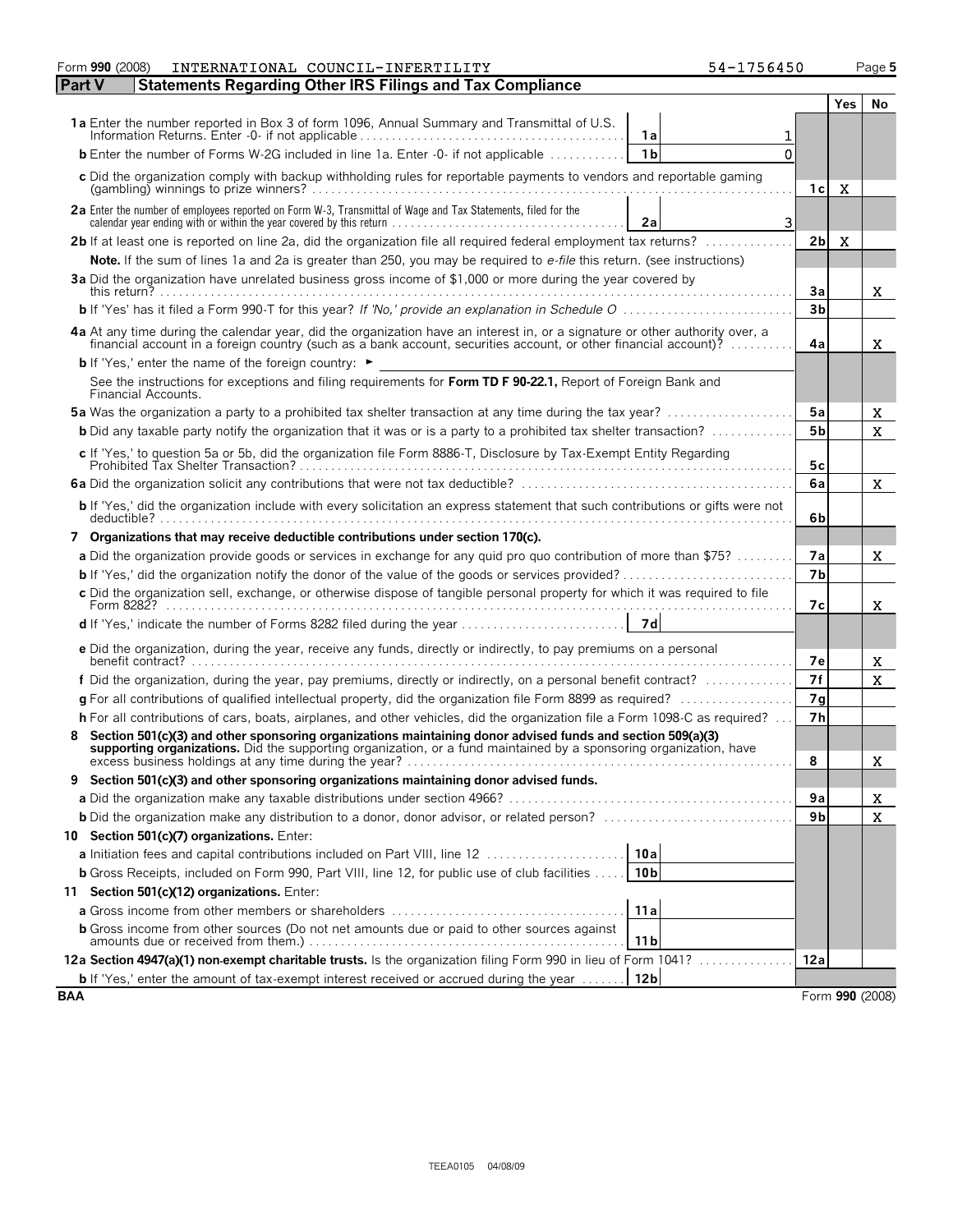|            | Form 990 (2008)<br>INTERNATIONAL COUNCIL-INFERTILITY<br>54-1756450                                                                                                                                                             |                |     |                 |
|------------|--------------------------------------------------------------------------------------------------------------------------------------------------------------------------------------------------------------------------------|----------------|-----|-----------------|
| Part V     | <b>Statements Regarding Other IRS Filings and Tax Compliance</b>                                                                                                                                                               |                |     |                 |
|            |                                                                                                                                                                                                                                |                | Yes | No              |
|            | 1a Enter the number reported in Box 3 of form 1096, Annual Summary and Transmittal of U.S.<br>1a                                                                                                                               |                |     |                 |
|            | <b>b</b> Enter the number of Forms W-2G included in line 1a. Enter -0- if not applicable<br>1 <sub>b</sub><br>$\Omega$                                                                                                         |                |     |                 |
|            | c Did the organization comply with backup withholding rules for reportable payments to vendors and reportable gaming                                                                                                           | 1с             | X   |                 |
|            | 2a Enter the number of employees reported on Form W-3, Transmittal of Wage and Tax Statements, filed for the<br>3<br>2a                                                                                                        |                |     |                 |
|            | 2b If at least one is reported on line 2a, did the organization file all required federal employment tax returns?                                                                                                              | 2 <sub>b</sub> | X   |                 |
|            | Note. If the sum of lines 1a and 2a is greater than 250, you may be required to e-file this return. (see instructions)                                                                                                         |                |     |                 |
|            | 3a Did the organization have unrelated business gross income of \$1,000 or more during the year covered by                                                                                                                     | 3a             |     | X.              |
|            |                                                                                                                                                                                                                                | 3 <sub>b</sub> |     |                 |
|            | 4a At any time during the calendar year, did the organization have an interest in, or a signature or other authority over, a financial account in a foreign country (such as a bank account, securities account, or other fina | 4a             |     | x               |
|            | <b>b</b> If 'Yes,' enter the name of the foreign country: ►                                                                                                                                                                    |                |     |                 |
|            | See the instructions for exceptions and filing requirements for Form TD F 90-22.1, Report of Foreign Bank and<br>Financial Accounts.                                                                                           |                |     |                 |
|            | <b>5a</b> Was the organization a party to a prohibited tax shelter transaction at any time during the tax year?                                                                                                                | 5a             |     | X.              |
|            | <b>b</b> Did any taxable party notify the organization that it was or is a party to a prohibited tax shelter transaction?                                                                                                      | 5 <sub>b</sub> |     | $\mathbf{X}$    |
|            | c If 'Yes,' to question 5a or 5b, did the organization file Form 8886-T, Disclosure by Tax-Exempt Entity Regarding                                                                                                             | 5c             |     |                 |
|            |                                                                                                                                                                                                                                | 6a             |     | X.              |
|            | b If 'Yes,' did the organization include with every solicitation an express statement that such contributions or gifts were not                                                                                                | 6b             |     |                 |
|            | 7 Organizations that may receive deductible contributions under section 170(c).                                                                                                                                                |                |     |                 |
|            | a Did the organization provide goods or services in exchange for any quid pro quo contribution of more than \$75?                                                                                                              | 7а             |     | X.              |
|            |                                                                                                                                                                                                                                | 7 <sub>b</sub> |     |                 |
|            | c Did the organization sell, exchange, or otherwise dispose of tangible personal property for which it was required to file                                                                                                    |                |     |                 |
|            | 7d                                                                                                                                                                                                                             | 7с             |     | X.              |
|            | e Did the organization, during the year, receive any funds, directly or indirectly, to pay premiums on a personal                                                                                                              |                |     |                 |
|            | benefit contract? $\ldots$ . $\ldots$ . $\ldots$ . $\ldots$ . $\ldots$ . $\ldots$ . $\ldots$ . $\ldots$ . $\ldots$ . $\ldots$ . $\ldots$ . $\ldots$ . $\ldots$ . $\ldots$ . $\ldots$ . $\ldots$                                | 7e             |     | X               |
|            | f Did the organization, during the year, pay premiums, directly or indirectly, on a personal benefit contract?                                                                                                                 | 7f             |     | $\mathbf{X}$    |
|            | g For all contributions of qualified intellectual property, did the organization file Form 8899 as required?                                                                                                                   | 7g             |     |                 |
|            | h For all contributions of cars, boats, airplanes, and other vehicles, did the organization file a Form 1098-C as required?                                                                                                    | 7 <sub>h</sub> |     |                 |
|            | Section 501(c)(3) and other sponsoring organizations maintaining donor advised funds and section 509(a)(3) supporting organizations. Did the supporting organization, or a fund maintained by a sponsoring organization, have  | 8              |     | X               |
| 9          | Section 501(c)(3) and other sponsoring organizations maintaining donor advised funds.                                                                                                                                          |                |     |                 |
|            |                                                                                                                                                                                                                                | 9а             |     | X               |
|            |                                                                                                                                                                                                                                | 9b             |     | X               |
|            | 10 Section 501(c)(7) organizations. Enter:                                                                                                                                                                                     |                |     |                 |
|            | 10a<br>a Initiation fees and capital contributions included on Part VIII, line 12                                                                                                                                              |                |     |                 |
|            | 10 <sub>b</sub><br><b>b</b> Gross Receipts, included on Form 990, Part VIII, line 12, for public use of club facilities                                                                                                        |                |     |                 |
|            | 11 Section 501(c)(12) organizations. Enter:                                                                                                                                                                                    |                |     |                 |
|            | 11a                                                                                                                                                                                                                            |                |     |                 |
|            | <b>b</b> Gross income from other sources (Do not net amounts due or paid to other sources against<br>11 <sub>b</sub>                                                                                                           |                |     |                 |
|            | 12a Section 4947(a)(1) non-exempt charitable trusts. Is the organization filing Form 990 in lieu of Form 1041?                                                                                                                 | 12a            |     |                 |
|            | 12 <sub>b</sub><br><b>b</b> If 'Yes,' enter the amount of tax-exempt interest received or accrued during the year                                                                                                              |                |     |                 |
| <b>BAA</b> |                                                                                                                                                                                                                                |                |     | Form 990 (2008) |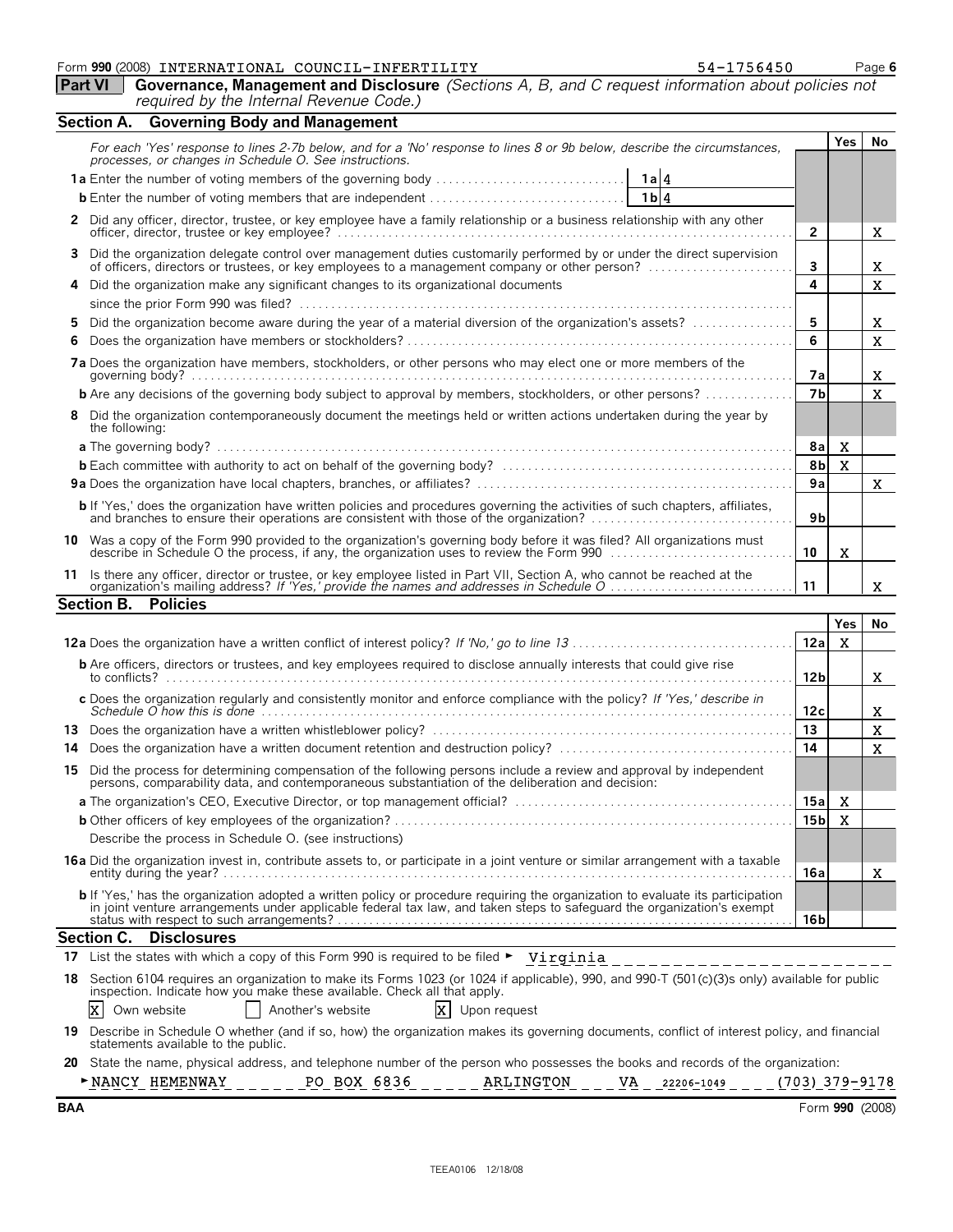#### Form **990** (2008) Page **6** INTERNATIONAL COUNCIL-INFERTILITY 54-1756450

| L-INFERTILITY | 54-1756450     |
|---------------|----------------|
|               | $\mathsf{Dic}$ |

|     | <b>Part VI</b>   Governance, Management and Disclosure (Sections A, B, and C request information about policies not |  |
|-----|---------------------------------------------------------------------------------------------------------------------|--|
|     | required by the Internal Revenue Code.)                                                                             |  |
| - - |                                                                                                                     |  |

|    | Section A. Governing Body and Management                                                                                                                                                                               |                |              |              |
|----|------------------------------------------------------------------------------------------------------------------------------------------------------------------------------------------------------------------------|----------------|--------------|--------------|
|    | For each 'Yes' response to lines 2-7b below, and for a 'No' response to lines 8 or 9b below, describe the circumstances,<br>processes, or changes in Schedule O. See instructions.                                     |                | <b>Yes</b>   | No.          |
|    |                                                                                                                                                                                                                        |                |              |              |
|    |                                                                                                                                                                                                                        |                |              |              |
|    | 2 Did any officer, director, trustee, or key employee have a family relationship or a business relationship with any other<br>officer, director, trustee or key employee?                                              | $\overline{2}$ |              | X            |
| 3  | Did the organization delegate control over management duties customarily performed by or under the direct supervision<br>of officers, directors or trustees, or key employees to a management company or other person? | 3              |              | X            |
|    | 4 Did the organization make any significant changes to its organizational documents                                                                                                                                    | 4              |              | X            |
|    |                                                                                                                                                                                                                        |                |              |              |
| 5. | Did the organization become aware during the year of a material diversion of the organization's assets?                                                                                                                | 5              |              | X            |
| 6  |                                                                                                                                                                                                                        | 6              |              | X            |
|    | 7a Does the organization have members, stockholders, or other persons who may elect one or more members of the                                                                                                         | 7а             |              | x            |
|    | <b>b</b> Are any decisions of the governing body subject to approval by members, stockholders, or other persons?                                                                                                       | 7 <sub>h</sub> |              | X            |
| 8  | Did the organization contemporaneously document the meetings held or written actions undertaken during the year by<br>the following:                                                                                   |                |              |              |
|    |                                                                                                                                                                                                                        | 8a             | $\mathbf{x}$ |              |
|    |                                                                                                                                                                                                                        | 8 <sub>b</sub> | X            |              |
|    |                                                                                                                                                                                                                        | 9a             |              | $\mathbf{x}$ |
|    | <b>b</b> If 'Yes,' does the organization have written policies and procedures governing the activities of such chapters, affiliates,                                                                                   | 9 <sub>b</sub> |              |              |
|    | 10 Was a copy of the Form 990 provided to the organization's governing body before it was filed? All organizations must<br>describe in Schedule O the process, if any, the organization uses to review the Form 990    | 10             | X            |              |
|    | Is there any officer, director or trustee, or key employee listed in Part VII, Section A, who cannot be reached at the                                                                                                 | 11             |              | X            |
|    | <b>Policies</b><br><b>Section B.</b>                                                                                                                                                                                   |                |              |              |
|    |                                                                                                                                                                                                                        |                | Yes          | <b>No</b>    |

|                                                                                                                                                                                                                                                                              |       | 155 | <b>IVU</b> |
|------------------------------------------------------------------------------------------------------------------------------------------------------------------------------------------------------------------------------------------------------------------------------|-------|-----|------------|
|                                                                                                                                                                                                                                                                              | 12a   | X.  |            |
| <b>b</b> Are officers, directors or trustees, and key employees required to disclose annually interests that could give rise                                                                                                                                                 | 12 bl |     | X          |
| c Does the organization regularly and consistently monitor and enforce compliance with the policy? If 'Yes,' describe in<br>Schedule O how this is done $\ldots$ $\ldots$ $\ldots$ $\ldots$ $\ldots$ $\ldots$ $\ldots$ $\ldots$ $\ldots$ $\ldots$ $\ldots$ $\ldots$ $\ldots$ | 12c   |     | x          |
| 13                                                                                                                                                                                                                                                                           | 13    |     | x          |
| 14                                                                                                                                                                                                                                                                           | 14    |     | X          |
| Did the process for determining compensation of the following persons include a review and approval by independent<br>15<br>persons, comparability data, and contemporaneous substantiation of the deliberation and decision:                                                |       |     |            |
|                                                                                                                                                                                                                                                                              | 15a   | X   |            |
|                                                                                                                                                                                                                                                                              |       | X.  |            |
| Describe the process in Schedule O. (see instructions)                                                                                                                                                                                                                       |       |     |            |
| <b>16a</b> Did the organization invest in, contribute assets to, or participate in a joint venture or similar arrangement with a taxable                                                                                                                                     |       |     |            |
|                                                                                                                                                                                                                                                                              | 16a l |     | x          |
| <b>b</b> If 'Yes,' has the organization adopted a written policy or procedure requiring the organization to evaluate its participation in joint venture arrangements under applicable federal tax law, and taken steps to safeguard                                          |       |     |            |
|                                                                                                                                                                                                                                                                              | 16 bl |     |            |
| Section C. Disclosures                                                                                                                                                                                                                                                       |       |     |            |

| 17 List the states with which a copy of this Form 990 is required to be filed $\blacktriangleright$ Virginia                                                                                                               |
|----------------------------------------------------------------------------------------------------------------------------------------------------------------------------------------------------------------------------|
| 18 Section 6104 requires an organization to make its Forms 1023 (or 1024 if applicable), 990, and 990-T (501(c)(3)s only) available for public<br>inspection. Indicate how you make these available. Check all that apply. |
| $\overline{X}$ Upon request<br>$X$ Own website<br>Another's website                                                                                                                                                        |
| 19 Describe in Schedule O whether (and if so, how) the organization makes its governing documents, conflict of interest policy, and financial<br>statements available to the public.                                       |
| 20 State the name, physical address, and telephone number of the person who possesses the books and records of the organization:                                                                                           |
| PO BOX 6836<br>(703) 379-9178<br>NANCY HEMENWAY<br>ARLINGTON<br>VA<br>22206-1049                                                                                                                                           |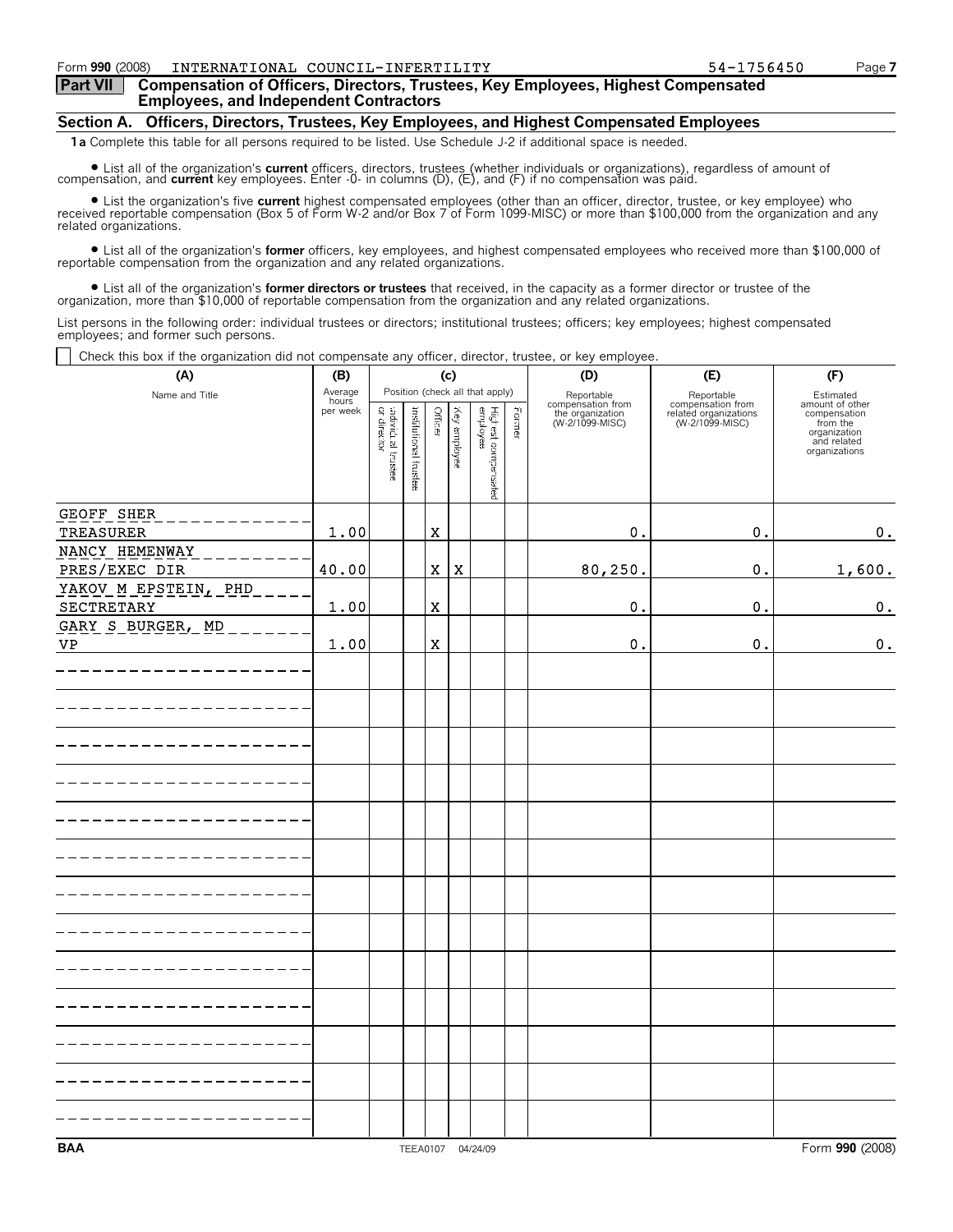#### Form **990** (2008) INTERNATIONAL COUNCIL-INFERTILITY 54-1756450 Page **7**

**Part VII Compensation of Officers, Directors, Trustees, Key Employees, Highest Compensated Employees, and Independent Contractors**

#### **Section A. Officers, Directors, Trustees, Key Employees, and Highest Compensated Employees**

**1a** Complete this table for all persons required to be listed. Use Schedule J-2 if additional space is needed.

■ List all of the organization's current officers, directors, trustees (whether individuals or organizations), regardless of amount of<br>Compensation, and current key employees. Enter -0- in columns (D), (E), and (F) if no

? List the organization's five **current** highest compensated employees (other than an officer, director, trustee, or key employee) who received reportable compensation (Box 5 of Form W-2 and/or Box 7 of Form 1099-MISC) or more than \$100,000 from the organization and any related organizations.

? List all of the organization's **former** officers, key employees, and highest compensated employees who received more than \$100,000 of reportable compensation from the organization and any related organizations.

• List all of the organization's former directors or trustees that received, in the capacity as a former director or trustee of the organization, more than \$10,000 of reportable compensation from the organization and any

List persons in the following order: individual trustees or directors; institutional trustees; officers; key employees; highest compensated employees; and former such persons.

 $\Box$  Check this box if the organization did not compensate any officer, director, trustee, or key employee.

| Uncent this box in the organization ald not compensate any Unicer, ancetor, trastee, or ney chipioyee.<br>(A) | (B)              | (c)                              |                       |             |              |                                 |        | (D)                                 | (E)                                      | (F)                                                                      |
|---------------------------------------------------------------------------------------------------------------|------------------|----------------------------------|-----------------------|-------------|--------------|---------------------------------|--------|-------------------------------------|------------------------------------------|--------------------------------------------------------------------------|
| Name and Title                                                                                                | Average<br>hours |                                  |                       |             |              | Position (check all that apply) |        | Reportable<br>compensation from     | Reportable<br>compensation from          | Estimated<br>amount of other                                             |
|                                                                                                               | per week         | adividual trustee<br>or director | institutional feustee | Officer     | Key amployee | Highest compensated<br>employee | Former | the organization<br>(W-2/1099-MISC) | related organizations<br>(W-2/1099-MISC) | compensation<br>from the<br>organization<br>and related<br>organizations |
| GEOFF SHER                                                                                                    |                  |                                  |                       |             |              |                                 |        |                                     |                                          |                                                                          |
| TREASURER                                                                                                     | 1.00             |                                  |                       | $\mathbf X$ |              |                                 |        | 0.                                  | $\mathsf{o}\,.$                          | 0.                                                                       |
| NANCY HEMENWAY<br>PRES/EXEC DIR                                                                               | 40.00            |                                  |                       | $\mathbf X$ | $\mathbf X$  |                                 |        | 80, 250.                            | $\mathbf 0$ .                            | 1,600.                                                                   |
| YAKOV M EPSTEIN, PHD<br>SECTRETARY                                                                            | 1.00             |                                  |                       | $\mathbf X$ |              |                                 |        | 0.                                  | 0.                                       | $\mathbf 0$ .                                                            |
| GARY S_BURGER, MD                                                                                             |                  |                                  |                       |             |              |                                 |        |                                     |                                          |                                                                          |
| <b>VP</b>                                                                                                     | 1.00             |                                  |                       | $\mathbf x$ |              |                                 |        | 0.                                  | 0.                                       | $\mathbf 0$ .                                                            |
|                                                                                                               |                  |                                  |                       |             |              |                                 |        |                                     |                                          |                                                                          |
|                                                                                                               |                  |                                  |                       |             |              |                                 |        |                                     |                                          |                                                                          |
|                                                                                                               |                  |                                  |                       |             |              |                                 |        |                                     |                                          |                                                                          |
|                                                                                                               |                  |                                  |                       |             |              |                                 |        |                                     |                                          |                                                                          |
|                                                                                                               |                  |                                  |                       |             |              |                                 |        |                                     |                                          |                                                                          |
|                                                                                                               |                  |                                  |                       |             |              |                                 |        |                                     |                                          |                                                                          |
|                                                                                                               |                  |                                  |                       |             |              |                                 |        |                                     |                                          |                                                                          |
|                                                                                                               |                  |                                  |                       |             |              |                                 |        |                                     |                                          |                                                                          |
|                                                                                                               |                  |                                  |                       |             |              |                                 |        |                                     |                                          |                                                                          |
|                                                                                                               |                  |                                  |                       |             |              |                                 |        |                                     |                                          |                                                                          |
|                                                                                                               |                  |                                  |                       |             |              |                                 |        |                                     |                                          |                                                                          |
|                                                                                                               |                  |                                  |                       |             |              |                                 |        |                                     |                                          |                                                                          |
|                                                                                                               |                  |                                  |                       |             |              |                                 |        |                                     |                                          |                                                                          |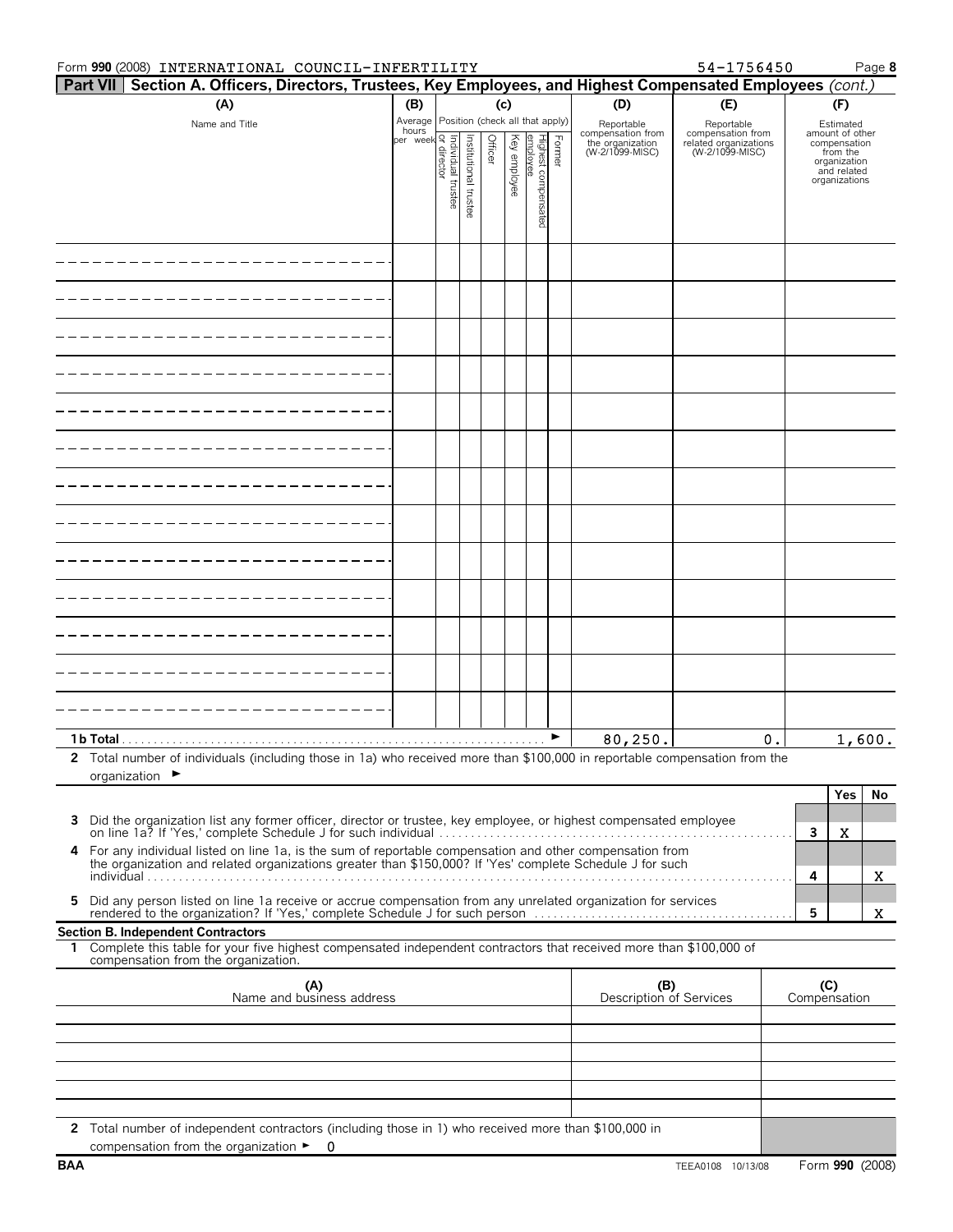|              | Form 990 (2008) INTERNATIONAL COUNCIL-INFERTILITY                                                                                                                                                                   |                                                                                                                                         |                       |         |              |                                   |        |                                                                        | 54-1756450                                                                  |                     |                                                                                                          | Page 8 |
|--------------|---------------------------------------------------------------------------------------------------------------------------------------------------------------------------------------------------------------------|-----------------------------------------------------------------------------------------------------------------------------------------|-----------------------|---------|--------------|-----------------------------------|--------|------------------------------------------------------------------------|-----------------------------------------------------------------------------|---------------------|----------------------------------------------------------------------------------------------------------|--------|
|              | Part VII   Section A. Officers, Directors, Trustees, Key Employees, and Highest Compensated Employees (cont.)                                                                                                       |                                                                                                                                         |                       |         |              |                                   |        |                                                                        |                                                                             |                     |                                                                                                          |        |
|              | (A)                                                                                                                                                                                                                 | (B)                                                                                                                                     |                       |         | (c)          |                                   |        | (D)                                                                    | (E)                                                                         |                     | (F)                                                                                                      |        |
|              | Name and Title                                                                                                                                                                                                      | Average Position (check all that apply)<br>hours<br>  rudividual true<br>  video difference<br>  video difference<br>  video difference | Institutional trustee | Officer | Key employee | Highest compen<br>emplovee<br>ନ୍ମ | Former | Reportable<br>compensation from<br>the organization<br>(W-2/1099-MISC) | Reportable<br>compensation from<br>related organizations<br>(W-2/1099-MISC) |                     | Estimated<br>amount of other<br>compensation<br>from the<br>organization<br>and related<br>organizations |        |
|              |                                                                                                                                                                                                                     |                                                                                                                                         |                       |         |              |                                   |        |                                                                        |                                                                             |                     |                                                                                                          |        |
|              |                                                                                                                                                                                                                     |                                                                                                                                         |                       |         |              |                                   |        |                                                                        |                                                                             |                     |                                                                                                          |        |
|              |                                                                                                                                                                                                                     |                                                                                                                                         |                       |         |              |                                   |        |                                                                        |                                                                             |                     |                                                                                                          |        |
|              |                                                                                                                                                                                                                     |                                                                                                                                         |                       |         |              |                                   |        |                                                                        |                                                                             |                     |                                                                                                          |        |
|              |                                                                                                                                                                                                                     |                                                                                                                                         |                       |         |              |                                   |        |                                                                        |                                                                             |                     |                                                                                                          |        |
|              |                                                                                                                                                                                                                     |                                                                                                                                         |                       |         |              |                                   |        |                                                                        |                                                                             |                     |                                                                                                          |        |
|              |                                                                                                                                                                                                                     |                                                                                                                                         |                       |         |              |                                   |        |                                                                        |                                                                             |                     |                                                                                                          |        |
|              |                                                                                                                                                                                                                     |                                                                                                                                         |                       |         |              |                                   |        |                                                                        |                                                                             |                     |                                                                                                          |        |
|              |                                                                                                                                                                                                                     |                                                                                                                                         |                       |         |              |                                   |        |                                                                        |                                                                             |                     |                                                                                                          |        |
|              |                                                                                                                                                                                                                     |                                                                                                                                         |                       |         |              |                                   |        |                                                                        |                                                                             |                     |                                                                                                          |        |
|              |                                                                                                                                                                                                                     |                                                                                                                                         |                       |         |              |                                   |        |                                                                        |                                                                             |                     |                                                                                                          |        |
|              |                                                                                                                                                                                                                     |                                                                                                                                         |                       |         |              |                                   |        |                                                                        |                                                                             |                     |                                                                                                          |        |
|              |                                                                                                                                                                                                                     |                                                                                                                                         |                       |         |              |                                   |        |                                                                        |                                                                             |                     |                                                                                                          |        |
|              |                                                                                                                                                                                                                     |                                                                                                                                         |                       |         |              |                                   |        | 80,250.                                                                | 0.                                                                          |                     |                                                                                                          | 1,600. |
| $\mathbf{2}$ | Total number of individuals (including those in 1a) who received more than \$100,000 in reportable compensation from the<br>organization $\blacktriangleright$                                                      |                                                                                                                                         |                       |         |              |                                   |        |                                                                        |                                                                             |                     |                                                                                                          |        |
|              |                                                                                                                                                                                                                     |                                                                                                                                         |                       |         |              |                                   |        |                                                                        |                                                                             |                     | <b>Yes</b>                                                                                               | No     |
| 3            | Did the organization list any former officer, director or trustee, key employee, or highest compensated employee                                                                                                    |                                                                                                                                         |                       |         |              |                                   |        |                                                                        |                                                                             | 3                   | X                                                                                                        |        |
| 4            | For any individual listed on line 1a, is the sum of reportable compensation and other compensation from<br>the organization and related organizations greater than \$150,000? If 'Yes' complete Schedule J for such |                                                                                                                                         |                       |         |              |                                   |        |                                                                        |                                                                             | 4                   |                                                                                                          | X      |
| 5            | Did any person listed on line 1a receive or accrue compensation from any unrelated organization for services                                                                                                        |                                                                                                                                         |                       |         |              |                                   |        |                                                                        |                                                                             | 5                   |                                                                                                          | X.     |
|              | <b>Section B. Independent Contractors</b>                                                                                                                                                                           |                                                                                                                                         |                       |         |              |                                   |        |                                                                        |                                                                             |                     |                                                                                                          |        |
|              | 1 Complete this table for your five highest compensated independent contractors that received more than \$100,000 of<br>compensation from the organization.                                                         |                                                                                                                                         |                       |         |              |                                   |        |                                                                        |                                                                             |                     |                                                                                                          |        |
|              | (A)<br>Name and business address                                                                                                                                                                                    |                                                                                                                                         |                       |         |              |                                   |        | (B)<br>Description of Services                                         |                                                                             | (C)<br>Compensation |                                                                                                          |        |
|              |                                                                                                                                                                                                                     |                                                                                                                                         |                       |         |              |                                   |        |                                                                        |                                                                             |                     |                                                                                                          |        |
|              |                                                                                                                                                                                                                     |                                                                                                                                         |                       |         |              |                                   |        |                                                                        |                                                                             |                     |                                                                                                          |        |
|              |                                                                                                                                                                                                                     |                                                                                                                                         |                       |         |              |                                   |        |                                                                        |                                                                             |                     |                                                                                                          |        |
|              |                                                                                                                                                                                                                     |                                                                                                                                         |                       |         |              |                                   |        |                                                                        |                                                                             |                     |                                                                                                          |        |
|              | 2 Total number of independent contractors (including those in 1) who received more than \$100,000 in                                                                                                                |                                                                                                                                         |                       |         |              |                                   |        |                                                                        |                                                                             |                     |                                                                                                          |        |
|              | compensation from the organization $\blacktriangleright$ 0                                                                                                                                                          |                                                                                                                                         |                       |         |              |                                   |        |                                                                        |                                                                             |                     |                                                                                                          |        |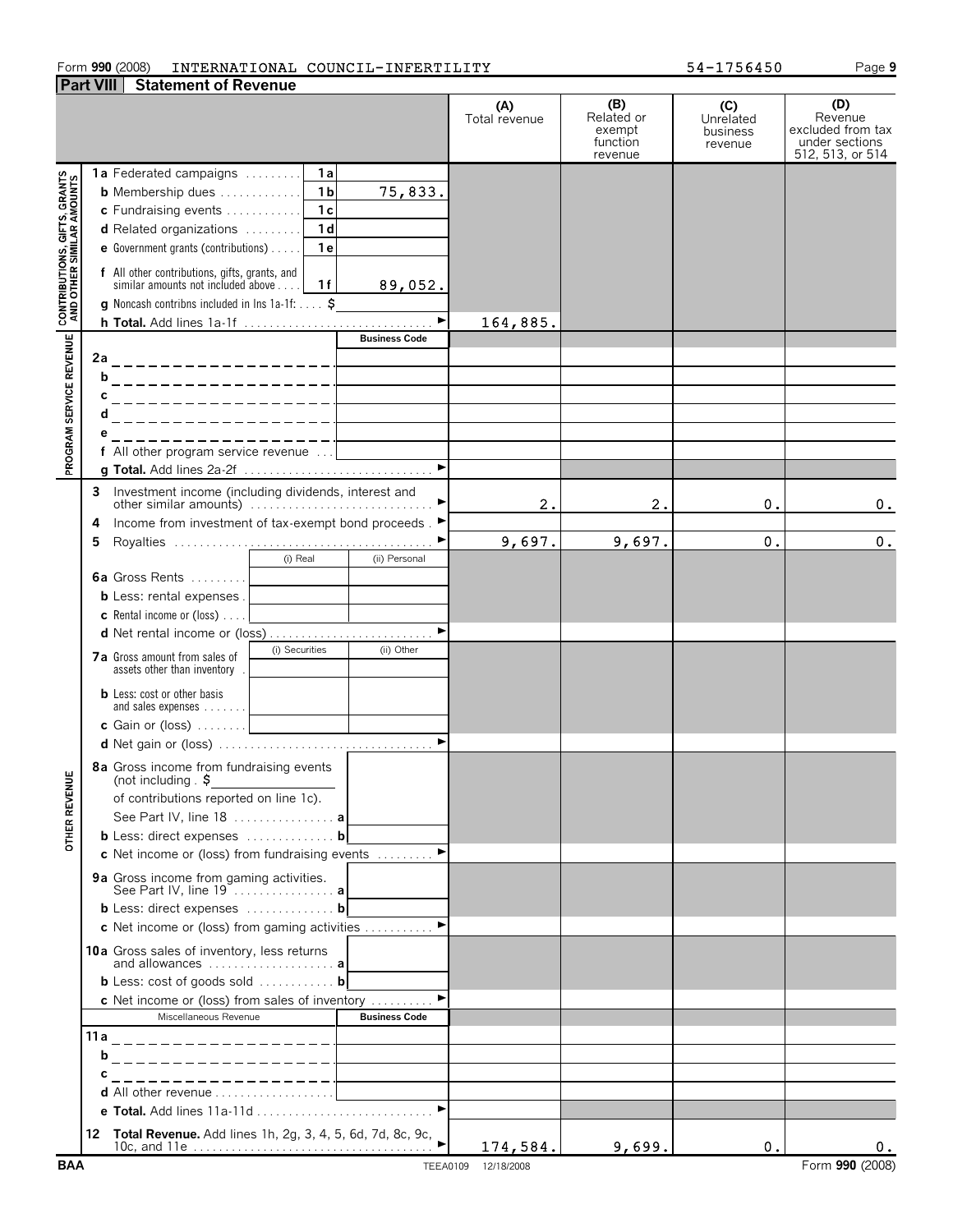#### Form **990** (2008) INTERNATIONAL COUNCIL-INFERTILITY 54-1756450 Page 9 **Part VIII Statement of Revenue**

**1a** Federated campaigns . . . . . . . . . **1 a b** Membership dues . . . . . . . . . . . . . **1b**

**(A)** Total revenue **(B)** Related or exempt function revenue **(C)** Unrelated business revenue **(D)** Revenue excluded from tax under sections 512, 513, or 514 164,885.

|                                                          |        | <b>1a</b> Federated campaigns                                                                        | 1 a            |                                              |            |        |    |                 |
|----------------------------------------------------------|--------|------------------------------------------------------------------------------------------------------|----------------|----------------------------------------------|------------|--------|----|-----------------|
|                                                          |        | <b>b</b> Membership dues                                                                             | 1 <sub>b</sub> | 75,833.                                      |            |        |    |                 |
|                                                          |        | c Fundraising events                                                                                 | 1c             |                                              |            |        |    |                 |
|                                                          |        | d Related organizations                                                                              | 1d             |                                              |            |        |    |                 |
|                                                          |        | <b>e</b> Government grants (contributions) $\ldots$                                                  | 1e             |                                              |            |        |    |                 |
| <b>PROGRAM SERVICE REVENUE AND OTHER SIMILAR AMOUNTS</b> |        | <b>f</b> All other contributions, gifts, grants, and<br>similar amounts not included above <b>16</b> |                | 89,052.                                      |            |        |    |                 |
|                                                          |        | <b>g</b> Noncash contribns included in Ins $1a-1f: \ldots$ \$                                        |                |                                              |            |        |    |                 |
|                                                          |        | h Total. Add lines 1a-1f                                                                             |                |                                              | 164,885.   |        |    |                 |
|                                                          |        |                                                                                                      |                | <b>Business Code</b>                         |            |        |    |                 |
|                                                          |        |                                                                                                      |                |                                              |            |        |    |                 |
|                                                          |        | <u>b____________________</u>                                                                         |                |                                              |            |        |    |                 |
|                                                          | C<br>d | ___________________                                                                                  |                |                                              |            |        |    |                 |
|                                                          |        | -------------------                                                                                  |                |                                              |            |        |    |                 |
|                                                          |        | __________________<br>f All other program service revenue                                            |                |                                              |            |        |    |                 |
|                                                          |        |                                                                                                      |                |                                              |            |        |    |                 |
|                                                          |        |                                                                                                      |                |                                              |            |        |    |                 |
|                                                          | 3      | Investment income (including dividends, interest and<br>other similar amounts)                       |                |                                              | 2.         | 2.     | 0. | 0.              |
|                                                          | 4      | Income from investment of tax-exempt bond proceeds. ►                                                |                |                                              |            |        |    |                 |
|                                                          | 5      |                                                                                                      |                |                                              | 9,697.     | 9,697. | 0. | 0.              |
|                                                          |        | (i) Real                                                                                             |                | (ii) Personal                                |            |        |    |                 |
|                                                          |        | <b>6a</b> Gross Rents                                                                                |                | the control of the control of the control of |            |        |    |                 |
|                                                          |        | <b>b</b> Less: rental expenses.                                                                      |                |                                              |            |        |    |                 |
|                                                          |        |                                                                                                      |                |                                              |            |        |    |                 |
|                                                          |        |                                                                                                      |                |                                              |            |        |    |                 |
|                                                          |        | (i) Securities<br>7a Gross amount from sales of<br>assets other than inventory.                      |                | (ii) Other                                   |            |        |    |                 |
|                                                          |        | <b>b</b> Less: cost or other basis                                                                   |                |                                              |            |        |    |                 |
|                                                          |        |                                                                                                      |                |                                              |            |        |    |                 |
|                                                          |        |                                                                                                      |                |                                              |            |        |    |                 |
| OTHER REVENUE                                            |        | 8a Gross income from fundraising events<br>(not including $\sqrt{5}$                                 |                |                                              |            |        |    |                 |
|                                                          |        | of contributions reported on line 1c).                                                               |                |                                              |            |        |    |                 |
|                                                          |        | See Part IV, line 18  a                                                                              |                |                                              |            |        |    |                 |
|                                                          |        | <b>b</b> Less: direct expenses <b>b</b>                                                              |                |                                              |            |        |    |                 |
|                                                          |        | c Net income or (loss) from fundraising events                                                       |                | $\blacktriangleright$                        |            |        |    |                 |
|                                                          |        | <b>9a</b> Gross income from gaming activities.<br>See Part IV, line 19  a                            |                |                                              |            |        |    |                 |
|                                                          |        | <b>b</b> Less: direct expenses $\ldots$ <b>b</b>                                                     |                |                                              |            |        |    |                 |
|                                                          |        | c Net income or (loss) from gaming activities ▶                                                      |                |                                              |            |        |    |                 |
|                                                          |        | 10a Gross sales of inventory, less returns<br>and allowances  a                                      |                |                                              |            |        |    |                 |
|                                                          |        | <b>b</b> Less: cost of goods sold $\dots \dots \dots$ <b>b</b>                                       |                |                                              |            |        |    |                 |
|                                                          |        | c Net income or (loss) from sales of inventory                                                       |                |                                              |            |        |    |                 |
|                                                          |        | Miscellaneous Revenue                                                                                |                | <b>Business Code</b>                         |            |        |    |                 |
|                                                          | 11 a   | ___________________                                                                                  |                |                                              |            |        |    |                 |
|                                                          | b      | _ _ _ _ _ _ _ _ _ _ _ _ _ _ _ _ _                                                                    |                |                                              |            |        |    |                 |
|                                                          |        | _ _ _ _ _ _ _ _ _ _ _ _ _ _ _ _ _<br>d All other revenue                                             |                |                                              |            |        |    |                 |
|                                                          |        |                                                                                                      |                | ►                                            |            |        |    |                 |
|                                                          |        |                                                                                                      |                |                                              |            |        |    |                 |
|                                                          |        | 12 Total Revenue. Add lines 1h, 2g, 3, 4, 5, 6d, 7d, 8c, 9c,                                         |                |                                              | 174,584.   | 9,699. | 0. | 0.              |
| <b>BAA</b>                                               |        |                                                                                                      |                | <b>TEEA0109</b>                              | 12/18/2008 |        |    | Form 990 (2008) |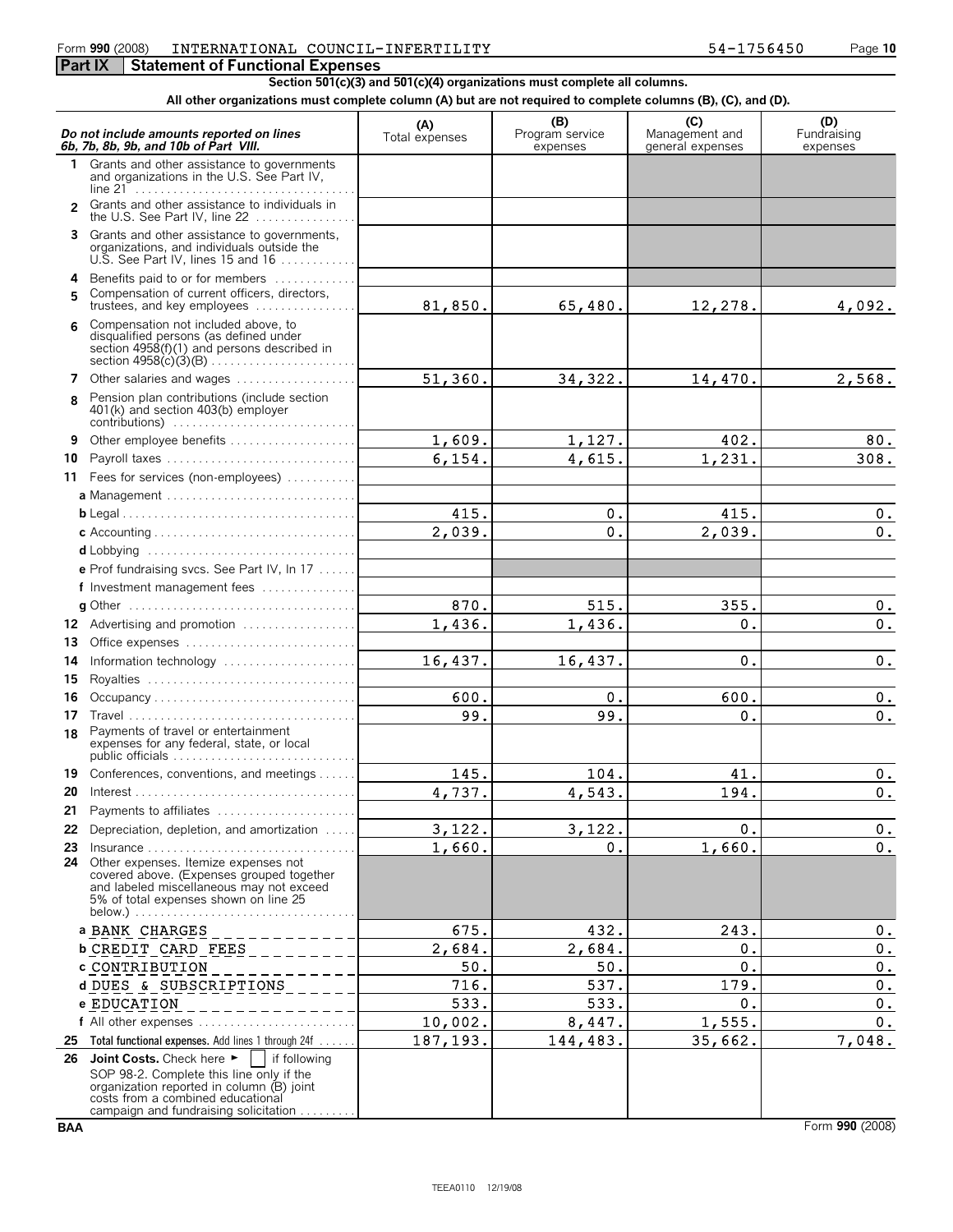## Form **990** (2008) Page **10** INTERNATIONAL COUNCIL-INFERTILITY 54-1756450

### **Part IX | Statement of Functional Expenses**

**Section 501(c)(3) and 501(c)(4) organizations must complete all columns.**

#### **All other organizations must complete column (A) but are not required to complete columns (B), (C), and (D).**

|                | Do not include amounts reported on lines<br>6b, 7b, 8b, 9b, and 10b of Part VIII.                                                                                                                                                    | (A)<br>Total expenses | (B)<br>Program service<br>expenses | (C)<br>Management and<br>general expenses | (D)<br>Fundraising<br>expenses |
|----------------|--------------------------------------------------------------------------------------------------------------------------------------------------------------------------------------------------------------------------------------|-----------------------|------------------------------------|-------------------------------------------|--------------------------------|
|                | 1 Grants and other assistance to governments<br>and organizations in the U.S. See Part IV,                                                                                                                                           |                       |                                    |                                           |                                |
| $\mathfrak{p}$ | Grants and other assistance to individuals in<br>the U.S. See Part IV, line 22                                                                                                                                                       |                       |                                    |                                           |                                |
| 3              | Grants and other assistance to governments,<br>organizations, and individuals outside the<br>U.S. See Part IV, lines 15 and 16                                                                                                       |                       |                                    |                                           |                                |
| 4              | Benefits paid to or for members                                                                                                                                                                                                      |                       |                                    |                                           |                                |
| 5              | Compensation of current officers, directors,<br>trustees, and key employees                                                                                                                                                          | 81,850.               | 65,480.                            | 12,278.                                   | 4,092.                         |
| 6              | Compensation not included above, to<br>disqualified persons (as defined under<br>section 4958(f)(1) and persons described in                                                                                                         |                       |                                    |                                           |                                |
| 7              | Other salaries and wages                                                                                                                                                                                                             | 51,360.               | 34,322.                            | 14,470.                                   | 2,568.                         |
| 8              | Pension plan contributions (include section<br>401(k) and section 403(b) employer                                                                                                                                                    |                       |                                    |                                           |                                |
| 9              | Other employee benefits                                                                                                                                                                                                              | 1,609.                | 1,127.                             | 402.                                      | 80.                            |
| 10             | Payroll taxes                                                                                                                                                                                                                        | 6, 154.               | 4,615.                             | 1,231.                                    | 308.                           |
|                | 11 Fees for services (non-employees)                                                                                                                                                                                                 |                       |                                    |                                           |                                |
|                | a Management                                                                                                                                                                                                                         |                       |                                    |                                           |                                |
|                |                                                                                                                                                                                                                                      | 415.                  | 0.                                 | 415.                                      | $0$ .                          |
|                |                                                                                                                                                                                                                                      | 2,039.                | $\mathbf 0$ .                      | 2,039.                                    | 0.                             |
|                | d Lobbying                                                                                                                                                                                                                           |                       |                                    |                                           |                                |
|                | e Prof fundraising svcs. See Part IV, In 17                                                                                                                                                                                          |                       |                                    |                                           |                                |
|                | f Investment management fees                                                                                                                                                                                                         |                       |                                    |                                           |                                |
|                |                                                                                                                                                                                                                                      | 870.                  | 515.                               | 355.                                      | $0$ .                          |
|                | 12 Advertising and promotion                                                                                                                                                                                                         | 1,436.                | 1,436.                             | 0.                                        | $0$ .                          |
| 13             | Office expenses                                                                                                                                                                                                                      |                       |                                    |                                           |                                |
| 14             |                                                                                                                                                                                                                                      | 16,437.               | 16,437.                            | $\mathbf 0$ .                             | 0.                             |
| 15<br>16       | Occupancy                                                                                                                                                                                                                            | 600.                  | 0.                                 | 600.                                      | 0.                             |
| 17             |                                                                                                                                                                                                                                      | 99.                   | 99.                                | 0.                                        | 0.                             |
| 18             | Payments of travel or entertainment<br>expenses for any federal, state, or local<br>public officials                                                                                                                                 |                       |                                    |                                           |                                |
|                | 19 Conferences, conventions, and meetings                                                                                                                                                                                            | 145.                  | 104.                               | 41.                                       | $0$ .                          |
| 20             |                                                                                                                                                                                                                                      | 4,737.                | 4,543.                             | 194.                                      | $\mathbf 0$ .                  |
|                | 21 Payments to affiliates                                                                                                                                                                                                            |                       |                                    |                                           |                                |
| 22             | Depreciation, depletion, and amortization                                                                                                                                                                                            | 3,122.                | 3,122.                             | 0.                                        | 0.                             |
| 23             | $Insurance \ldots \ldots \ldots \ldots \ldots \ldots \ldots \ldots \ldots$                                                                                                                                                           | 1,660.                | 0.                                 | 1,660.                                    | $\mathbf 0$ .                  |
| 24             | Other expenses. Itemize expenses not<br>covered above. (Expenses grouped together<br>and labeled miscellaneous may not exceed<br>5% of total expenses shown on line 25                                                               |                       |                                    |                                           |                                |
|                | a BANK CHARGES                                                                                                                                                                                                                       | 675.                  | 432.                               | 243.                                      | 0.                             |
|                | <b>b CREDIT CARD FEES</b>                                                                                                                                                                                                            | 2,684.                | 2,684.                             | Ο.                                        | 0.                             |
|                | c CONTRIBUTION                                                                                                                                                                                                                       | 50.                   | 50.                                | Ο.                                        | $0$ .                          |
|                | d DUES & SUBSCRIPTIONS                                                                                                                                                                                                               | 716.                  | 537.                               | 179.                                      | $\mathfrak o$ .                |
|                | e EDUCATION                                                                                                                                                                                                                          | 533.                  | 533.                               | 0.                                        | $0$ .                          |
|                | f All other expenses $\dots\dots\dots\dots\dots\dots\dots\dots\dots\dots\dots$                                                                                                                                                       | 10,002.               | 8,447.                             | 1,555.                                    | $0$ .                          |
| 25             | Total functional expenses. Add lines 1 through 24f                                                                                                                                                                                   | 187, 193.             | 144,483.                           | 35,662.                                   | 7,048.                         |
| 26             | Joint Costs. Check here $\blacktriangleright$<br>if following<br>SOP 98-2. Complete this line only if the<br>organization reported in column (B) joint<br>costs from a combined educational<br>campaign and fundraising solicitation |                       |                                    |                                           |                                |

**BAA** Form **990** (2008)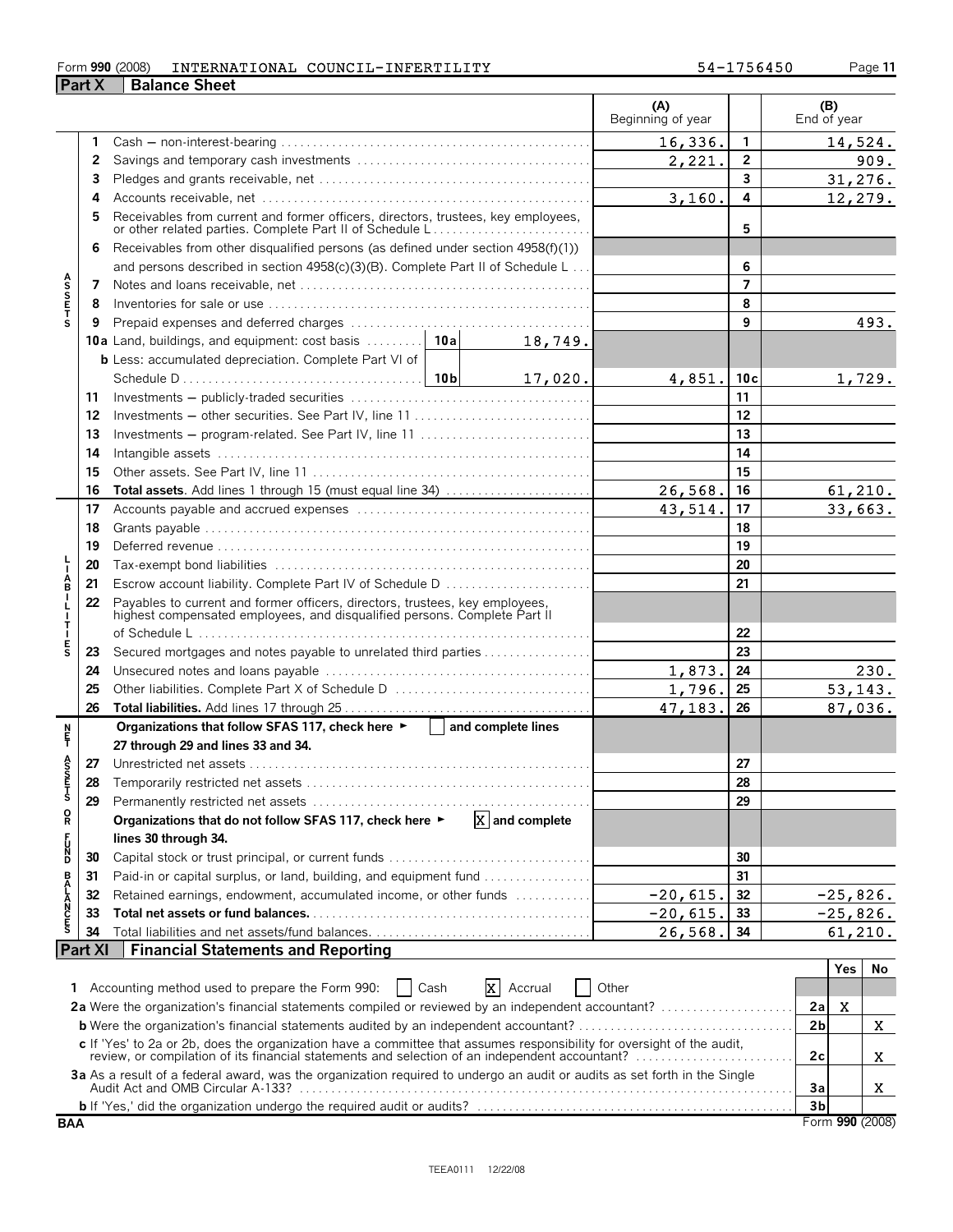#### Form **990** (2008) INTERNATIONAL COUNCIL-INFERTILITY 54-1756450 Page 11

|                                    | <b>Part X</b> | <b>Balance Sheet</b>                                                                                                                                                                                                  |         |                  |                          |                 |                    |            |                 |
|------------------------------------|---------------|-----------------------------------------------------------------------------------------------------------------------------------------------------------------------------------------------------------------------|---------|------------------|--------------------------|-----------------|--------------------|------------|-----------------|
|                                    |               |                                                                                                                                                                                                                       |         |                  | (A)<br>Beginning of year |                 | (B)<br>End of year |            |                 |
|                                    |               |                                                                                                                                                                                                                       |         |                  | 16,336.                  | 1               |                    |            | 14,524.         |
|                                    | 2             |                                                                                                                                                                                                                       |         |                  | 2,221.                   | $\overline{2}$  |                    |            | 909.            |
|                                    | 3             |                                                                                                                                                                                                                       |         |                  |                          | 3               |                    | 31,276.    |                 |
|                                    | 4             |                                                                                                                                                                                                                       |         |                  | 3,160.                   | 4               |                    | 12,279.    |                 |
|                                    | 5             | Receivables from current and former officers, directors, trustees, key employees,<br>or other related parties. Complete Part II of Schedule L                                                                         |         |                  |                          | 5               |                    |            |                 |
|                                    | 6             | Receivables from other disqualified persons (as defined under section 4958(f)(1))                                                                                                                                     |         |                  |                          |                 |                    |            |                 |
|                                    |               | and persons described in section 4958(c)(3)(B). Complete Part II of Schedule L                                                                                                                                        |         |                  |                          | 6               |                    |            |                 |
|                                    | 7             |                                                                                                                                                                                                                       |         |                  |                          | $\overline{7}$  |                    |            |                 |
| A<br>S<br>S<br>E<br>T              | 8             |                                                                                                                                                                                                                       |         |                  |                          | 8               |                    |            |                 |
|                                    | 9             |                                                                                                                                                                                                                       |         |                  |                          | 9               |                    |            | 493.            |
|                                    |               | 10a Land, buildings, and equipment: cost basis  10a                                                                                                                                                                   |         | 18,749.          |                          |                 |                    |            |                 |
|                                    |               | <b>b</b> Less: accumulated depreciation. Complete Part VI of                                                                                                                                                          |         |                  |                          |                 |                    |            |                 |
|                                    |               |                                                                                                                                                                                                                       |         | 17,020.          | 4,851.                   | 10 <sub>c</sub> |                    |            | 1,729.          |
|                                    | 11            |                                                                                                                                                                                                                       |         |                  |                          | 11              |                    |            |                 |
|                                    | 12            | Investments – other securities. See Part IV, line 11                                                                                                                                                                  |         | 12               |                          |                 |                    |            |                 |
|                                    | 13            | Investments – program-related. See Part IV, line 11                                                                                                                                                                   |         |                  |                          | 13              |                    |            |                 |
|                                    | 14            |                                                                                                                                                                                                                       |         |                  |                          | 14              |                    |            |                 |
|                                    | 15            |                                                                                                                                                                                                                       |         |                  |                          | 15              |                    |            |                 |
|                                    | 16            |                                                                                                                                                                                                                       |         |                  | 26,568.                  | 16              |                    | 61, 210.   |                 |
|                                    | 17            |                                                                                                                                                                                                                       |         |                  | 43,514.                  | 17              |                    | 33,663.    |                 |
|                                    | 18            |                                                                                                                                                                                                                       |         |                  | 18                       |                 |                    |            |                 |
|                                    | 19            |                                                                                                                                                                                                                       |         |                  | 19                       |                 |                    |            |                 |
|                                    | 20            |                                                                                                                                                                                                                       |         |                  | 20                       |                 |                    |            |                 |
| A<br>B                             | 21            | Escrow account liability. Complete Part IV of Schedule D                                                                                                                                                              |         |                  |                          | 21              |                    |            |                 |
| L<br>J.<br>т                       | 22            | Payables to current and former officers, directors, trustees, key employees, highest compensated employees, and disqualified persons. Complete Part II                                                                |         |                  |                          |                 |                    |            |                 |
|                                    |               |                                                                                                                                                                                                                       |         | 22               |                          |                 |                    |            |                 |
| $\frac{E}{S}$                      | 23            | Secured mortgages and notes payable to unrelated third parties                                                                                                                                                        |         |                  |                          | 23              |                    |            |                 |
|                                    | 24            |                                                                                                                                                                                                                       |         |                  | 1,873.                   | 24              |                    |            | 230.            |
|                                    | 25            |                                                                                                                                                                                                                       |         |                  | 1,796.                   | 25              |                    | 53,143.    |                 |
|                                    | 26            |                                                                                                                                                                                                                       | 47,183. | 26               |                          | 87,036.         |                    |            |                 |
| n<br>F                             |               | Organizations that follow SFAS 117, check here $\blacktriangleright$   and complete lines                                                                                                                             |         |                  |                          |                 |                    |            |                 |
|                                    |               | 27 through 29 and lines 33 and 34.                                                                                                                                                                                    |         |                  |                          |                 |                    |            |                 |
| ŝ                                  | 27            |                                                                                                                                                                                                                       |         |                  |                          | 27              |                    |            |                 |
| m<br>T                             | 28            |                                                                                                                                                                                                                       |         |                  |                          | 28<br>29        |                    |            |                 |
| $\overset{\mathsf{O}}{\mathsf{R}}$ | 29            | Organizations that do not follow SFAS 117, check here ►                                                                                                                                                               |         | $X$ and complete |                          |                 |                    |            |                 |
|                                    |               |                                                                                                                                                                                                                       |         |                  |                          |                 |                    |            |                 |
| 5<br>5<br>5                        |               | lines 30 through 34.                                                                                                                                                                                                  |         |                  |                          | 30              |                    |            |                 |
|                                    | 30<br>31      | Paid-in or capital surplus, or land, building, and equipment fund                                                                                                                                                     |         |                  |                          | 31              |                    |            |                 |
|                                    | 32            | Retained earnings, endowment, accumulated income, or other funds                                                                                                                                                      |         |                  | $-20,615.$               | 32              |                    | $-25,826.$ |                 |
|                                    | 33            |                                                                                                                                                                                                                       |         |                  | $-20,615.$               | 33              |                    | $-25,826.$ |                 |
| <b>BALANCES</b>                    | 34            |                                                                                                                                                                                                                       |         |                  | 26,568.                  | 34              |                    | 61, 210.   |                 |
|                                    | Part XI       | <b>Financial Statements and Reporting</b>                                                                                                                                                                             |         |                  |                          |                 |                    |            |                 |
|                                    |               |                                                                                                                                                                                                                       |         |                  |                          |                 |                    | Yes        | No              |
| 1                                  |               | Accounting method used to prepare the Form 990:                                                                                                                                                                       | Cash    | X Accrual        | Other                    |                 |                    |            |                 |
|                                    |               | 2a Were the organization's financial statements compiled or reviewed by an independent accountant?                                                                                                                    |         |                  |                          |                 | 2a                 | X          |                 |
|                                    |               |                                                                                                                                                                                                                       |         |                  |                          |                 | 2 <sub>b</sub>     |            | X               |
|                                    |               |                                                                                                                                                                                                                       |         |                  |                          |                 |                    |            |                 |
|                                    |               | c If 'Yes' to 2a or 2b, does the organization have a committee that assumes responsibility for oversight of the audit, review, or compilation of its financial statements and selection of an independent accountant? |         |                  |                          |                 | 2c                 |            | X               |
|                                    |               | 3a As a result of a federal award, was the organization required to undergo an audit or audits as set forth in the Single                                                                                             |         |                  |                          |                 | 3a                 |            | X.              |
|                                    |               |                                                                                                                                                                                                                       |         |                  |                          |                 | 3 <sub>b</sub>     |            |                 |
| <b>BAA</b>                         |               |                                                                                                                                                                                                                       |         |                  |                          |                 |                    |            | Form 990 (2008) |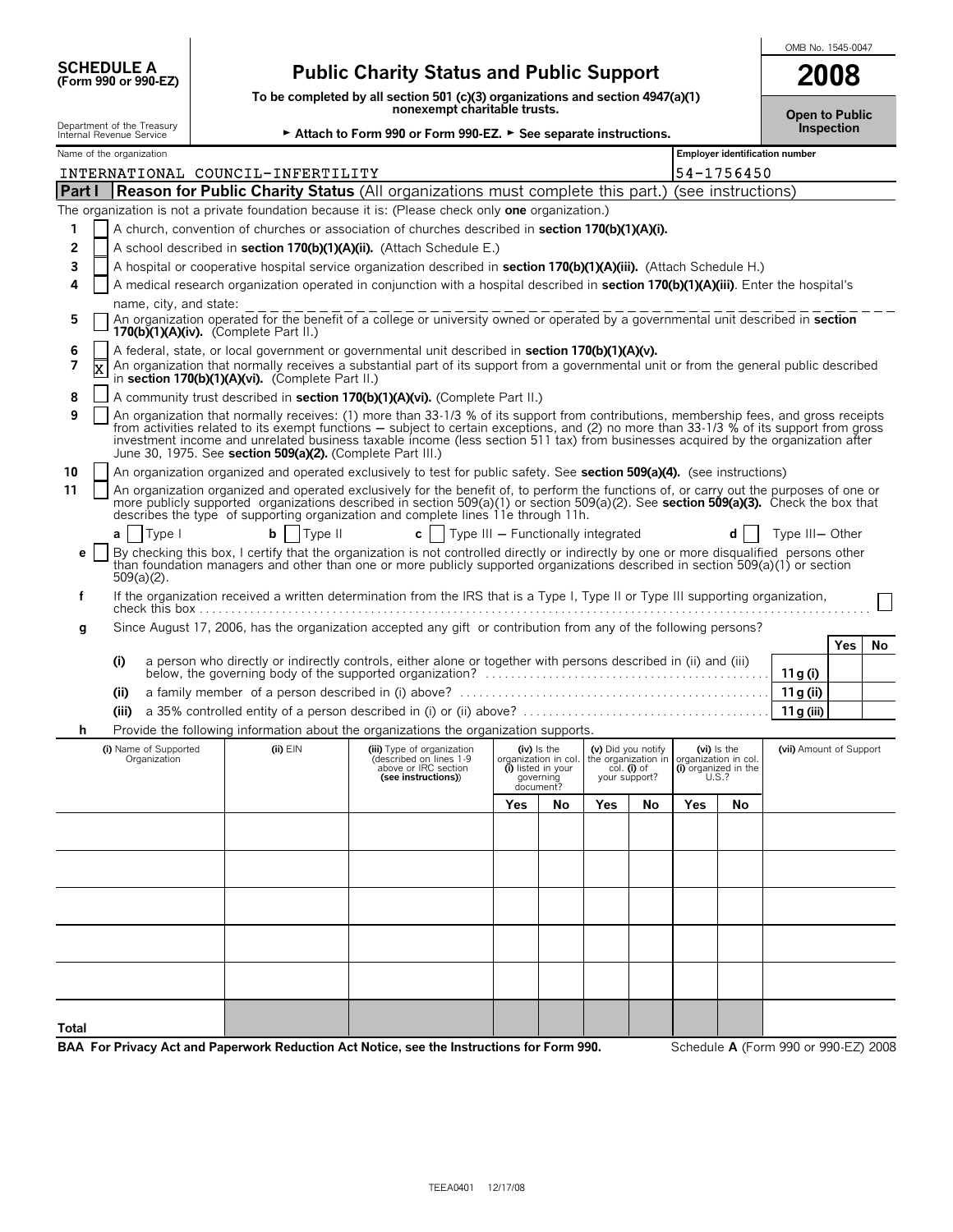|              | <b>SCHEDULE A</b><br>(Form 990 or 990-EZ)                                                                                                                                                                                                                                                                                                                                                                                                                                                       |  | <b>Public Charity Status and Public Support</b>            |                                                                                                                                                                                                                                                                                                                                                                                                                        | 2008                                                                                                           |                                                                                   |                                |                                                                           |     |                                                                      |                                      |            |    |
|--------------|-------------------------------------------------------------------------------------------------------------------------------------------------------------------------------------------------------------------------------------------------------------------------------------------------------------------------------------------------------------------------------------------------------------------------------------------------------------------------------------------------|--|------------------------------------------------------------|------------------------------------------------------------------------------------------------------------------------------------------------------------------------------------------------------------------------------------------------------------------------------------------------------------------------------------------------------------------------------------------------------------------------|----------------------------------------------------------------------------------------------------------------|-----------------------------------------------------------------------------------|--------------------------------|---------------------------------------------------------------------------|-----|----------------------------------------------------------------------|--------------------------------------|------------|----|
|              |                                                                                                                                                                                                                                                                                                                                                                                                                                                                                                 |  |                                                            |                                                                                                                                                                                                                                                                                                                                                                                                                        | To be completed by all section 501 (c)(3) organizations and section 4947(a)(1)<br>nonexempt charitable trusts. |                                                                                   |                                |                                                                           |     |                                                                      |                                      |            |    |
|              | Department of the Treasury<br>Internal Revenue Service                                                                                                                                                                                                                                                                                                                                                                                                                                          |  |                                                            | Attach to Form 990 or Form 990-EZ. > See separate instructions.                                                                                                                                                                                                                                                                                                                                                        |                                                                                                                |                                                                                   |                                |                                                                           |     |                                                                      | <b>Open to Public</b>                | Inspection |    |
|              | Name of the organization                                                                                                                                                                                                                                                                                                                                                                                                                                                                        |  |                                                            |                                                                                                                                                                                                                                                                                                                                                                                                                        |                                                                                                                |                                                                                   | Employer identification number |                                                                           |     |                                                                      |                                      |            |    |
|              |                                                                                                                                                                                                                                                                                                                                                                                                                                                                                                 |  | INTERNATIONAL COUNCIL-INFERTILITY                          |                                                                                                                                                                                                                                                                                                                                                                                                                        |                                                                                                                |                                                                                   |                                |                                                                           |     | 54-1756450                                                           |                                      |            |    |
| Part I       |                                                                                                                                                                                                                                                                                                                                                                                                                                                                                                 |  |                                                            | <b>Reason for Public Charity Status</b> (All organizations must complete this part.)                                                                                                                                                                                                                                                                                                                                   |                                                                                                                |                                                                                   |                                |                                                                           |     | (see instructions)                                                   |                                      |            |    |
|              |                                                                                                                                                                                                                                                                                                                                                                                                                                                                                                 |  |                                                            | The organization is not a private foundation because it is: (Please check only <b>one</b> organization.)<br>A church, convention of churches or association of churches described in section 170(b)(1)(A)(i).                                                                                                                                                                                                          |                                                                                                                |                                                                                   |                                |                                                                           |     |                                                                      |                                      |            |    |
| 1<br>2       |                                                                                                                                                                                                                                                                                                                                                                                                                                                                                                 |  |                                                            | A school described in section 170(b)(1)(A)(ii). (Attach Schedule E.)                                                                                                                                                                                                                                                                                                                                                   |                                                                                                                |                                                                                   |                                |                                                                           |     |                                                                      |                                      |            |    |
| 3            |                                                                                                                                                                                                                                                                                                                                                                                                                                                                                                 |  |                                                            | A hospital or cooperative hospital service organization described in <b>section 170(b)(1)(A)(iii).</b> (Attach Schedule H.)                                                                                                                                                                                                                                                                                            |                                                                                                                |                                                                                   |                                |                                                                           |     |                                                                      |                                      |            |    |
| 4            |                                                                                                                                                                                                                                                                                                                                                                                                                                                                                                 |  |                                                            | A medical research organization operated in conjunction with a hospital described in section 170(b)(1)(A)(iii). Enter the hospital's                                                                                                                                                                                                                                                                                   |                                                                                                                |                                                                                   |                                |                                                                           |     |                                                                      |                                      |            |    |
|              | name, city, and state:                                                                                                                                                                                                                                                                                                                                                                                                                                                                          |  |                                                            |                                                                                                                                                                                                                                                                                                                                                                                                                        |                                                                                                                |                                                                                   |                                |                                                                           |     |                                                                      |                                      |            |    |
| 5            |                                                                                                                                                                                                                                                                                                                                                                                                                                                                                                 |  | 170(b) $(1)(A)(iv)$ . (Complete Part II.)                  | An organization operated for the benefit of a college or university owned or operated by a governmental unit described in section                                                                                                                                                                                                                                                                                      |                                                                                                                |                                                                                   |                                |                                                                           |     |                                                                      |                                      |            |    |
| 6<br>7       | X                                                                                                                                                                                                                                                                                                                                                                                                                                                                                               |  | in section 170(b)(1)(A)(vi). (Complete Part II.)           | A federal, state, or local government or governmental unit described in section 170(b)(1)(A)(v).<br>An organization that normally receives a substantial part of its support from a governmental unit or from the general public described                                                                                                                                                                             |                                                                                                                |                                                                                   |                                |                                                                           |     |                                                                      |                                      |            |    |
| 8            |                                                                                                                                                                                                                                                                                                                                                                                                                                                                                                 |  |                                                            | A community trust described in section 170(b)(1)(A)(vi). (Complete Part II.)                                                                                                                                                                                                                                                                                                                                           |                                                                                                                |                                                                                   |                                |                                                                           |     |                                                                      |                                      |            |    |
| 9            |                                                                                                                                                                                                                                                                                                                                                                                                                                                                                                 |  | June 30, 1975. See section 509(a)(2). (Complete Part III.) | An organization that normally receives: (1) more than 33-1/3 % of its support from contributions, membership fees, and gross receipts<br>from activities related to its exempt functions – subject to certain exceptions, and (2) no more than 33-1/3 % of its support from gross<br>investment income and unrelated business taxable income (less section 511 tax) from businesses acquired by the organization after |                                                                                                                |                                                                                   |                                |                                                                           |     |                                                                      |                                      |            |    |
| 10           |                                                                                                                                                                                                                                                                                                                                                                                                                                                                                                 |  |                                                            |                                                                                                                                                                                                                                                                                                                                                                                                                        |                                                                                                                |                                                                                   |                                |                                                                           |     |                                                                      |                                      |            |    |
| 11           | An organization organized and operated exclusively to test for public safety. See section 509(a)(4). (see instructions)<br>An organization organized and operated exclusively for the benefit of, to perform the functions of, or carry out the purposes of one or<br>more publicly supported organizations described in section 509(a)(1) or section 509(a)(2). See section 509(a)(3). Check the box that<br>describes the type of supporting organization and complete lines 11e through 11h. |  |                                                            |                                                                                                                                                                                                                                                                                                                                                                                                                        |                                                                                                                |                                                                                   |                                |                                                                           |     |                                                                      |                                      |            |    |
|              | Type I<br>a                                                                                                                                                                                                                                                                                                                                                                                                                                                                                     |  | Type II<br>b                                               | $\mathbf{c}$   Type III - Functionally integrated                                                                                                                                                                                                                                                                                                                                                                      |                                                                                                                |                                                                                   |                                |                                                                           |     | d                                                                    | Type III- Other                      |            |    |
| e            |                                                                                                                                                                                                                                                                                                                                                                                                                                                                                                 |  |                                                            | By checking this box, I certify that the organization is not controlled directly or indirectly by one or more disqualified persons other                                                                                                                                                                                                                                                                               |                                                                                                                |                                                                                   |                                |                                                                           |     |                                                                      |                                      |            |    |
|              | $509(a)(2)$ .                                                                                                                                                                                                                                                                                                                                                                                                                                                                                   |  |                                                            | than foundation managers and other than one or more publicly supported organizations described in section 509(a)(1) or section                                                                                                                                                                                                                                                                                         |                                                                                                                |                                                                                   |                                |                                                                           |     |                                                                      |                                      |            |    |
| f            |                                                                                                                                                                                                                                                                                                                                                                                                                                                                                                 |  |                                                            | If the organization received a written determination from the IRS that is a Type I, Type II or Type III supporting organization,                                                                                                                                                                                                                                                                                       |                                                                                                                |                                                                                   |                                |                                                                           |     |                                                                      |                                      |            |    |
| g            |                                                                                                                                                                                                                                                                                                                                                                                                                                                                                                 |  |                                                            | Since August 17, 2006, has the organization accepted any gift or contribution from any of the following persons?                                                                                                                                                                                                                                                                                                       |                                                                                                                |                                                                                   |                                |                                                                           |     |                                                                      |                                      |            |    |
|              |                                                                                                                                                                                                                                                                                                                                                                                                                                                                                                 |  |                                                            |                                                                                                                                                                                                                                                                                                                                                                                                                        |                                                                                                                |                                                                                   |                                |                                                                           |     |                                                                      |                                      | Yes        | No |
|              | (i)                                                                                                                                                                                                                                                                                                                                                                                                                                                                                             |  |                                                            | a person who directly or indirectly controls, either alone or together with persons described in (ii) and (iii)                                                                                                                                                                                                                                                                                                        |                                                                                                                |                                                                                   |                                |                                                                           |     |                                                                      | 11 g (i)                             |            |    |
|              | (i)                                                                                                                                                                                                                                                                                                                                                                                                                                                                                             |  |                                                            |                                                                                                                                                                                                                                                                                                                                                                                                                        |                                                                                                                |                                                                                   |                                |                                                                           |     |                                                                      | 11g (ii)                             |            |    |
|              | (iii)                                                                                                                                                                                                                                                                                                                                                                                                                                                                                           |  |                                                            |                                                                                                                                                                                                                                                                                                                                                                                                                        |                                                                                                                |                                                                                   |                                |                                                                           |     |                                                                      | 11 g (iii)                           |            |    |
| h            |                                                                                                                                                                                                                                                                                                                                                                                                                                                                                                 |  |                                                            | Provide the following information about the organizations the organization supports.                                                                                                                                                                                                                                                                                                                                   |                                                                                                                |                                                                                   |                                |                                                                           |     |                                                                      |                                      |            |    |
|              | (i) Name of Supported<br>Organization                                                                                                                                                                                                                                                                                                                                                                                                                                                           |  | $(ii)$ $EIN$                                               | (iii) Type of organization<br>(described on lines 1–9<br>above or IRC section<br>(see instructions))                                                                                                                                                                                                                                                                                                                   | OL                                                                                                             | (iv) Is the<br>janization in col.<br>(i) listed in your<br>governing<br>document? |                                | (v) Did you notify<br>the organization in<br>col. (i) of<br>your support? |     | (vi) is the<br>organization in coll<br>(i) organized in the<br>U.S.? | (vii) Amount of Support              |            |    |
|              |                                                                                                                                                                                                                                                                                                                                                                                                                                                                                                 |  |                                                            |                                                                                                                                                                                                                                                                                                                                                                                                                        | Yes                                                                                                            | No                                                                                | Yes                            | No                                                                        | Yes | No                                                                   |                                      |            |    |
|              |                                                                                                                                                                                                                                                                                                                                                                                                                                                                                                 |  |                                                            |                                                                                                                                                                                                                                                                                                                                                                                                                        |                                                                                                                |                                                                                   |                                |                                                                           |     |                                                                      |                                      |            |    |
|              |                                                                                                                                                                                                                                                                                                                                                                                                                                                                                                 |  |                                                            |                                                                                                                                                                                                                                                                                                                                                                                                                        |                                                                                                                |                                                                                   |                                |                                                                           |     |                                                                      |                                      |            |    |
|              |                                                                                                                                                                                                                                                                                                                                                                                                                                                                                                 |  |                                                            |                                                                                                                                                                                                                                                                                                                                                                                                                        |                                                                                                                |                                                                                   |                                |                                                                           |     |                                                                      |                                      |            |    |
|              |                                                                                                                                                                                                                                                                                                                                                                                                                                                                                                 |  |                                                            |                                                                                                                                                                                                                                                                                                                                                                                                                        |                                                                                                                |                                                                                   |                                |                                                                           |     |                                                                      |                                      |            |    |
|              |                                                                                                                                                                                                                                                                                                                                                                                                                                                                                                 |  |                                                            |                                                                                                                                                                                                                                                                                                                                                                                                                        |                                                                                                                |                                                                                   |                                |                                                                           |     |                                                                      |                                      |            |    |
|              |                                                                                                                                                                                                                                                                                                                                                                                                                                                                                                 |  |                                                            |                                                                                                                                                                                                                                                                                                                                                                                                                        |                                                                                                                |                                                                                   |                                |                                                                           |     |                                                                      |                                      |            |    |
|              |                                                                                                                                                                                                                                                                                                                                                                                                                                                                                                 |  |                                                            |                                                                                                                                                                                                                                                                                                                                                                                                                        |                                                                                                                |                                                                                   |                                |                                                                           |     |                                                                      |                                      |            |    |
|              |                                                                                                                                                                                                                                                                                                                                                                                                                                                                                                 |  |                                                            |                                                                                                                                                                                                                                                                                                                                                                                                                        |                                                                                                                |                                                                                   |                                |                                                                           |     |                                                                      |                                      |            |    |
| <b>Total</b> |                                                                                                                                                                                                                                                                                                                                                                                                                                                                                                 |  |                                                            | BAA For Privacy Act and Paperwork Reduction Act Notice, see the Instructions for Form 990.                                                                                                                                                                                                                                                                                                                             |                                                                                                                |                                                                                   |                                |                                                                           |     |                                                                      | Schedule A (Form 990 or 990-EZ) 2008 |            |    |
|              |                                                                                                                                                                                                                                                                                                                                                                                                                                                                                                 |  |                                                            |                                                                                                                                                                                                                                                                                                                                                                                                                        |                                                                                                                |                                                                                   |                                |                                                                           |     |                                                                      |                                      |            |    |

**SCHEDULE A**

OMB No. 1545-0047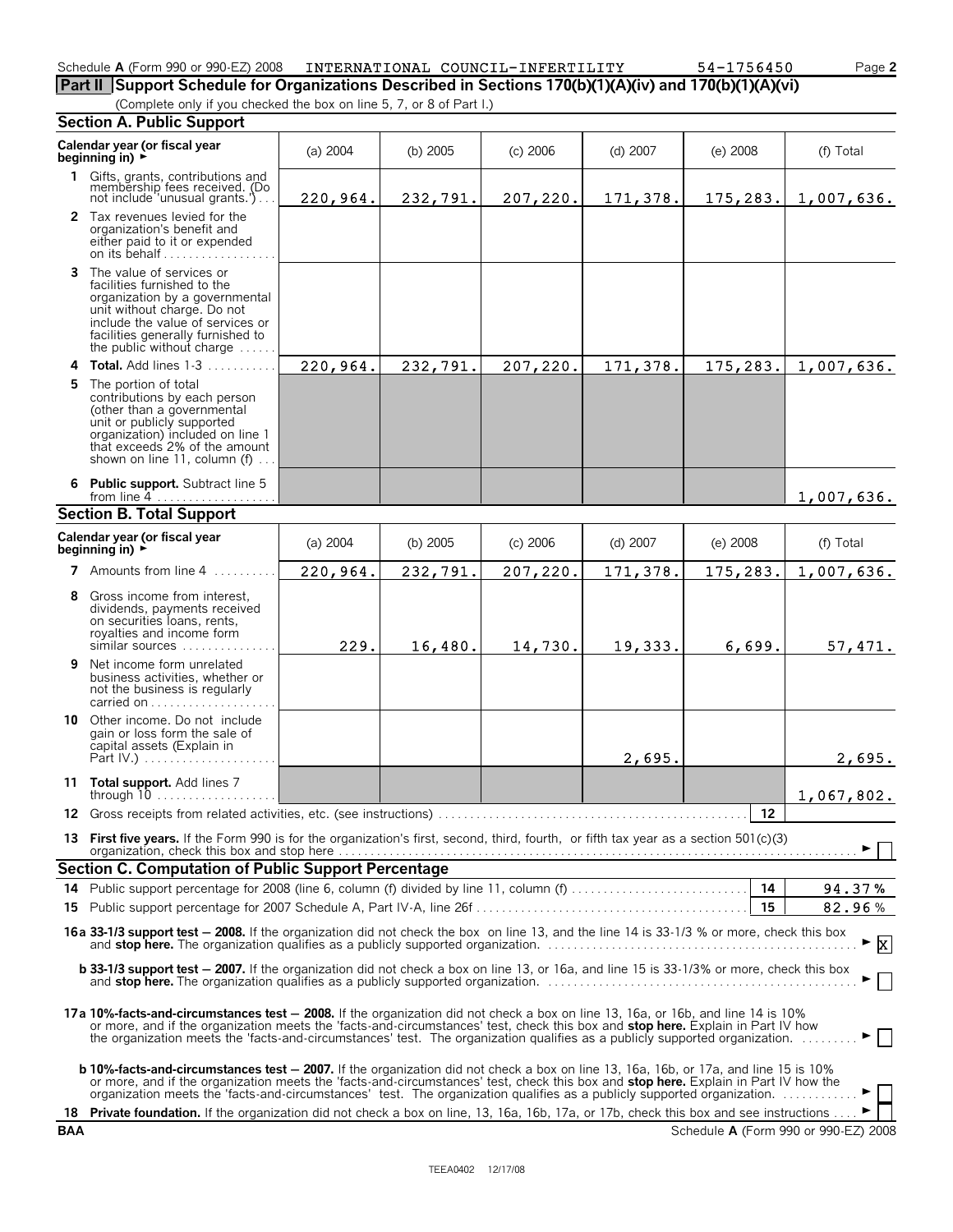| or 990-EZ ر<br>2008<br>Schedule A (Form 990 or ' | COUNCIL-INFERTILITY<br>INTERNATIONAL | 54 –<br>564.<br>45 U | $\sim$ age $\sim$ |
|--------------------------------------------------|--------------------------------------|----------------------|-------------------|
|                                                  |                                      |                      |                   |

**Part II Support Schedule for Organizations Described in Sections 170(b)(1)(A)(iv) and 170(b)(1)(A)(vi)** (Complete only if you checked the box on line 5, 7, or 8 of Part I.)  $54 - 1756450$ 

|    | <b>Section A. Public Support</b>                                                                                                                                                                                                                                                                                                                                                                                            |          |            |            |          |            |                  |  |  |
|----|-----------------------------------------------------------------------------------------------------------------------------------------------------------------------------------------------------------------------------------------------------------------------------------------------------------------------------------------------------------------------------------------------------------------------------|----------|------------|------------|----------|------------|------------------|--|--|
|    | Calendar year (or fiscal year<br>beginning in) $\rightarrow$                                                                                                                                                                                                                                                                                                                                                                | (a) 2004 | (b) $2005$ | $(c)$ 2006 | (d) 2007 | $(e)$ 2008 | (f) Total        |  |  |
| 1. | Gifts, grants, contributions and<br>membership fees received. (Do<br>not include 'unusual grants.')                                                                                                                                                                                                                                                                                                                         | 220,964. | 232,791.   | 207,220.   | 171,378. | 175,283.   | 1,007,636.       |  |  |
|    | 2 Tax revenues levied for the<br>organization's benefit and<br>either paid to it or expended<br>on its behalf                                                                                                                                                                                                                                                                                                               |          |            |            |          |            |                  |  |  |
| 3  | The value of services or<br>facilities furnished to the<br>organization by a governmental<br>unit without charge. Do not<br>include the value of services or<br>facilities generally furnished to<br>the public without charge $\dots$ .                                                                                                                                                                                    |          |            |            |          |            |                  |  |  |
| 4  | Total. Add lines 1-3                                                                                                                                                                                                                                                                                                                                                                                                        | 220,964. | 232,791.   | 207,220.   | 171,378. | 175,283.   | 1,007,636.       |  |  |
| 5. | The portion of total<br>contributions by each person<br>(other than a governmental<br>unit or publicly supported<br>organization) included on line 1<br>that exceeds 2% of the amount<br>shown on line 11, column (f)                                                                                                                                                                                                       |          |            |            |          |            |                  |  |  |
| 6  | <b>Public support.</b> Subtract line 5<br>from line $4$                                                                                                                                                                                                                                                                                                                                                                     |          |            |            |          |            | 1,007,636.       |  |  |
|    | <b>Section B. Total Support</b>                                                                                                                                                                                                                                                                                                                                                                                             |          |            |            |          |            |                  |  |  |
|    | Calendar year (or fiscal year<br>beginning in) $\rightarrow$                                                                                                                                                                                                                                                                                                                                                                | (a) 2004 | (b) 2005   | $(c)$ 2006 | (d) 2007 | $(e)$ 2008 | (f) Total        |  |  |
|    | 7 Amounts from line 4                                                                                                                                                                                                                                                                                                                                                                                                       | 220,964. | 232,791.   | 207,220.   | 171,378. | 175,283.   | 1,007,636.       |  |  |
| 8  | Gross income from interest,<br>dividends, payments received<br>on securities loans, rents,<br>royalties and income form<br>similar sources                                                                                                                                                                                                                                                                                  | 229.     | 16,480.    | 14,730.    | 19,333.  | 6,699.     | 57,471.          |  |  |
| 9  | Net income form unrelated<br>business activities, whether or<br>not the business is regularly<br>carried on                                                                                                                                                                                                                                                                                                                 |          |            |            |          |            |                  |  |  |
|    | <b>10</b> Other income. Do not include<br>gain or loss form the sale of<br>capital assets (Explain in<br>Part IV.)                                                                                                                                                                                                                                                                                                          |          |            |            | 2,695.   |            | 2,695.           |  |  |
|    | 11 Total support. Add lines 7                                                                                                                                                                                                                                                                                                                                                                                               |          |            |            |          |            | 1,067,802.       |  |  |
|    |                                                                                                                                                                                                                                                                                                                                                                                                                             |          |            |            |          | 12         |                  |  |  |
|    | 13 First five years. If the Form 990 is for the organization's first, second, third, fourth, or fifth tax year as a section 501(c)(3)<br>organization, check this box and stop here Mathematical According to the control of the state of the state of                                                                                                                                                                      |          |            |            |          |            |                  |  |  |
|    | Section C. Computation of Public Support Percentage                                                                                                                                                                                                                                                                                                                                                                         |          |            |            |          |            |                  |  |  |
| 15 | 14 Public support percentage for 2008 (line 6, column (f) divided by line 11, column (f)                                                                                                                                                                                                                                                                                                                                    |          |            |            |          | 14<br>15   | 94.37%<br>82.96% |  |  |
|    | 16a 33-1/3 support test - 2008. If the organization did not check the box on line 13, and the line 14 is 33-1/3 % or more, check this box<br>and stop here. The organization qualifies as a publicly supported organization.                                                                                                                                                                                                |          |            |            |          |            | $\mathbf{x}$     |  |  |
|    | b 33-1/3 support test - 2007. If the organization did not check a box on line 13, or 16a, and line 15 is 33-1/3% or more, check this box<br>and stop here. The organization qualifies as a publicly supported organization.                                                                                                                                                                                                 |          |            |            |          |            |                  |  |  |
|    | 17a 10%-facts-and-circumstances test - 2008. If the organization did not check a box on line 13, 16a, or 16b, and line 14 is 10%<br>or more, and if the organization meets the 'facts-and-circumstances' test, check this box and stop here. Explain in Part IV how<br>the organization meets the 'facts-and-circumstances' test. The organization qualifies as a publicly supported organization.                          |          |            |            |          |            |                  |  |  |
|    | <b>b 10%-facts-and-circumstances test - 2007.</b> If the organization did not check a box on line 13, 16a, 16b, or 17a, and line 15 is 10%<br>or more, and if the organization meets the 'facts-and-circumstances' test, check this box and stop here. Explain in Part IV how the<br>18 Private foundation. If the organization did not check a box on line, 13, 16a, 16b, 17a, or 17b, check this box and see instructions |          |            |            |          |            |                  |  |  |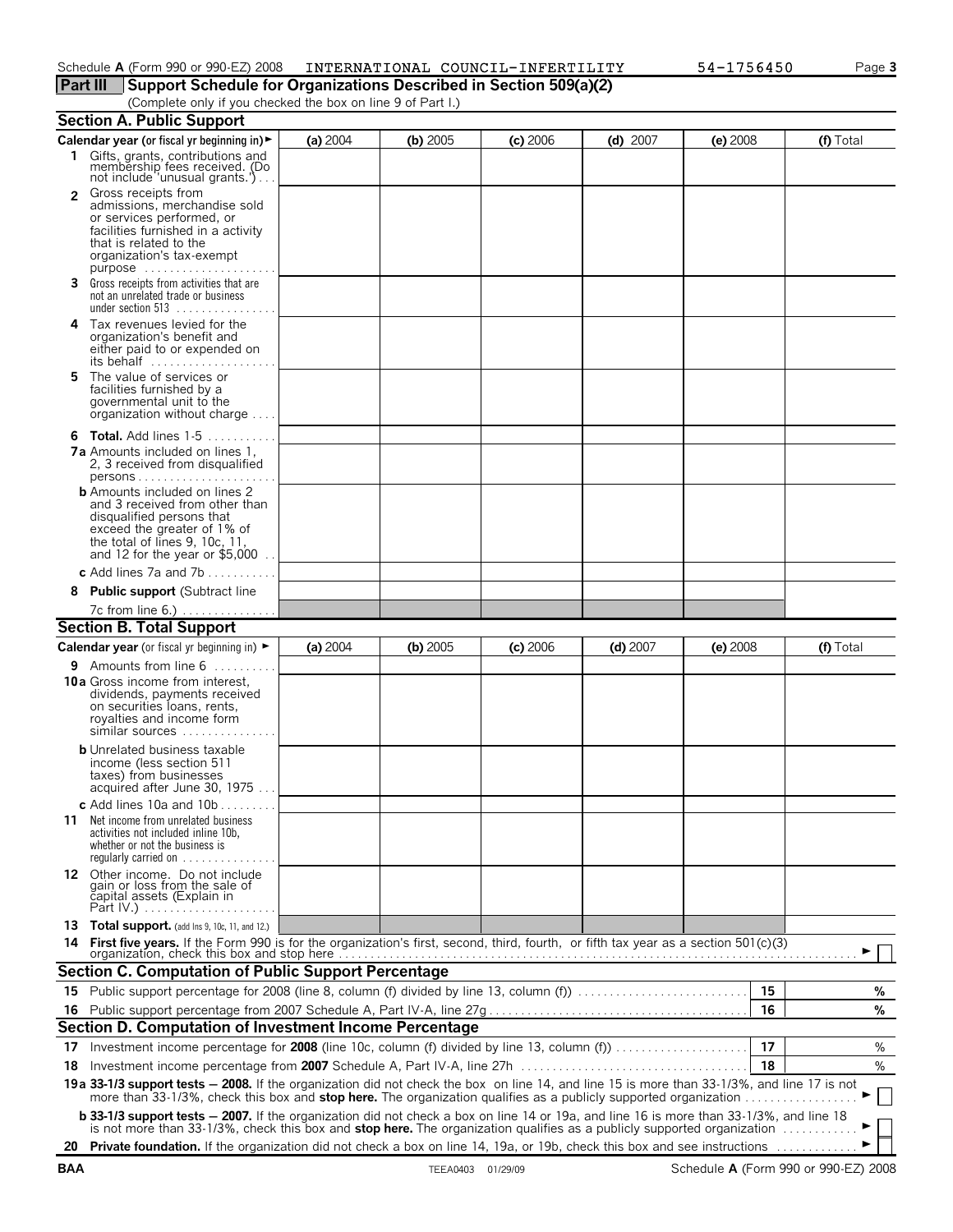### Schedule **A** (Form 990 or 990-EZ) 2008 INTERNATIONAL COUNCIL-INFERTILITY 54-1756450 Page 3

**Part III Support Schedule for Organizations Described in Section 509(a)(2)**

(Complete only if you checked the box on line 9 of Part I.)

|                | <b>Section A. Public Support</b>                                                                                                                                                                                                                                                   |          |            |            |            |            |    |           |
|----------------|------------------------------------------------------------------------------------------------------------------------------------------------------------------------------------------------------------------------------------------------------------------------------------|----------|------------|------------|------------|------------|----|-----------|
|                | Calendar year (or fiscal yr beginning in) ►                                                                                                                                                                                                                                        | (a) 2004 | (b) 2005   | $(c)$ 2006 | $(d)$ 2007 | $(e)$ 2008 |    | (f) Total |
|                | 1 Gifts, grants, contributions and<br>membership fees received. (Do<br>not include 'unusual grants.')                                                                                                                                                                              |          |            |            |            |            |    |           |
| $\overline{2}$ | Gross receipts from<br>admissions, merchandise sold<br>or services performed, or<br>facilities furnished in a activity<br>that is related to the<br>organization's tax-exempt                                                                                                      |          |            |            |            |            |    |           |
|                | 3 Gross receipts from activities that are<br>not an unrelated trade or business<br>under section 513                                                                                                                                                                               |          |            |            |            |            |    |           |
| 4              | Tax revenues levied for the<br>organization's benefit and<br>either paid to or expended on<br>its behalf                                                                                                                                                                           |          |            |            |            |            |    |           |
| 5              | The value of services or<br>facilities furnished by a<br>governmental unit to the<br>organization without charge                                                                                                                                                                   |          |            |            |            |            |    |           |
|                | <b>6 Total.</b> Add lines 1-5<br><b>7a</b> Amounts included on lines 1,<br>2, 3 received from disqualified<br>$persons$                                                                                                                                                            |          |            |            |            |            |    |           |
|                | <b>b</b> Amounts included on lines 2<br>and 3 received from other than<br>disqualified persons that<br>exceed the greater of 1% of<br>the total of lines 9, 10c, 11,<br>and 12 for the year or \$5,000                                                                             |          |            |            |            |            |    |           |
|                | c Add lines 7a and 7b                                                                                                                                                                                                                                                              |          |            |            |            |            |    |           |
| 8              | <b>Public support (Subtract line</b>                                                                                                                                                                                                                                               |          |            |            |            |            |    |           |
|                | 7c from line 6.)                                                                                                                                                                                                                                                                   |          |            |            |            |            |    |           |
|                | <b>Section B. Total Support</b>                                                                                                                                                                                                                                                    |          |            |            |            |            |    |           |
|                | <b>Calendar year</b> (or fiscal yr beginning in) $\blacktriangleright$                                                                                                                                                                                                             | (a) 2004 | (b) $2005$ | $(c)$ 2006 | $(d)$ 2007 | $(e)$ 2008 |    | (f) Total |
|                | <b>9</b> Amounts from line $6$                                                                                                                                                                                                                                                     |          |            |            |            |            |    |           |
|                | <b>10a</b> Gross income from interest,<br>dividends, payments received<br>on securities loans, rents,<br>royalties and income form<br>similar sources                                                                                                                              |          |            |            |            |            |    |           |
|                | <b>b</b> Unrelated business taxable<br>income (less section 511<br>taxes) from businesses<br>acquired after June 30, 1975                                                                                                                                                          |          |            |            |            |            |    |           |
| 11.            | c Add lines 10a and $10b$<br>Net income from unrelated business<br>activities not included inline 10b,<br>whether or not the business is<br>regularly carried on $\dots\dots\dots\dots$                                                                                            |          |            |            |            |            |    |           |
|                | 12 Other income. Do not include<br>gain or loss from the sale of<br>čapital assets (Explain in<br>Part IV.)                                                                                                                                                                        |          |            |            |            |            |    |           |
| 14             | 13 Total support. (add Ins 9, 10c, 11, and 12.)                                                                                                                                                                                                                                    |          |            |            |            |            |    |           |
|                | <b>Section C. Computation of Public Support Percentage</b>                                                                                                                                                                                                                         |          |            |            |            |            |    |           |
|                |                                                                                                                                                                                                                                                                                    |          |            |            |            |            | 15 | %         |
| 16             |                                                                                                                                                                                                                                                                                    |          |            |            |            |            | 16 | %         |
|                | Section D. Computation of Investment Income Percentage                                                                                                                                                                                                                             |          |            |            |            |            |    |           |
|                |                                                                                                                                                                                                                                                                                    |          |            |            |            |            | 17 | %         |
| 18             |                                                                                                                                                                                                                                                                                    |          |            |            |            |            | 18 | %         |
|                | 19a 33-1/3 support tests - 2008. If the organization did not check the box on line 14, and line 15 is more than 33-1/3%, and line 17 is not<br>more than 33-1/3%, check this box and stop here. The organization qualifies as a publicly supported organization                    |          |            |            |            |            |    |           |
|                | <b>b 33-1/3 support tests - 2007.</b> If the organization did not check a box on line 14 or 19a, and line 16 is more than 33-1/3%, and line 18<br>is not more than 33-1/3%, check this box and stop here. The organization qualifies as a publicly supported organization $\ldots$ |          |            |            |            |            |    |           |
|                | 20 Private foundation. If the organization did not check a box on line 14, 19a, or 19b, check this box and see instructions                                                                                                                                                        |          |            |            |            |            |    |           |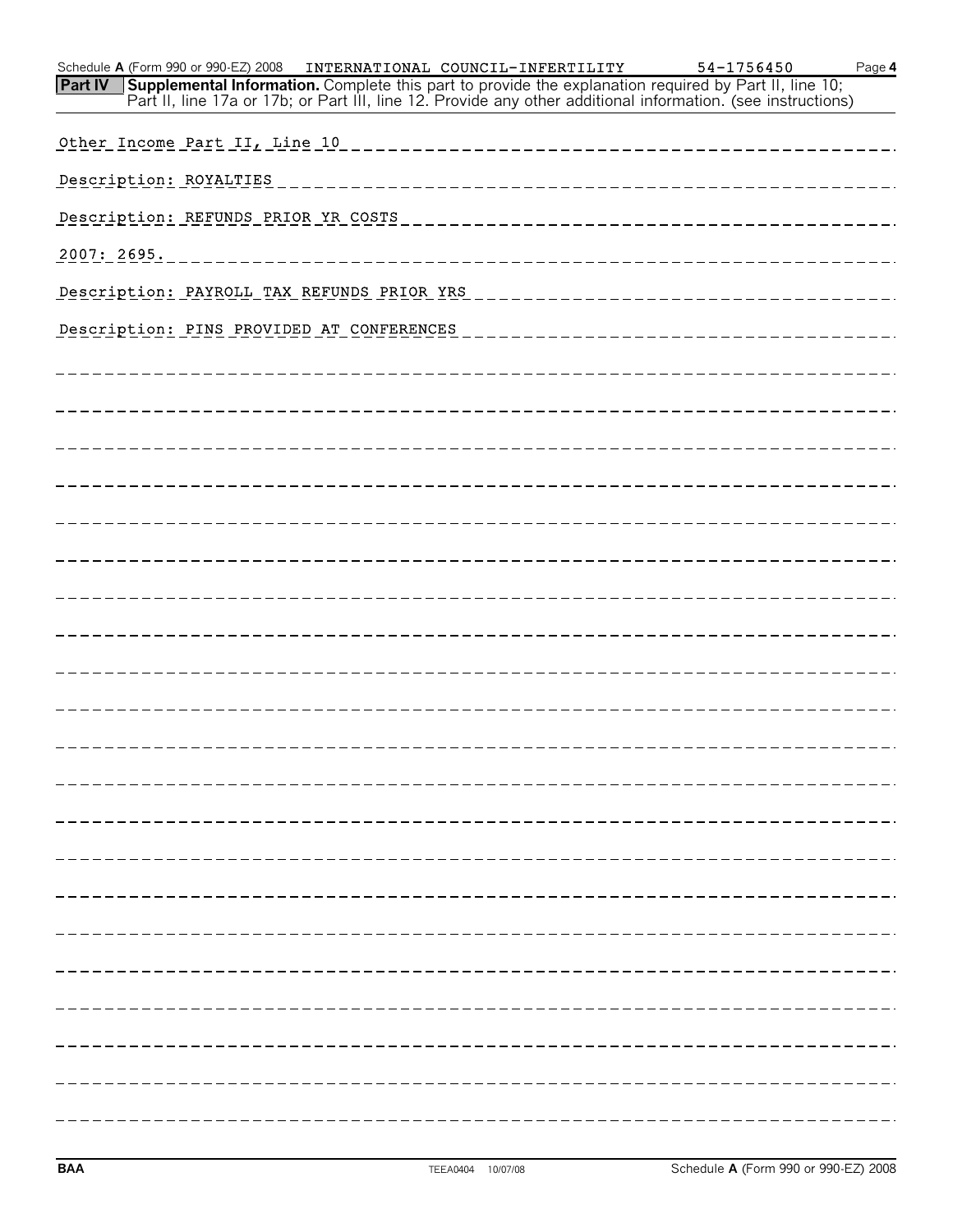| Schedule A (Form 990 or 990-EZ) 2008    INTERNATIONAL COUNCIL-INFERTILITY<br>Part IV Supplemental Information. Complete this part to provide the explanation required by Part II, line 10; |                         |                                  | 54-1756450<br>Part II, line 17a or 17b; or Part III, line 12. Provide any other additional information. (see instructions) | Page 4 |
|--------------------------------------------------------------------------------------------------------------------------------------------------------------------------------------------|-------------------------|----------------------------------|----------------------------------------------------------------------------------------------------------------------------|--------|
| Other Income Part II, Line 10                                                                                                                                                              |                         | -------------------------------- |                                                                                                                            |        |
| Description: ROYALTIES                                                                                                                                                                     |                         | _____________________            |                                                                                                                            |        |
| Description: REFUNDS PRIOR YR COSTS                                                                                                                                                        |                         | ------------------               |                                                                                                                            |        |
| 2007: 2695.                                                                                                                                                                                | _______________________ |                                  |                                                                                                                            |        |
| Description: PAYROLL TAX REFUNDS PRIOR YRS                                                                                                                                                 |                         |                                  |                                                                                                                            |        |
| Description: PINS PROVIDED AT CONFERENCES                                                                                                                                                  |                         |                                  |                                                                                                                            |        |
|                                                                                                                                                                                            |                         |                                  |                                                                                                                            |        |
|                                                                                                                                                                                            |                         |                                  |                                                                                                                            |        |
|                                                                                                                                                                                            |                         |                                  |                                                                                                                            |        |
|                                                                                                                                                                                            |                         |                                  |                                                                                                                            |        |
|                                                                                                                                                                                            |                         |                                  |                                                                                                                            |        |
|                                                                                                                                                                                            |                         |                                  |                                                                                                                            |        |
|                                                                                                                                                                                            |                         |                                  |                                                                                                                            |        |
|                                                                                                                                                                                            |                         |                                  |                                                                                                                            |        |
|                                                                                                                                                                                            |                         |                                  |                                                                                                                            |        |
|                                                                                                                                                                                            |                         |                                  |                                                                                                                            |        |
|                                                                                                                                                                                            |                         |                                  |                                                                                                                            |        |
|                                                                                                                                                                                            |                         |                                  |                                                                                                                            |        |
|                                                                                                                                                                                            |                         |                                  |                                                                                                                            |        |
|                                                                                                                                                                                            |                         |                                  |                                                                                                                            |        |
|                                                                                                                                                                                            |                         |                                  |                                                                                                                            |        |
|                                                                                                                                                                                            |                         |                                  |                                                                                                                            |        |
|                                                                                                                                                                                            |                         |                                  |                                                                                                                            |        |
|                                                                                                                                                                                            |                         |                                  |                                                                                                                            |        |
|                                                                                                                                                                                            |                         |                                  |                                                                                                                            |        |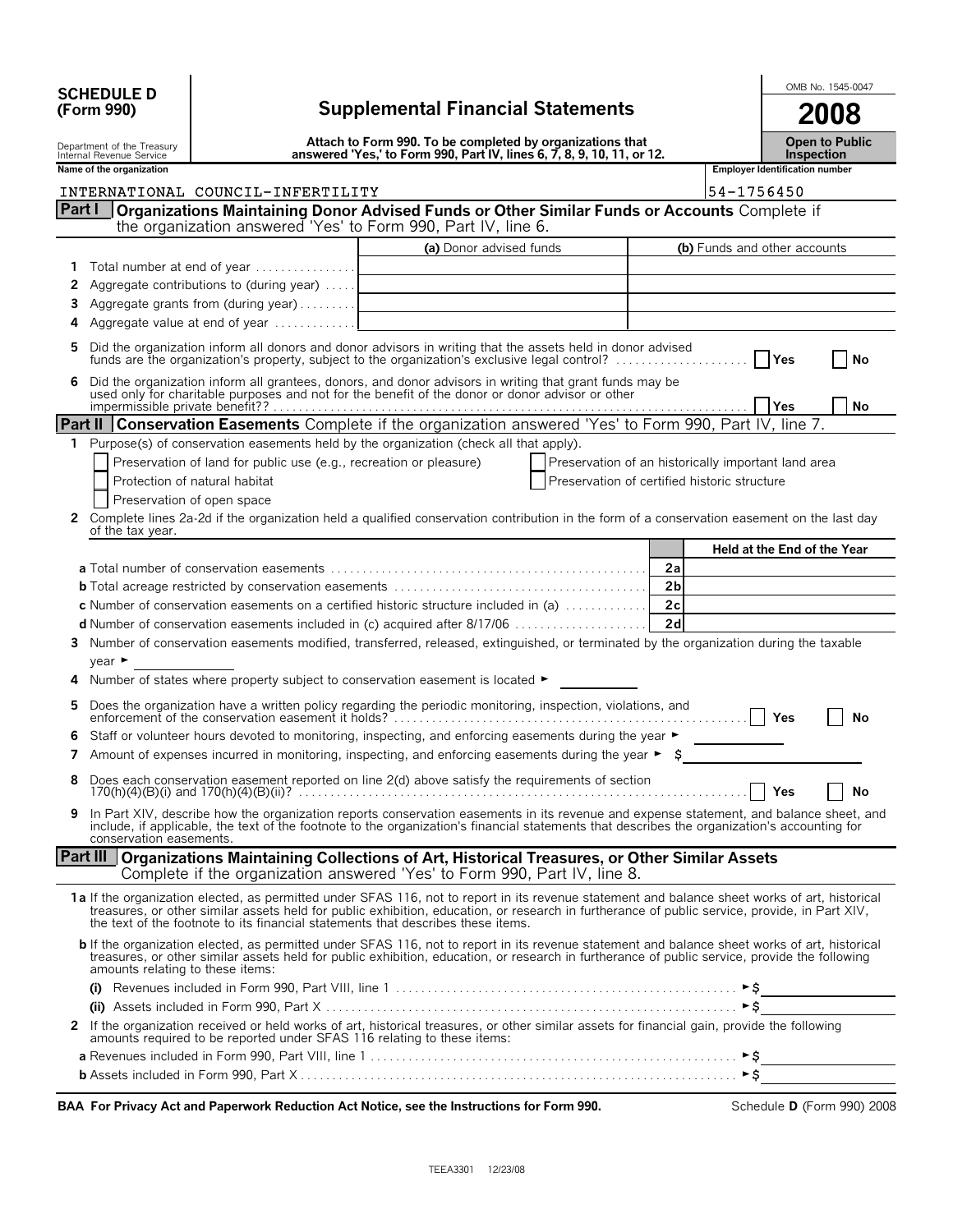|            | <b>SCHEDULE D</b> |  |
|------------|-------------------|--|
| (Form 990) |                   |  |

 $\overline{\phantom{0}}$ 

|        | <b>SCHEDULE D</b>                                      |                                                                                                                                     |                                                                                                                                                                                                                                                                                                                                                                                     |                                                     |                   |                                       |     | OMB No. 1545-0047 |
|--------|--------------------------------------------------------|-------------------------------------------------------------------------------------------------------------------------------------|-------------------------------------------------------------------------------------------------------------------------------------------------------------------------------------------------------------------------------------------------------------------------------------------------------------------------------------------------------------------------------------|-----------------------------------------------------|-------------------|---------------------------------------|-----|-------------------|
|        | (Form 990)                                             | <b>Supplemental Financial Statements</b>                                                                                            |                                                                                                                                                                                                                                                                                                                                                                                     |                                                     |                   | 2008                                  |     |                   |
|        | Department of the Treasury<br>Internal Revenue Service | Attach to Form 990. To be completed by organizations that<br>answered 'Yes,' to Form 990, Part IV, lines 6, 7, 8, 9, 10, 11, or 12. |                                                                                                                                                                                                                                                                                                                                                                                     |                                                     | <b>Inspection</b> | <b>Open to Public</b>                 |     |                   |
|        | Name of the organization                               |                                                                                                                                     |                                                                                                                                                                                                                                                                                                                                                                                     |                                                     |                   | <b>Employer Identification number</b> |     |                   |
|        |                                                        | INTERNATIONAL COUNCIL-INFERTILITY                                                                                                   |                                                                                                                                                                                                                                                                                                                                                                                     |                                                     |                   | 54-1756450                            |     |                   |
| Part I |                                                        |                                                                                                                                     | Organizations Maintaining Donor Advised Funds or Other Similar Funds or Accounts Complete if<br>the organization answered 'Yes' to Form 990, Part IV, line 6.                                                                                                                                                                                                                       |                                                     |                   |                                       |     |                   |
|        |                                                        |                                                                                                                                     | (a) Donor advised funds                                                                                                                                                                                                                                                                                                                                                             |                                                     |                   | (b) Funds and other accounts          |     |                   |
|        |                                                        | 1 Total number at end of year                                                                                                       |                                                                                                                                                                                                                                                                                                                                                                                     |                                                     |                   |                                       |     |                   |
| 2      |                                                        | Aggregate contributions to (during year)                                                                                            |                                                                                                                                                                                                                                                                                                                                                                                     |                                                     |                   |                                       |     |                   |
| 3.     |                                                        | Aggregate grants from (during year)                                                                                                 | <u> 1989 - Johann Barn, mars ann an t-Amhain Aonaich an t-Aonaich an t-Aonaich an t-Aonaich an t-Aonaich an t-Aon</u>                                                                                                                                                                                                                                                               |                                                     |                   |                                       |     |                   |
| 4      |                                                        | Aggregate value at end of year                                                                                                      |                                                                                                                                                                                                                                                                                                                                                                                     |                                                     |                   |                                       |     |                   |
| 5.     |                                                        |                                                                                                                                     | Did the organization inform all donors and donor advisors in writing that the assets held in donor advised<br>funds are the organization's property, subject to the organization's exclusive legal control?                                                                                                                                                                         |                                                     |                   |                                       | Yes | No                |
| 6      |                                                        |                                                                                                                                     | Did the organization inform all grantees, donors, and donor advisors in writing that grant funds may be used only for charitable purposes and not for the benefit of the donor or donor advisor or other                                                                                                                                                                            |                                                     |                   |                                       | Yes | No                |
|        |                                                        |                                                                                                                                     | Part II Conservation Easements Complete if the organization answered 'Yes' to Form 990, Part IV, line 7.                                                                                                                                                                                                                                                                            |                                                     |                   |                                       |     |                   |
|        |                                                        |                                                                                                                                     | 1 Purpose(s) of conservation easements held by the organization (check all that apply).                                                                                                                                                                                                                                                                                             |                                                     |                   |                                       |     |                   |
|        |                                                        | Preservation of land for public use (e.g., recreation or pleasure)                                                                  |                                                                                                                                                                                                                                                                                                                                                                                     | Preservation of an historically important land area |                   |                                       |     |                   |
|        |                                                        | Protection of natural habitat                                                                                                       |                                                                                                                                                                                                                                                                                                                                                                                     | Preservation of certified historic structure        |                   |                                       |     |                   |
|        |                                                        | Preservation of open space                                                                                                          |                                                                                                                                                                                                                                                                                                                                                                                     |                                                     |                   |                                       |     |                   |
|        | of the tax year.                                       |                                                                                                                                     | 2 Complete lines 2a-2d if the organization held a qualified conservation contribution in the form of a conservation easement on the last day                                                                                                                                                                                                                                        |                                                     |                   |                                       |     |                   |
|        |                                                        |                                                                                                                                     |                                                                                                                                                                                                                                                                                                                                                                                     |                                                     |                   | Held at the End of the Year           |     |                   |
|        |                                                        |                                                                                                                                     |                                                                                                                                                                                                                                                                                                                                                                                     |                                                     | 2a                |                                       |     |                   |
|        |                                                        |                                                                                                                                     |                                                                                                                                                                                                                                                                                                                                                                                     |                                                     | 2 <sub>b</sub>    |                                       |     |                   |
|        |                                                        |                                                                                                                                     | <b>c</b> Number of conservation easements on a certified historic structure included in (a) $\ldots$                                                                                                                                                                                                                                                                                |                                                     | 2c                |                                       |     |                   |
|        |                                                        |                                                                                                                                     |                                                                                                                                                                                                                                                                                                                                                                                     |                                                     | 2d                |                                       |     |                   |
|        | year                                                   |                                                                                                                                     | 3 Number of conservation easements modified, transferred, released, extinguished, or terminated by the organization during the taxable                                                                                                                                                                                                                                              |                                                     |                   |                                       |     |                   |
|        |                                                        |                                                                                                                                     | 4 Number of states where property subject to conservation easement is located $\blacktriangleright$                                                                                                                                                                                                                                                                                 |                                                     |                   |                                       |     |                   |
| 5.     |                                                        |                                                                                                                                     |                                                                                                                                                                                                                                                                                                                                                                                     |                                                     |                   |                                       | Yes | No                |
|        |                                                        |                                                                                                                                     | Staff or volunteer hours devoted to monitoring, inspecting, and enforcing easements during the year ►                                                                                                                                                                                                                                                                               |                                                     |                   |                                       |     |                   |
|        |                                                        |                                                                                                                                     | 7 Amount of expenses incurred in monitoring, inspecting, and enforcing easements during the year $\triangleright$ \$                                                                                                                                                                                                                                                                |                                                     |                   |                                       |     |                   |
|        |                                                        |                                                                                                                                     | 8 Does each conservation easement reported on line 2(d) above satisfy the requirements of section                                                                                                                                                                                                                                                                                   |                                                     |                   |                                       | Yes | No                |
|        |                                                        |                                                                                                                                     | In Part XIV, describe how the organization reports conservation easements in its revenue and expense statement, and balance sheet, and<br>include, if applicable, the text of the footnote to the organization's financial statements that describes the organization's accounting for                                                                                              |                                                     |                   |                                       |     |                   |
|        | conservation easements.                                |                                                                                                                                     |                                                                                                                                                                                                                                                                                                                                                                                     |                                                     |                   |                                       |     |                   |
|        |                                                        |                                                                                                                                     | Part III Organizations Maintaining Collections of Art, Historical Treasures, or Other Similar Assets<br>Complete if the organization answered 'Yes' to Form 990, Part IV, line 8.                                                                                                                                                                                                   |                                                     |                   |                                       |     |                   |
|        |                                                        |                                                                                                                                     | 1a If the organization elected, as permitted under SFAS 116, not to report in its revenue statement and balance sheet works of art, historical<br>treasures, or other similar assets held for public exhibition, education, or research in furtherance of public service, provide, in Part XIV,<br>the text of the footnote to its financial statements that describes these items. |                                                     |                   |                                       |     |                   |
|        | amounts relating to these items:                       |                                                                                                                                     | <b>b</b> If the organization elected, as permitted under SFAS 116, not to report in its revenue statement and balance sheet works of art, historical<br>treasures, or other similar assets held for public exhibition, education, or research in furtherance of public service, provide the following                                                                               |                                                     |                   |                                       |     |                   |
|        |                                                        |                                                                                                                                     |                                                                                                                                                                                                                                                                                                                                                                                     |                                                     |                   | ►\$                                   |     |                   |
|        |                                                        |                                                                                                                                     |                                                                                                                                                                                                                                                                                                                                                                                     |                                                     |                   | $\triangleright$ \$                   |     |                   |
|        |                                                        | amounts required to be reported under SFAS 116 relating to these items:                                                             | 2 If the organization received or held works of art, historical treasures, or other similar assets for financial gain, provide the following                                                                                                                                                                                                                                        |                                                     |                   |                                       |     |                   |
|        |                                                        |                                                                                                                                     |                                                                                                                                                                                                                                                                                                                                                                                     |                                                     |                   |                                       |     |                   |
|        |                                                        |                                                                                                                                     |                                                                                                                                                                                                                                                                                                                                                                                     |                                                     |                   | ►Ŝ                                    |     |                   |

BAA For Privacy Act and Paperwork Reduction Act Notice, see the Instructions for Form 990. Schedule D (Form 990) 2008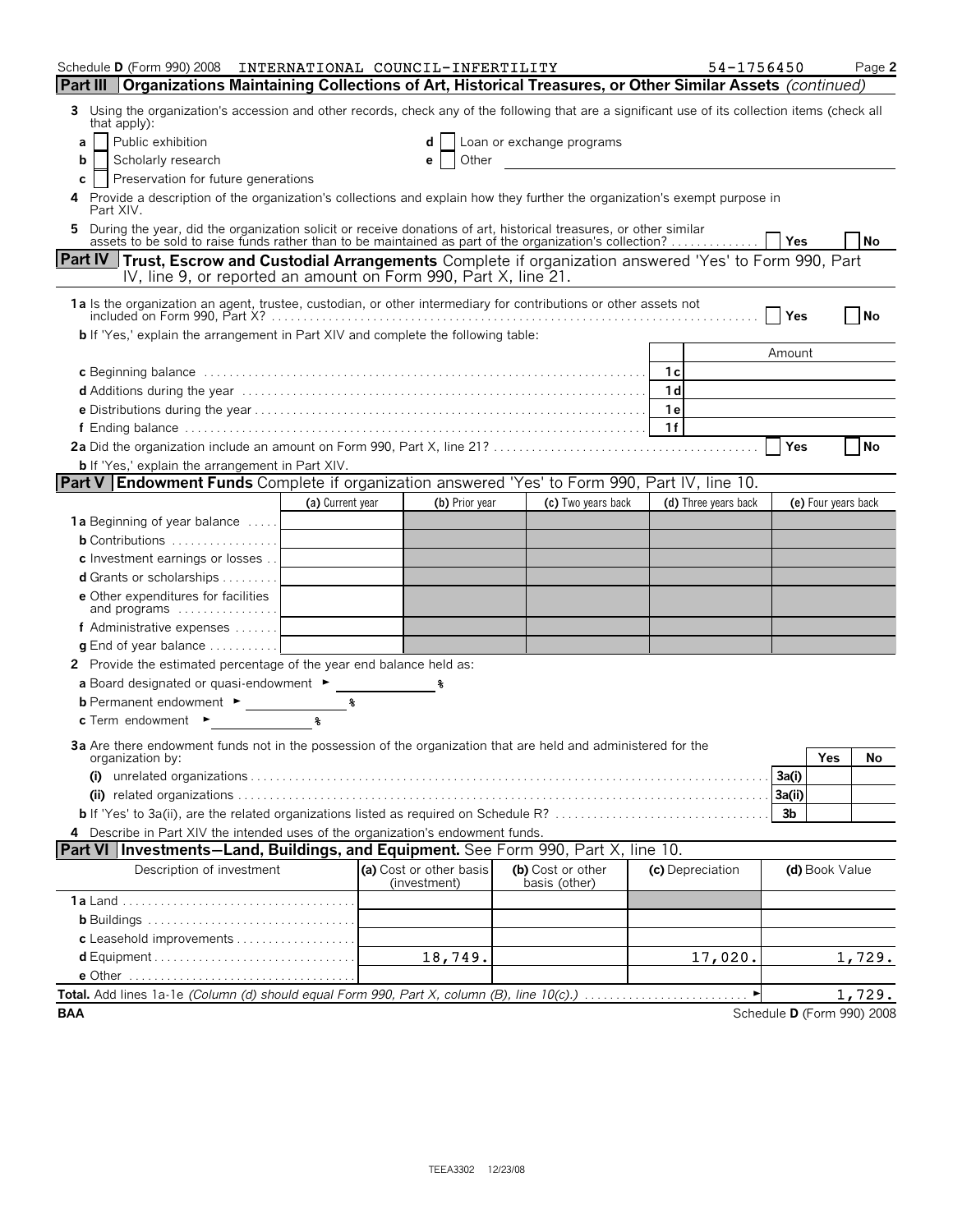| Schedule D (Form 990) 2008                                                                                                                                                                                                     | INTERNATIONAL COUNCIL-INFERTILITY |                                         |                                                                                                                                                                                                                                      | 54-1756450           |                            | Page 2    |
|--------------------------------------------------------------------------------------------------------------------------------------------------------------------------------------------------------------------------------|-----------------------------------|-----------------------------------------|--------------------------------------------------------------------------------------------------------------------------------------------------------------------------------------------------------------------------------------|----------------------|----------------------------|-----------|
| Part III   Organizations Maintaining Collections of Art, Historical Treasures, or Other Similar Assets (continued)                                                                                                             |                                   |                                         |                                                                                                                                                                                                                                      |                      |                            |           |
| Using the organization's accession and other records, check any of the following that are a significant use of its collection items (check all<br>3<br>that apply):                                                            |                                   |                                         |                                                                                                                                                                                                                                      |                      |                            |           |
| Public exhibition<br>a                                                                                                                                                                                                         |                                   |                                         | Loan or exchange programs                                                                                                                                                                                                            |                      |                            |           |
| Scholarly research<br>b                                                                                                                                                                                                        |                                   | Other<br>e                              | <u>and the community of the community of the community of the community of the community of the community of the community of the community of the community of the community of the community of the community of the community</u> |                      |                            |           |
| Preservation for future generations<br>C                                                                                                                                                                                       |                                   |                                         |                                                                                                                                                                                                                                      |                      |                            |           |
| Provide a description of the organization's collections and explain how they further the organization's exempt purpose in<br>4<br>Part XIV.                                                                                    |                                   |                                         |                                                                                                                                                                                                                                      |                      |                            |           |
| 5 During the year, did the organization solicit or receive donations of art, historical treasures, or other similar<br>assets to be sold to raise funds rather than to be maintained as part of the organization's collection? |                                   |                                         |                                                                                                                                                                                                                                      |                      |                            | <b>No</b> |
| <b>Part IV</b> Trust, Escrow and Custodial Arrangements Complete if organization answered 'Yes' to Form 990, Part                                                                                                              |                                   |                                         |                                                                                                                                                                                                                                      |                      | Yes                        |           |
| IV, line 9, or reported an amount on Form 990, Part X, line 21.                                                                                                                                                                |                                   |                                         |                                                                                                                                                                                                                                      |                      |                            |           |
|                                                                                                                                                                                                                                |                                   |                                         |                                                                                                                                                                                                                                      |                      |                            |           |
|                                                                                                                                                                                                                                |                                   |                                         |                                                                                                                                                                                                                                      |                      | Yes                        | No        |
| <b>b</b> If 'Yes,' explain the arrangement in Part XIV and complete the following table:                                                                                                                                       |                                   |                                         |                                                                                                                                                                                                                                      |                      |                            |           |
|                                                                                                                                                                                                                                |                                   |                                         |                                                                                                                                                                                                                                      |                      | Amount                     |           |
|                                                                                                                                                                                                                                |                                   |                                         |                                                                                                                                                                                                                                      | 1c                   |                            |           |
|                                                                                                                                                                                                                                |                                   |                                         |                                                                                                                                                                                                                                      | 1 <sub>d</sub>       |                            |           |
|                                                                                                                                                                                                                                |                                   |                                         |                                                                                                                                                                                                                                      | <b>1e</b>            |                            |           |
|                                                                                                                                                                                                                                |                                   |                                         |                                                                                                                                                                                                                                      | 1f                   |                            |           |
|                                                                                                                                                                                                                                |                                   |                                         |                                                                                                                                                                                                                                      |                      | <b>Yes</b>                 | <b>No</b> |
| <b>b</b> If 'Yes,' explain the arrangement in Part XIV.<br><b>Part V Endowment Funds</b> Complete if organization answered 'Yes' to Form 990, Part IV, line 10.                                                                |                                   |                                         |                                                                                                                                                                                                                                      |                      |                            |           |
|                                                                                                                                                                                                                                |                                   |                                         |                                                                                                                                                                                                                                      | (d) Three years back |                            |           |
|                                                                                                                                                                                                                                | (a) Current year                  | (b) Prior year                          | (c) Two years back                                                                                                                                                                                                                   |                      | (e) Four years back        |           |
| 1a Beginning of year balance<br><b>b</b> Contributions                                                                                                                                                                         |                                   |                                         |                                                                                                                                                                                                                                      |                      |                            |           |
| c Investment earnings or losses                                                                                                                                                                                                |                                   |                                         |                                                                                                                                                                                                                                      |                      |                            |           |
| <b>d</b> Grants or scholarships $\ldots \ldots \ldots$                                                                                                                                                                         |                                   |                                         |                                                                                                                                                                                                                                      |                      |                            |           |
| e Other expenditures for facilities<br>and programs                                                                                                                                                                            |                                   |                                         |                                                                                                                                                                                                                                      |                      |                            |           |
| f Administrative expenses                                                                                                                                                                                                      |                                   |                                         |                                                                                                                                                                                                                                      |                      |                            |           |
| <b>g</b> End of year balance $\ldots \ldots \ldots$                                                                                                                                                                            |                                   |                                         |                                                                                                                                                                                                                                      |                      |                            |           |
| 2 Provide the estimated percentage of the year end balance held as:                                                                                                                                                            |                                   |                                         |                                                                                                                                                                                                                                      |                      |                            |           |
| a Board designated or quasi-endowment ►                                                                                                                                                                                        |                                   |                                         |                                                                                                                                                                                                                                      |                      |                            |           |
| <b>b</b> Permanent endowment ►                                                                                                                                                                                                 | ៖                                 |                                         |                                                                                                                                                                                                                                      |                      |                            |           |
| $c$ Term endowment $\blacktriangleright$                                                                                                                                                                                       | 导                                 |                                         |                                                                                                                                                                                                                                      |                      |                            |           |
|                                                                                                                                                                                                                                |                                   |                                         |                                                                                                                                                                                                                                      |                      |                            |           |
| 3a Are there endowment funds not in the possession of the organization that are held and administered for the<br>organization by:                                                                                              |                                   |                                         |                                                                                                                                                                                                                                      |                      | Yes                        | No        |
|                                                                                                                                                                                                                                |                                   |                                         |                                                                                                                                                                                                                                      |                      | 3a(i)                      |           |
|                                                                                                                                                                                                                                |                                   |                                         |                                                                                                                                                                                                                                      |                      | 3a(ii)                     |           |
|                                                                                                                                                                                                                                |                                   |                                         |                                                                                                                                                                                                                                      |                      | 3b                         |           |
| 4 Describe in Part XIV the intended uses of the organization's endowment funds.                                                                                                                                                |                                   |                                         |                                                                                                                                                                                                                                      |                      |                            |           |
| Part VI   Investments-Land, Buildings, and Equipment. See Form 990, Part X, line 10.                                                                                                                                           |                                   |                                         |                                                                                                                                                                                                                                      |                      |                            |           |
| Description of investment                                                                                                                                                                                                      |                                   | (a) Cost or other basis<br>(investment) | (b) Cost or other<br>basis (other)                                                                                                                                                                                                   | (c) Depreciation     | (d) Book Value             |           |
|                                                                                                                                                                                                                                |                                   |                                         |                                                                                                                                                                                                                                      |                      |                            |           |
|                                                                                                                                                                                                                                |                                   |                                         |                                                                                                                                                                                                                                      |                      |                            |           |
|                                                                                                                                                                                                                                |                                   |                                         |                                                                                                                                                                                                                                      |                      |                            |           |
| d Equipment                                                                                                                                                                                                                    |                                   | 18,749.                                 |                                                                                                                                                                                                                                      | 17,020.              |                            | 1,729.    |
|                                                                                                                                                                                                                                |                                   |                                         |                                                                                                                                                                                                                                      |                      |                            |           |
|                                                                                                                                                                                                                                |                                   |                                         |                                                                                                                                                                                                                                      |                      |                            | 1,729.    |
| <b>BAA</b>                                                                                                                                                                                                                     |                                   |                                         |                                                                                                                                                                                                                                      |                      | Schedule D (Form 990) 2008 |           |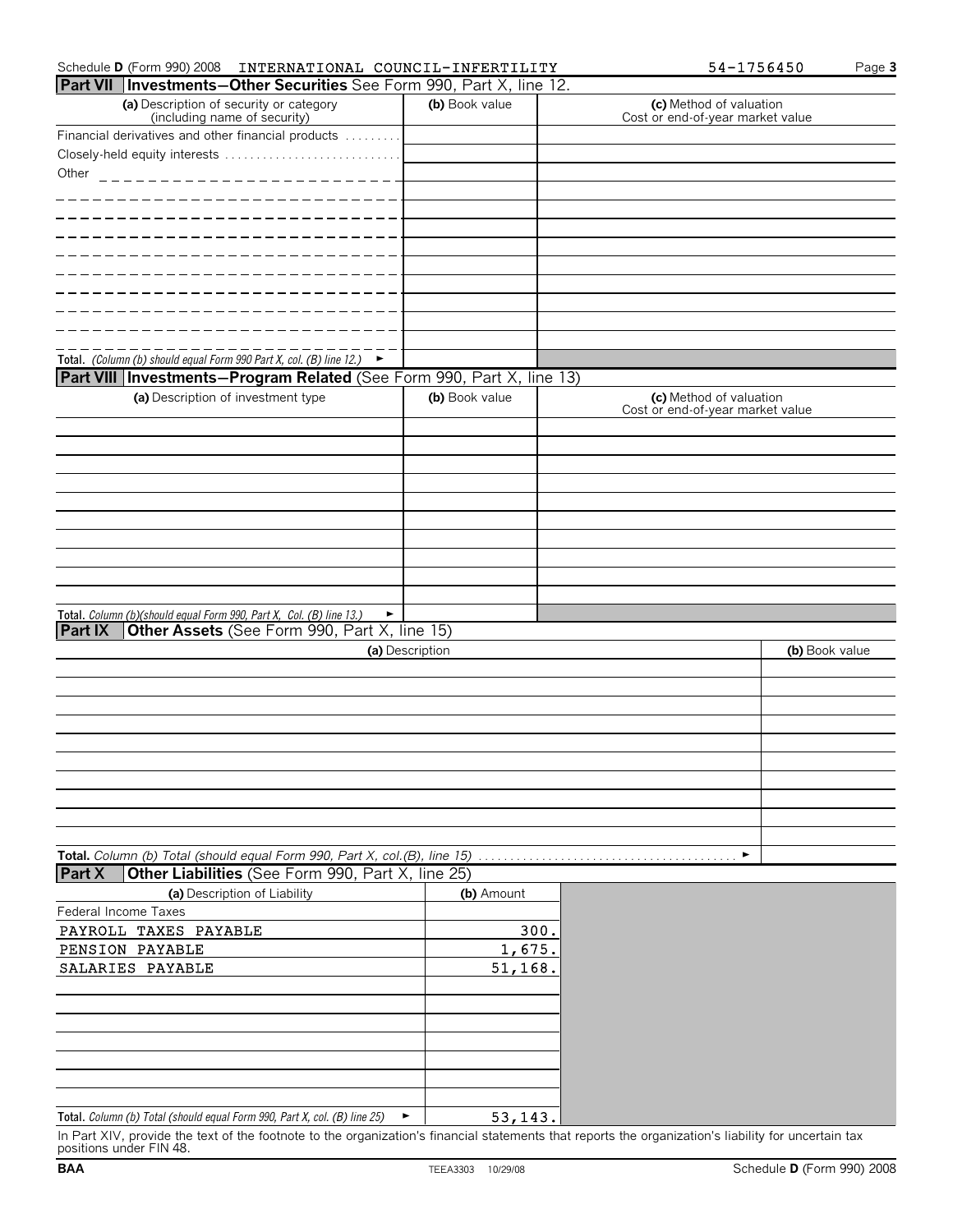| <b>Part VII   Investments-Other Securities</b> See Form 990, Part X, line 12.     |                 |                                                             |  |
|-----------------------------------------------------------------------------------|-----------------|-------------------------------------------------------------|--|
| (a) Description of security or category<br>(including name of security)           | (b) Book value  | (c) Method of valuation<br>Cost or end-of-year market value |  |
| Financial derivatives and other financial products                                |                 |                                                             |  |
| Closely-held equity interests                                                     |                 |                                                             |  |
| Other<br>____________________________                                             |                 |                                                             |  |
|                                                                                   |                 |                                                             |  |
|                                                                                   |                 |                                                             |  |
|                                                                                   |                 |                                                             |  |
|                                                                                   |                 |                                                             |  |
|                                                                                   |                 |                                                             |  |
|                                                                                   |                 |                                                             |  |
|                                                                                   |                 |                                                             |  |
|                                                                                   |                 |                                                             |  |
|                                                                                   |                 |                                                             |  |
| Total. (Column (b) should equal Form 990 Part X, col. (B) line 12.) $\rightarrow$ |                 |                                                             |  |
| Part VIII   Investments-Program Related (See Form 990, Part X, line 13)           |                 |                                                             |  |
| (a) Description of investment type                                                | (b) Book value  | (c) Method of valuation                                     |  |
|                                                                                   |                 | Cost or end-of-year market value                            |  |
|                                                                                   |                 |                                                             |  |
|                                                                                   |                 |                                                             |  |
|                                                                                   |                 |                                                             |  |
|                                                                                   |                 |                                                             |  |
|                                                                                   |                 |                                                             |  |
|                                                                                   |                 |                                                             |  |
|                                                                                   |                 |                                                             |  |
|                                                                                   |                 |                                                             |  |
|                                                                                   |                 |                                                             |  |
|                                                                                   |                 |                                                             |  |
| Total. Column (b)(should equal Form 990, Part X, Col. (B) line 13.)<br>٠          |                 |                                                             |  |
| Other Assets (See Form 990, Part X, line 15)<br>Part IX                           |                 |                                                             |  |
|                                                                                   | (a) Description | (b) Book value                                              |  |
|                                                                                   |                 |                                                             |  |
|                                                                                   |                 |                                                             |  |
|                                                                                   |                 |                                                             |  |
|                                                                                   |                 |                                                             |  |
|                                                                                   |                 |                                                             |  |
|                                                                                   |                 |                                                             |  |
|                                                                                   |                 |                                                             |  |
|                                                                                   |                 |                                                             |  |
|                                                                                   |                 |                                                             |  |
|                                                                                   |                 |                                                             |  |
| Total. Column (b) Total (should equal Form 990, Part X, col.(B), line 15)         |                 | ▸                                                           |  |
| Part X<br>Other Liabilities (See Form 990, Part X, line 25)                       |                 |                                                             |  |
| (a) Description of Liability                                                      | (b) Amount      |                                                             |  |
| Federal Income Taxes                                                              |                 |                                                             |  |
| $\frac{1}{2}$                                                                     | 200             |                                                             |  |

Schedule **D** (Form 990) 2008 INTERNATIONAL COUNCIL-INFERTILITY 54-1756450 Page 3

|                                                                                                    | $\ddot{\phantom{0}}$ |
|----------------------------------------------------------------------------------------------------|----------------------|
| Federal Income Taxes                                                                               |                      |
| PAYROLL TAXES PAYABLE                                                                              | 300.                 |
| PENSION PAYABLE                                                                                    | 1,675.               |
| SALARIES PAYABLE                                                                                   | 51, 168.             |
|                                                                                                    |                      |
|                                                                                                    |                      |
|                                                                                                    |                      |
|                                                                                                    |                      |
|                                                                                                    |                      |
|                                                                                                    |                      |
|                                                                                                    |                      |
| Total. Column (b) Total (should equal Form 990, Part X, col. (B) line 25)<br>$\blacktriangleright$ | 53,143.              |

In Part XIV, provide the text of the footnote to the organization's financial statements that reports the organization's liability for uncertain tax positions under FIN 48.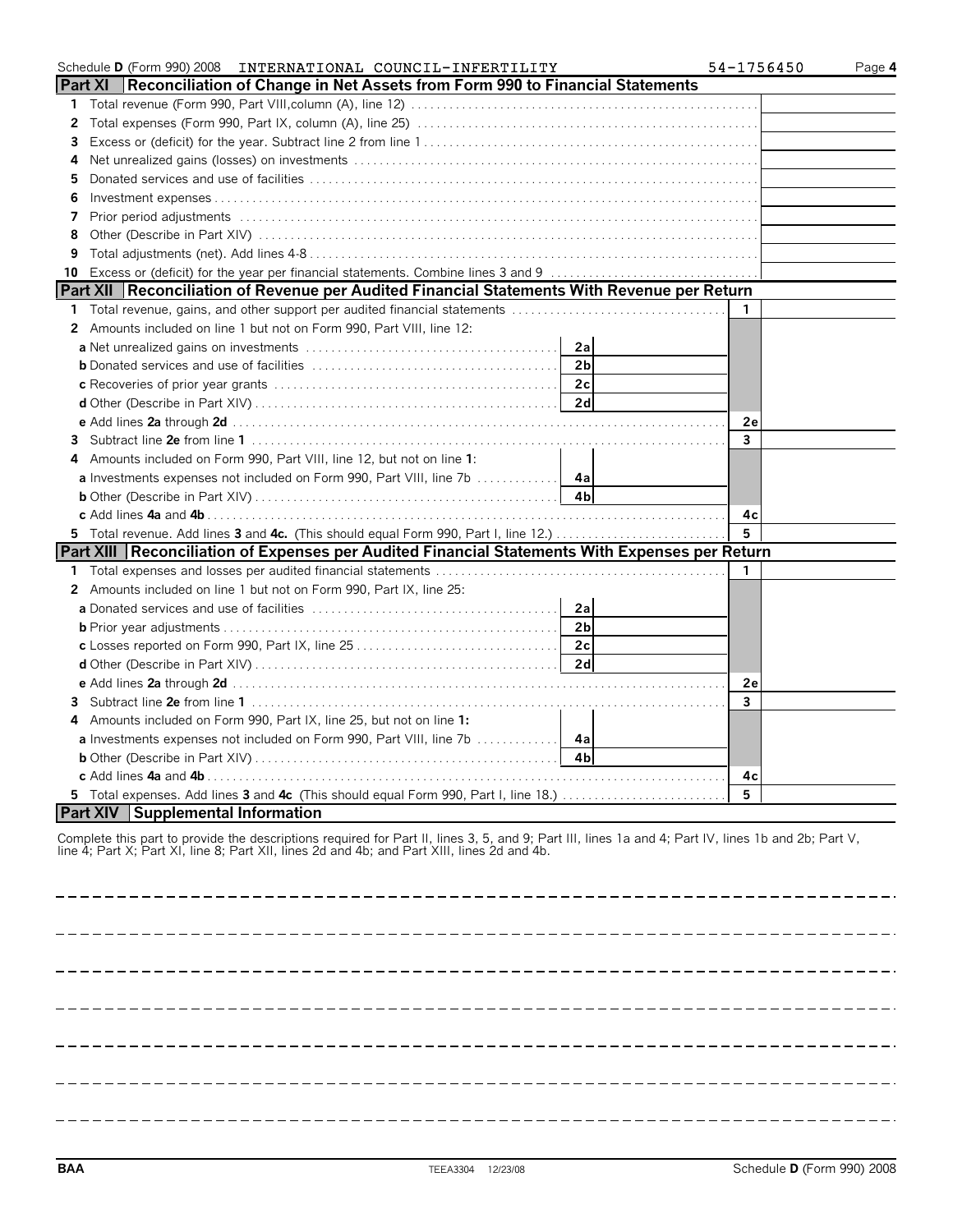|              | Schedule D (Form 990) 2008 INTERNATIONAL COUNCIL-INFERTILITY                                                                                                                                                                                       | 54-1756450   | Page 4 |
|--------------|----------------------------------------------------------------------------------------------------------------------------------------------------------------------------------------------------------------------------------------------------|--------------|--------|
|              | Part XI Reconciliation of Change in Net Assets from Form 990 to Financial Statements                                                                                                                                                               |              |        |
| 1            |                                                                                                                                                                                                                                                    |              |        |
| $\mathbf{2}$ |                                                                                                                                                                                                                                                    |              |        |
| 3            |                                                                                                                                                                                                                                                    |              |        |
| 4            |                                                                                                                                                                                                                                                    |              |        |
| 5            |                                                                                                                                                                                                                                                    |              |        |
| 6            |                                                                                                                                                                                                                                                    |              |        |
| 7            |                                                                                                                                                                                                                                                    |              |        |
| 8            |                                                                                                                                                                                                                                                    |              |        |
| 9            |                                                                                                                                                                                                                                                    |              |        |
| 10           |                                                                                                                                                                                                                                                    |              |        |
|              | Part XII Reconciliation of Revenue per Audited Financial Statements With Revenue per Return                                                                                                                                                        |              |        |
|              | 1 Total revenue, gains, and other support per audited financial statements                                                                                                                                                                         | 1            |        |
|              | 2 Amounts included on line 1 but not on Form 990, Part VIII, line 12:                                                                                                                                                                              |              |        |
|              | 2a                                                                                                                                                                                                                                                 |              |        |
|              | 2 <sub>b</sub>                                                                                                                                                                                                                                     |              |        |
|              | 2c                                                                                                                                                                                                                                                 |              |        |
|              | 2d                                                                                                                                                                                                                                                 |              |        |
|              |                                                                                                                                                                                                                                                    | 2e           |        |
|              |                                                                                                                                                                                                                                                    | 3            |        |
|              | Amounts included on Form 990, Part VIII, line 12, but not on line 1:                                                                                                                                                                               |              |        |
|              |                                                                                                                                                                                                                                                    |              |        |
|              |                                                                                                                                                                                                                                                    |              |        |
|              |                                                                                                                                                                                                                                                    | 4c           |        |
|              | 5 Total revenue. Add lines 3 and 4c. (This should equal Form 990, Part I, line 12.)                                                                                                                                                                | 5            |        |
|              | Part XIII Reconciliation of Expenses per Audited Financial Statements With Expenses per Return                                                                                                                                                     |              |        |
|              |                                                                                                                                                                                                                                                    | $\mathbf{1}$ |        |
|              | 2 Amounts included on line 1 but not on Form 990, Part IX, line 25:                                                                                                                                                                                |              |        |
|              | 2a                                                                                                                                                                                                                                                 |              |        |
|              | 2 <sub>b</sub>                                                                                                                                                                                                                                     |              |        |
|              | 2c<br>c Losses reported on Form 990, Part IX, line 25                                                                                                                                                                                              |              |        |
|              | 2d                                                                                                                                                                                                                                                 |              |        |
|              |                                                                                                                                                                                                                                                    | 2e           |        |
| 3            |                                                                                                                                                                                                                                                    | 3            |        |
| 4            | Amounts included on Form 990, Part IX, line 25, but not on line 1:                                                                                                                                                                                 |              |        |
|              |                                                                                                                                                                                                                                                    |              |        |
|              | 4 <sub>b</sub><br><b>b</b> Other (Describe in Part XIV) $\ldots$ $\ldots$ $\ldots$ $\ldots$ $\ldots$ $\ldots$ $\ldots$ $\ldots$ $\ldots$                                                                                                           |              |        |
|              |                                                                                                                                                                                                                                                    | 4c<br>5      |        |
|              | 5 Total expenses. Add lines 3 and 4c (This should equal Form 990, Part I, line 18.)<br><b>Part XIV</b> Supplemental Information                                                                                                                    |              |        |
|              |                                                                                                                                                                                                                                                    |              |        |
|              | Complete this part to provide the descriptions required for Part II, lines 3, 5, and 9; Part III, lines 1a and 4; Part IV, lines 1b and 2b; Part V,<br>line 4; Part X; Part XI, line 8; Part XII, lines 2d and 4b; and Part XIII, lines 2d and 4b. |              |        |

----------------------------------------------

----------------- $=$  $\frac{1}{2}$ -------------- $\sim$  . \_\_\_\_\_\_\_\_\_\_\_\_\_\_\_\_\_\_\_\_\_\_\_\_\_\_ \_\_\_\_\_\_\_\_\_\_\_\_\_\_\_\_\_\_\_\_\_\_\_\_\_\_\_\_\_\_\_\_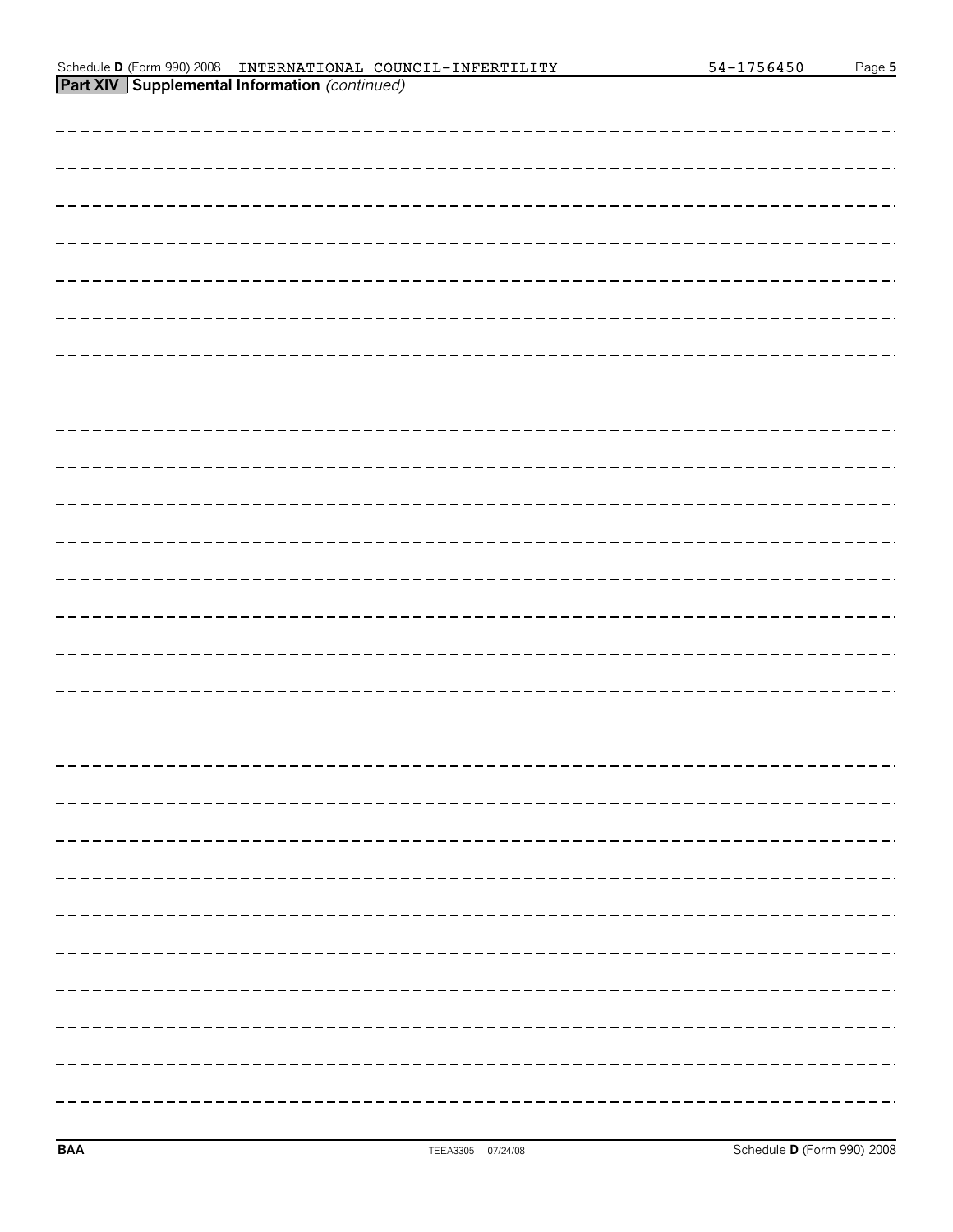#### Schedule **D** (Form 990) 2008 Page **5 Part XIV Supplemental Information** *(continued)* INTERNATIONAL COUNCIL-INFERTILITY 54-1756450

| -------------------               |
|-----------------------------------|
|                                   |
|                                   |
|                                   |
|                                   |
|                                   |
|                                   |
|                                   |
|                                   |
| -------------------               |
|                                   |
|                                   |
| - - - - - - - - - - - - -         |
|                                   |
|                                   |
|                                   |
| . _ _ _ _ _ _ _ _ _ _ _ _ _ _ _ _ |
|                                   |
|                                   |
|                                   |
|                                   |
|                                   |
|                                   |
|                                   |
|                                   |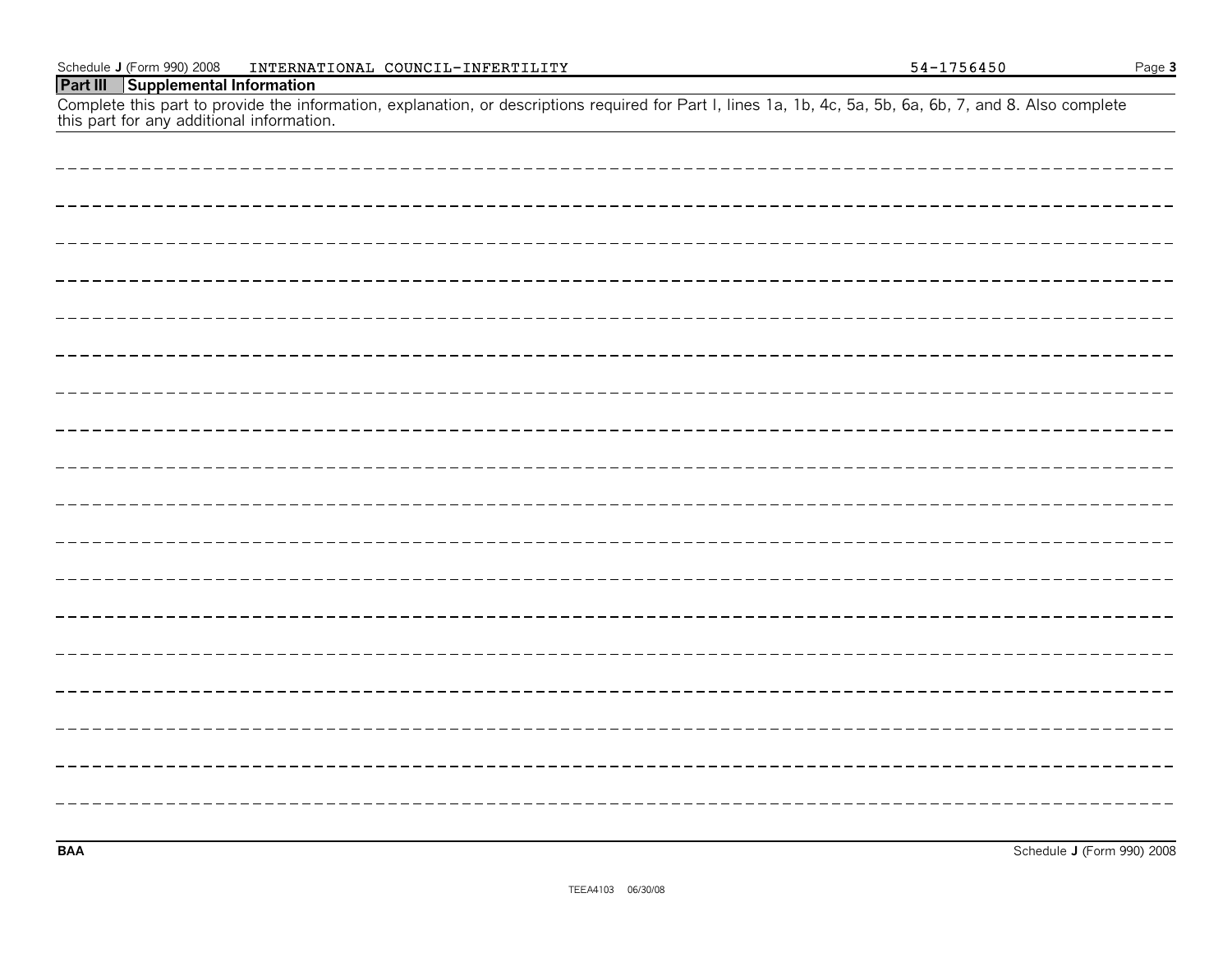| this part for any additional information. |
|-------------------------------------------|
|                                           |
|                                           |
|                                           |
|                                           |
|                                           |
|                                           |
|                                           |
|                                           |
| ____________________________              |
|                                           |
|                                           |
|                                           |
|                                           |
|                                           |
|                                           |
|                                           |
| -----------                               |
|                                           |
|                                           |
|                                           |

Complete this part to provide the information, explanation, or descriptions required for Part I, lines 1a, 1b, 4c, 5a, 5b, 6a, 6b, 7, and 8. Also complete

**Part III Supplemental Information**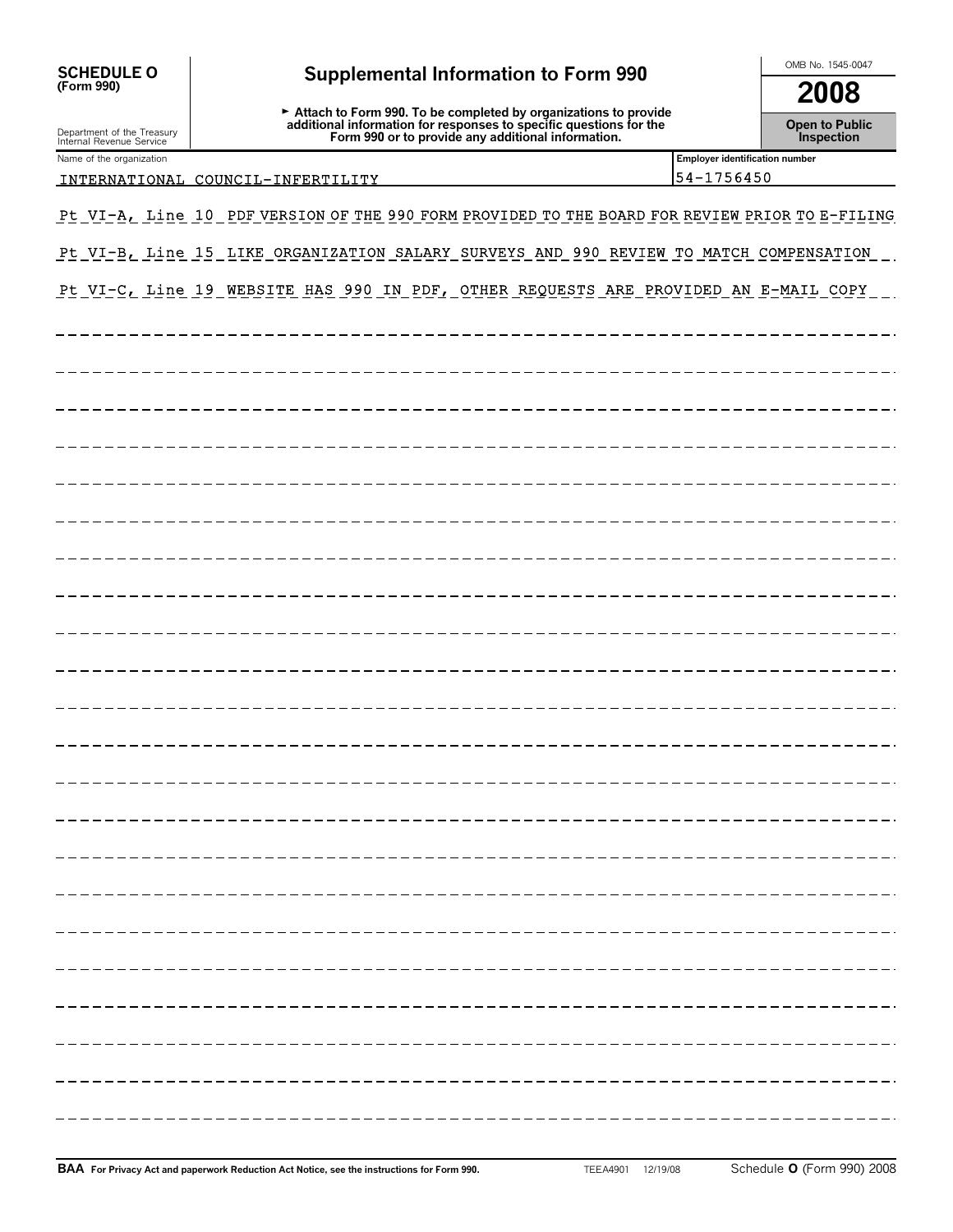| SCHEDULE O<br>(Form 990)                               | <b>Supplemental Information to Form 990</b>                                                                                                                                                                                           |                                              | OMB No. 1545-0047 |  |
|--------------------------------------------------------|---------------------------------------------------------------------------------------------------------------------------------------------------------------------------------------------------------------------------------------|----------------------------------------------|-------------------|--|
|                                                        |                                                                                                                                                                                                                                       |                                              | 2008              |  |
| Department of the Treasury<br>Internal Revenue Service | ► Attach to Form 990. To be completed by organizations to provide<br>additional information for responses to specific questions for the<br>Form 990 or to provide any additional information.<br><b>Open to Public<br/>Inspection</b> |                                              |                   |  |
| Name of the organization                               | INTERNATIONAL COUNCIL-INFERTILITY                                                                                                                                                                                                     | Employer identification number<br>54-1756450 |                   |  |
|                                                        |                                                                                                                                                                                                                                       |                                              |                   |  |
|                                                        | Pt VI-A, Line 10 PDF VERSION OF THE 990 FORM PROVIDED TO THE BOARD FOR REVIEW PRIOR TO E-FILING                                                                                                                                       |                                              |                   |  |
|                                                        | Pt VI-B, Line 15 LIKE ORGANIZATION SALARY SURVEYS AND 990 REVIEW TO MATCH COMPENSATION                                                                                                                                                |                                              |                   |  |
|                                                        | Pt VI-C, Line 19 WEBSITE HAS 990 IN PDF, OTHER REQUESTS ARE PROVIDED AN E-MAIL COPY                                                                                                                                                   |                                              |                   |  |
|                                                        |                                                                                                                                                                                                                                       |                                              |                   |  |
|                                                        |                                                                                                                                                                                                                                       |                                              |                   |  |
|                                                        |                                                                                                                                                                                                                                       |                                              |                   |  |
|                                                        |                                                                                                                                                                                                                                       |                                              |                   |  |
|                                                        |                                                                                                                                                                                                                                       |                                              |                   |  |
|                                                        |                                                                                                                                                                                                                                       |                                              |                   |  |
|                                                        |                                                                                                                                                                                                                                       |                                              |                   |  |
|                                                        |                                                                                                                                                                                                                                       |                                              |                   |  |
|                                                        |                                                                                                                                                                                                                                       |                                              |                   |  |
|                                                        |                                                                                                                                                                                                                                       |                                              |                   |  |
|                                                        |                                                                                                                                                                                                                                       |                                              |                   |  |
|                                                        |                                                                                                                                                                                                                                       |                                              |                   |  |
|                                                        |                                                                                                                                                                                                                                       |                                              |                   |  |
|                                                        |                                                                                                                                                                                                                                       |                                              |                   |  |
|                                                        |                                                                                                                                                                                                                                       |                                              |                   |  |
|                                                        |                                                                                                                                                                                                                                       |                                              |                   |  |
|                                                        |                                                                                                                                                                                                                                       |                                              |                   |  |
|                                                        |                                                                                                                                                                                                                                       |                                              |                   |  |
|                                                        |                                                                                                                                                                                                                                       |                                              |                   |  |
|                                                        |                                                                                                                                                                                                                                       |                                              |                   |  |
|                                                        |                                                                                                                                                                                                                                       |                                              |                   |  |
|                                                        |                                                                                                                                                                                                                                       |                                              |                   |  |
|                                                        |                                                                                                                                                                                                                                       |                                              |                   |  |
|                                                        |                                                                                                                                                                                                                                       |                                              |                   |  |
|                                                        |                                                                                                                                                                                                                                       |                                              |                   |  |